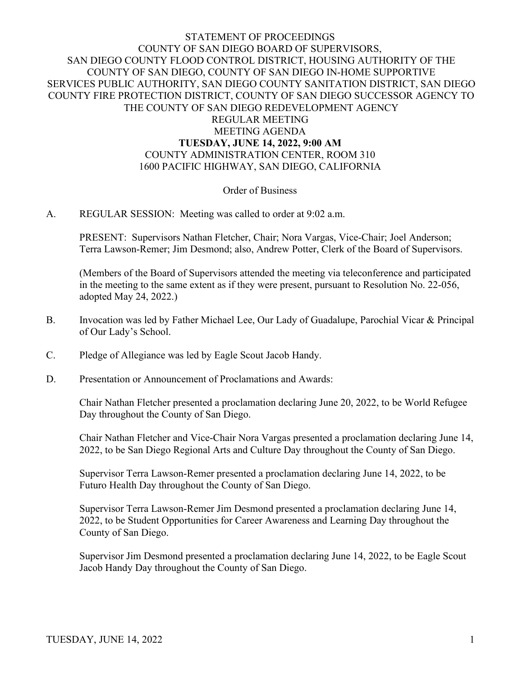## STATEMENT OF PROCEEDINGS COUNTY OF SAN DIEGO BOARD OF SUPERVISORS, SAN DIEGO COUNTY FLOOD CONTROL DISTRICT, HOUSING AUTHORITY OF THE COUNTY OF SAN DIEGO, COUNTY OF SAN DIEGO IN-HOME SUPPORTIVE SERVICES PUBLIC AUTHORITY, SAN DIEGO COUNTY SANITATION DISTRICT, SAN DIEGO COUNTY FIRE PROTECTION DISTRICT, COUNTY OF SAN DIEGO SUCCESSOR AGENCY TO THE COUNTY OF SAN DIEGO REDEVELOPMENT AGENCY REGULAR MEETING MEETING AGENDA **TUESDAY, JUNE 14, 2022, 9:00 AM**

## COUNTY ADMINISTRATION CENTER, ROOM 310 1600 PACIFIC HIGHWAY, SAN DIEGO, CALIFORNIA

#### Order of Business

#### A. REGULAR SESSION: Meeting was called to order at 9:02 a.m.

PRESENT: Supervisors Nathan Fletcher, Chair; Nora Vargas, Vice-Chair; Joel Anderson; Terra Lawson-Remer; Jim Desmond; also, Andrew Potter, Clerk of the Board of Supervisors.

(Members of the Board of Supervisors attended the meeting via teleconference and participated in the meeting to the same extent as if they were present, pursuant to Resolution No. 22-056, adopted May 24, 2022.)

- B. Invocation was led by Father Michael Lee, Our Lady of Guadalupe, Parochial Vicar & Principal of Our Lady's School.
- C. Pledge of Allegiance was led by Eagle Scout Jacob Handy.
- D. Presentation or Announcement of Proclamations and Awards:

Chair Nathan Fletcher presented a proclamation declaring June 20, 2022, to be World Refugee Day throughout the County of San Diego.

Chair Nathan Fletcher and Vice-Chair Nora Vargas presented a proclamation declaring June 14, 2022, to be San Diego Regional Arts and Culture Day throughout the County of San Diego.

Supervisor Terra Lawson-Remer presented a proclamation declaring June 14, 2022, to be Futuro Health Day throughout the County of San Diego.

Supervisor Terra Lawson-Remer Jim Desmond presented a proclamation declaring June 14, 2022, to be Student Opportunities for Career Awareness and Learning Day throughout the County of San Diego.

Supervisor Jim Desmond presented a proclamation declaring June 14, 2022, to be Eagle Scout Jacob Handy Day throughout the County of San Diego.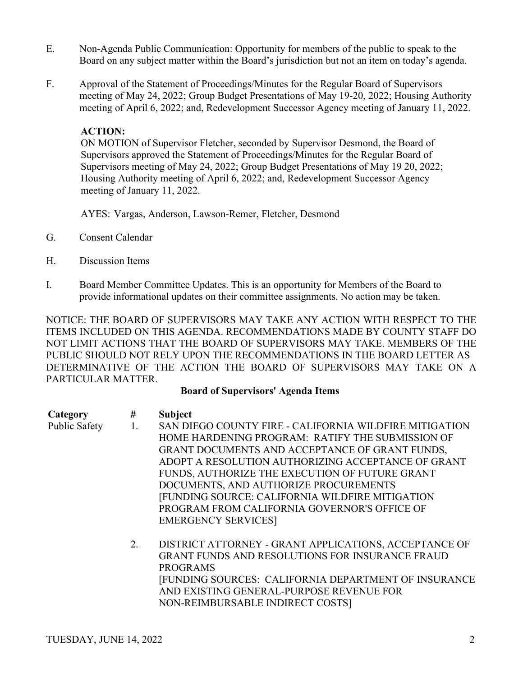- E. Non-Agenda Public Communication: Opportunity for members of the public to speak to the Board on any subject matter within the Board's jurisdiction but not an item on today's agenda.
- F. Approval of the Statement of Proceedings/Minutes for the Regular Board of Supervisors meeting of May 24, 2022; Group Budget Presentations of May 19-20, 2022; Housing Authority meeting of April 6, 2022; and, Redevelopment Successor Agency meeting of January 11, 2022.

## **ACTION:**

ON MOTION of Supervisor Fletcher, seconded by Supervisor Desmond, the Board of Supervisors approved the Statement of Proceedings/Minutes for the Regular Board of Supervisors meeting of May 24, 2022; Group Budget Presentations of May 19 20, 2022; Housing Authority meeting of April 6, 2022; and, Redevelopment Successor Agency meeting of January 11, 2022.

AYES: Vargas, Anderson, Lawson-Remer, Fletcher, Desmond

- G. Consent Calendar
- H. Discussion Items
- I. Board Member Committee Updates. This is an opportunity for Members of the Board to provide informational updates on their committee assignments. No action may be taken.

NOTICE: THE BOARD OF SUPERVISORS MAY TAKE ANY ACTION WITH RESPECT TO THE ITEMS INCLUDED ON THIS AGENDA. RECOMMENDATIONS MADE BY COUNTY STAFF DO NOT LIMIT ACTIONS THAT THE BOARD OF SUPERVISORS MAY TAKE. MEMBERS OF THE PUBLIC SHOULD NOT RELY UPON THE RECOMMENDATIONS IN THE BOARD LETTER AS DETERMINATIVE OF THE ACTION THE BOARD OF SUPERVISORS MAY TAKE ON A PARTICULAR MATTER.

#### **Board of Supervisors' Agenda Items**

## **Category # Subject**

- 
- Public Safety 1. SAN DIEGO COUNTY FIRE CALIFORNIA WILDFIRE MITIGATION HOME HARDENING PROGRAM: RATIFY THE SUBMISSION OF GRANT DOCUMENTS AND ACCEPTANCE OF GRANT FUNDS, ADOPT A RESOLUTION AUTHORIZING ACCEPTANCE OF GRANT FUNDS, AUTHORIZE THE EXECUTION OF FUTURE GRANT DOCUMENTS, AND AUTHORIZE PROCUREMENTS [FUNDING SOURCE: CALIFORNIA WILDFIRE MITIGATION PROGRAM FROM CALIFORNIA GOVERNOR'S OFFICE OF EMERGENCY SERVICES]
	- 2. DISTRICT ATTORNEY GRANT APPLICATIONS, ACCEPTANCE OF GRANT FUNDS AND RESOLUTIONS FOR INSURANCE FRAUD PROGRAMS [FUNDING SOURCES: CALIFORNIA DEPARTMENT OF INSURANCE AND EXISTING GENERAL-PURPOSE REVENUE FOR NON-REIMBURSABLE INDIRECT COSTS]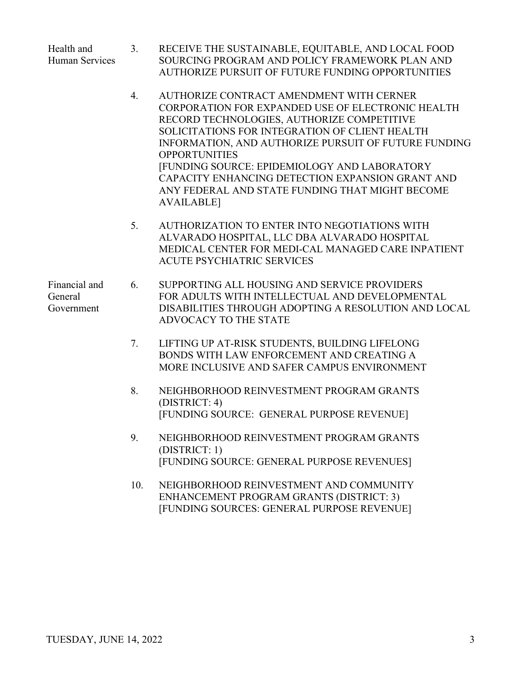Health and 3. RECEIVE THE SUSTAINABLE, EQUITABLE, AND LOCAL FOOD Human Services SOURCING PROGRAM AND POLICY FRAMEWORK PLAN AND AUTHORIZE PURSUIT OF FUTURE FUNDING OPPORTUNITIES

- 4. AUTHORIZE CONTRACT AMENDMENT WITH CERNER CORPORATION FOR EXPANDED USE OF ELECTRONIC HEALTH RECORD TECHNOLOGIES, AUTHORIZE COMPETITIVE SOLICITATIONS FOR INTEGRATION OF CLIENT HEALTH INFORMATION, AND AUTHORIZE PURSUIT OF FUTURE FUNDING **OPPORTUNITIES** [FUNDING SOURCE: EPIDEMIOLOGY AND LABORATORY CAPACITY ENHANCING DETECTION EXPANSION GRANT AND ANY FEDERAL AND STATE FUNDING THAT MIGHT BECOME AVAILABLE]
- 5. AUTHORIZATION TO ENTER INTO NEGOTIATIONS WITH ALVARADO HOSPITAL, LLC DBA ALVARADO HOSPITAL MEDICAL CENTER FOR MEDI-CAL MANAGED CARE INPATIENT ACUTE PSYCHIATRIC SERVICES

Financial and 6. SUPPORTING ALL HOUSING AND SERVICE PROVIDERS General FOR ADULTS WITH INTELLECTUAL AND DEVELOPMENTAL Government DISABILITIES THROUGH ADOPTING A RESOLUTION AND LOCAL ADVOCACY TO THE STATE

- 7. LIFTING UP AT-RISK STUDENTS, BUILDING LIFELONG BONDS WITH LAW ENFORCEMENT AND CREATING A MORE INCLUSIVE AND SAFER CAMPUS ENVIRONMENT
- 8. NEIGHBORHOOD REINVESTMENT PROGRAM GRANTS (DISTRICT: 4) [FUNDING SOURCE: GENERAL PURPOSE REVENUE]
- 9. NEIGHBORHOOD REINVESTMENT PROGRAM GRANTS (DISTRICT: 1) [FUNDING SOURCE: GENERAL PURPOSE REVENUES]
- 10. NEIGHBORHOOD REINVESTMENT AND COMMUNITY ENHANCEMENT PROGRAM GRANTS (DISTRICT: 3) [FUNDING SOURCES: GENERAL PURPOSE REVENUE]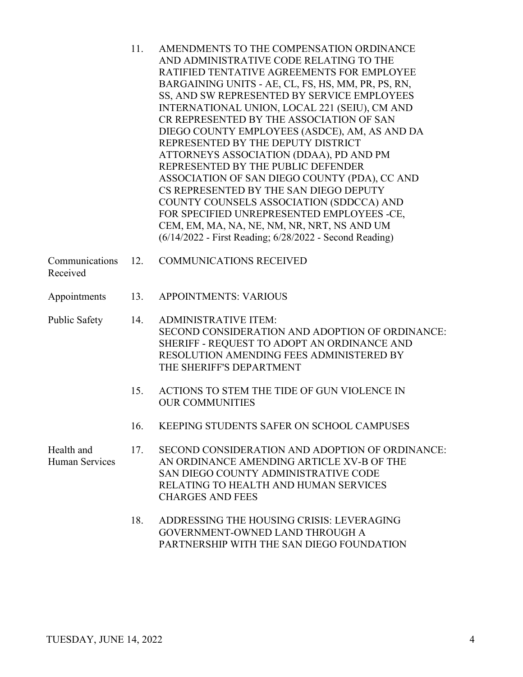|                              | 11. | AMENDMENTS TO THE COMPENSATION ORDINANCE<br>AND ADMINISTRATIVE CODE RELATING TO THE<br>RATIFIED TENTATIVE AGREEMENTS FOR EMPLOYEE<br>BARGAINING UNITS - AE, CL, FS, HS, MM, PR, PS, RN,<br>SS, AND SW REPRESENTED BY SERVICE EMPLOYEES<br>INTERNATIONAL UNION, LOCAL 221 (SEIU), CM AND<br>CR REPRESENTED BY THE ASSOCIATION OF SAN<br>DIEGO COUNTY EMPLOYEES (ASDCE), AM, AS AND DA<br>REPRESENTED BY THE DEPUTY DISTRICT<br>ATTORNEYS ASSOCIATION (DDAA), PD AND PM<br>REPRESENTED BY THE PUBLIC DEFENDER<br>ASSOCIATION OF SAN DIEGO COUNTY (PDA), CC AND<br>CS REPRESENTED BY THE SAN DIEGO DEPUTY<br>COUNTY COUNSELS ASSOCIATION (SDDCCA) AND<br>FOR SPECIFIED UNREPRESENTED EMPLOYEES -CE,<br>CEM, EM, MA, NA, NE, NM, NR, NRT, NS AND UM<br>(6/14/2022 - First Reading; 6/28/2022 - Second Reading) |
|------------------------------|-----|------------------------------------------------------------------------------------------------------------------------------------------------------------------------------------------------------------------------------------------------------------------------------------------------------------------------------------------------------------------------------------------------------------------------------------------------------------------------------------------------------------------------------------------------------------------------------------------------------------------------------------------------------------------------------------------------------------------------------------------------------------------------------------------------------------|
| Communications<br>Received   | 12. | <b>COMMUNICATIONS RECEIVED</b>                                                                                                                                                                                                                                                                                                                                                                                                                                                                                                                                                                                                                                                                                                                                                                             |
| Appointments                 | 13. | <b>APPOINTMENTS: VARIOUS</b>                                                                                                                                                                                                                                                                                                                                                                                                                                                                                                                                                                                                                                                                                                                                                                               |
| Public Safety                | 14. | <b>ADMINISTRATIVE ITEM:</b><br>SECOND CONSIDERATION AND ADOPTION OF ORDINANCE:<br>SHERIFF - REQUEST TO ADOPT AN ORDINANCE AND<br><b>RESOLUTION AMENDING FEES ADMINISTERED BY</b><br>THE SHERIFF'S DEPARTMENT                                                                                                                                                                                                                                                                                                                                                                                                                                                                                                                                                                                               |
|                              | 15. | ACTIONS TO STEM THE TIDE OF GUN VIOLENCE IN<br><b>OUR COMMUNITIES</b>                                                                                                                                                                                                                                                                                                                                                                                                                                                                                                                                                                                                                                                                                                                                      |
|                              | 16. | KEEPING STUDENTS SAFER ON SCHOOL CAMPUSES                                                                                                                                                                                                                                                                                                                                                                                                                                                                                                                                                                                                                                                                                                                                                                  |
| Health and<br>Human Services | 17. | SECOND CONSIDERATION AND ADOPTION OF ORDINANCE:<br>AN ORDINANCE AMENDING ARTICLE XV-B OF THE<br>SAN DIEGO COUNTY ADMINISTRATIVE CODE<br><b>RELATING TO HEALTH AND HUMAN SERVICES</b><br><b>CHARGES AND FEES</b>                                                                                                                                                                                                                                                                                                                                                                                                                                                                                                                                                                                            |
|                              | 18. | ADDRESSING THE HOUSING CRISIS: LEVERAGING<br>COVEDNMENT OWNED LAND THDOUCH A                                                                                                                                                                                                                                                                                                                                                                                                                                                                                                                                                                                                                                                                                                                               |

GOVERNMENT-OWNED LAND THROUGH A PARTNERSHIP WITH THE SAN DIEGO FOUNDATION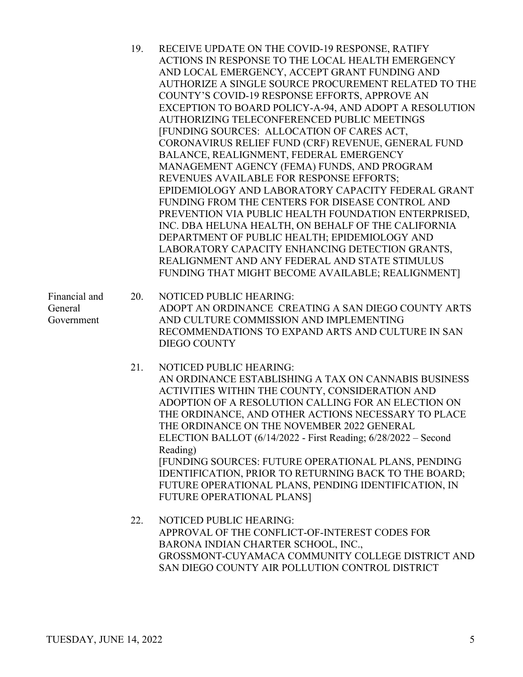|                                        | 19. | RECEIVE UPDATE ON THE COVID-19 RESPONSE, RATIFY<br>ACTIONS IN RESPONSE TO THE LOCAL HEALTH EMERGENCY<br>AND LOCAL EMERGENCY, ACCEPT GRANT FUNDING AND<br>AUTHORIZE A SINGLE SOURCE PROCUREMENT RELATED TO THE<br>COUNTY'S COVID-19 RESPONSE EFFORTS, APPROVE AN<br>EXCEPTION TO BOARD POLICY-A-94, AND ADOPT A RESOLUTION<br>AUTHORIZING TELECONFERENCED PUBLIC MEETINGS<br>[FUNDING SOURCES: ALLOCATION OF CARES ACT,<br>CORONAVIRUS RELIEF FUND (CRF) REVENUE, GENERAL FUND<br>BALANCE, REALIGNMENT, FEDERAL EMERGENCY<br>MANAGEMENT AGENCY (FEMA) FUNDS, AND PROGRAM<br>REVENUES AVAILABLE FOR RESPONSE EFFORTS;<br>EPIDEMIOLOGY AND LABORATORY CAPACITY FEDERAL GRANT<br>FUNDING FROM THE CENTERS FOR DISEASE CONTROL AND<br>PREVENTION VIA PUBLIC HEALTH FOUNDATION ENTERPRISED,<br>INC. DBA HELUNA HEALTH, ON BEHALF OF THE CALIFORNIA<br>DEPARTMENT OF PUBLIC HEALTH; EPIDEMIOLOGY AND<br>LABORATORY CAPACITY ENHANCING DETECTION GRANTS,<br>REALIGNMENT AND ANY FEDERAL AND STATE STIMULUS<br>FUNDING THAT MIGHT BECOME AVAILABLE; REALIGNMENT] |
|----------------------------------------|-----|---------------------------------------------------------------------------------------------------------------------------------------------------------------------------------------------------------------------------------------------------------------------------------------------------------------------------------------------------------------------------------------------------------------------------------------------------------------------------------------------------------------------------------------------------------------------------------------------------------------------------------------------------------------------------------------------------------------------------------------------------------------------------------------------------------------------------------------------------------------------------------------------------------------------------------------------------------------------------------------------------------------------------------------------------------|
| Financial and<br>General<br>Government | 20. | NOTICED PUBLIC HEARING:<br>ADOPT AN ORDINANCE CREATING A SAN DIEGO COUNTY ARTS<br>AND CULTURE COMMISSION AND IMPLEMENTING<br>RECOMMENDATIONS TO EXPAND ARTS AND CULTURE IN SAN<br><b>DIEGO COUNTY</b>                                                                                                                                                                                                                                                                                                                                                                                                                                                                                                                                                                                                                                                                                                                                                                                                                                                   |
|                                        | 21. | NOTICED PUBLIC HEARING:<br>AN ORDINANCE ESTABLISHING A TAX ON CANNABIS BUSINESS<br>ACTIVITIES WITHIN THE COUNTY, CONSIDERATION AND<br>ADOPTION OF A RESOLUTION CALLING FOR AN ELECTION ON<br>THE ORDINANCE, AND OTHER ACTIONS NECESSARY TO PLACE<br>THE ORDINANCE ON THE NOVEMBER 2022 GENERAL<br>ELECTION BALLOT (6/14/2022 - First Reading; 6/28/2022 – Second<br>Reading)<br>[FUNDING SOURCES: FUTURE OPERATIONAL PLANS, PENDING<br>IDENTIFICATION, PRIOR TO RETURNING BACK TO THE BOARD;<br>FUTURE OPERATIONAL PLANS, PENDING IDENTIFICATION, IN<br>FUTURE OPERATIONAL PLANS]                                                                                                                                                                                                                                                                                                                                                                                                                                                                       |
|                                        | 22. | NOTICED PUBLIC HEARING:<br>APPROVAL OF THE CONFLICT-OF-INTEREST CODES FOR<br>BARONA INDIAN CHARTER SCHOOL, INC.,<br>GROSSMONT-CUYAMACA COMMUNITY COLLEGE DISTRICT AND                                                                                                                                                                                                                                                                                                                                                                                                                                                                                                                                                                                                                                                                                                                                                                                                                                                                                   |

SAN DIEGO COUNTY AIR POLLUTION CONTROL DISTRICT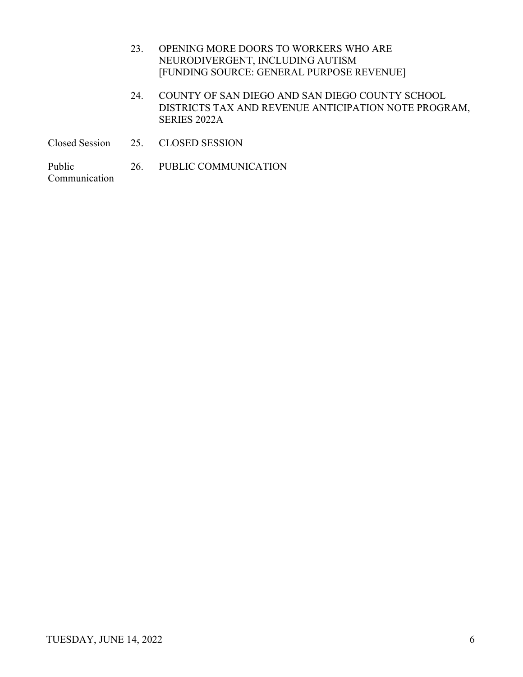- 23. OPENING MORE DOORS TO WORKERS WHO ARE NEURODIVERGENT, INCLUDING AUTISM [FUNDING SOURCE: GENERAL PURPOSE REVENUE]
- 24. COUNTY OF SAN DIEGO AND SAN DIEGO COUNTY SCHOOL DISTRICTS TAX AND REVENUE ANTICIPATION NOTE PROGRAM, SERIES 2022A
- Closed Session 25. CLOSED SESSION

Public 26. PUBLIC COMMUNICATION Communication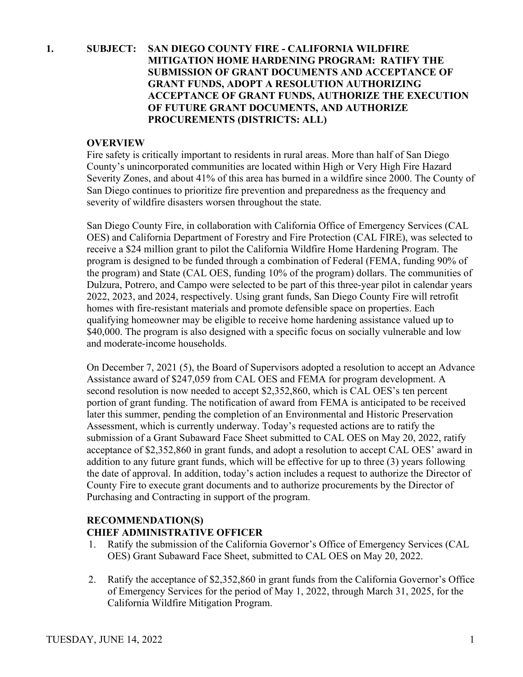## **1. SUBJECT: SAN DIEGO COUNTY FIRE - CALIFORNIA WILDFIRE MITIGATION HOME HARDENING PROGRAM: RATIFY THE SUBMISSION OF GRANT DOCUMENTS AND ACCEPTANCE OF GRANT FUNDS, ADOPT A RESOLUTION AUTHORIZING ACCEPTANCE OF GRANT FUNDS, AUTHORIZE THE EXECUTION OF FUTURE GRANT DOCUMENTS, AND AUTHORIZE PROCUREMENTS (DISTRICTS: ALL)**

#### **OVERVIEW**

Fire safety is critically important to residents in rural areas. More than half of San Diego County's unincorporated communities are located within High or Very High Fire Hazard Severity Zones, and about 41% of this area has burned in a wildfire since 2000. The County of San Diego continues to prioritize fire prevention and preparedness as the frequency and severity of wildfire disasters worsen throughout the state.

San Diego County Fire, in collaboration with California Office of Emergency Services (CAL OES) and California Department of Forestry and Fire Protection (CAL FIRE), was selected to receive a \$24 million grant to pilot the California Wildfire Home Hardening Program. The program is designed to be funded through a combination of Federal (FEMA, funding 90% of the program) and State (CAL OES, funding 10% of the program) dollars. The communities of Dulzura, Potrero, and Campo were selected to be part of this three-year pilot in calendar years 2022, 2023, and 2024, respectively. Using grant funds, San Diego County Fire will retrofit homes with fire-resistant materials and promote defensible space on properties. Each qualifying homeowner may be eligible to receive home hardening assistance valued up to \$40,000. The program is also designed with a specific focus on socially vulnerable and low and moderate-income households.

On December 7, 2021 (5), the Board of Supervisors adopted a resolution to accept an Advance Assistance award of \$247,059 from CAL OES and FEMA for program development. A second resolution is now needed to accept \$2,352,860, which is CAL OES's ten percent portion of grant funding. The notification of award from FEMA is anticipated to be received later this summer, pending the completion of an Environmental and Historic Preservation Assessment, which is currently underway. Today's requested actions are to ratify the submission of a Grant Subaward Face Sheet submitted to CAL OES on May 20, 2022, ratify acceptance of \$2,352,860 in grant funds, and adopt a resolution to accept CAL OES' award in addition to any future grant funds, which will be effective for up to three (3) years following the date of approval. In addition, today's action includes a request to authorize the Director of County Fire to execute grant documents and to authorize procurements by the Director of Purchasing and Contracting in support of the program.

#### **RECOMMENDATION(S) CHIEF ADMINISTRATIVE OFFICER**

- 1. Ratify the submission of the California Governor's Office of Emergency Services (CAL OES) Grant Subaward Face Sheet, submitted to CAL OES on May 20, 2022.
- 2. Ratify the acceptance of \$2,352,860 in grant funds from the California Governor's Office of Emergency Services for the period of May 1, 2022, through March 31, 2025, for the California Wildfire Mitigation Program.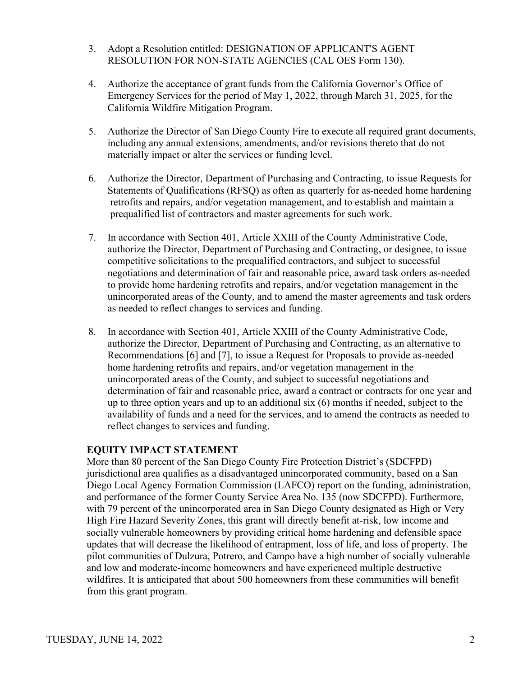- 3. Adopt a Resolution entitled: DESIGNATION OF APPLICANT'S AGENT RESOLUTION FOR NON-STATE AGENCIES (CAL OES Form 130).
- 4. Authorize the acceptance of grant funds from the California Governor's Office of Emergency Services for the period of May 1, 2022, through March 31, 2025, for the California Wildfire Mitigation Program.
- 5. Authorize the Director of San Diego County Fire to execute all required grant documents, including any annual extensions, amendments, and/or revisions thereto that do not materially impact or alter the services or funding level.
- 6. Authorize the Director, Department of Purchasing and Contracting, to issue Requests for Statements of Qualifications (RFSQ) as often as quarterly for as-needed home hardening retrofits and repairs, and/or vegetation management, and to establish and maintain a prequalified list of contractors and master agreements for such work.
- 7. In accordance with Section 401, Article XXIII of the County Administrative Code, authorize the Director, Department of Purchasing and Contracting, or designee, to issue competitive solicitations to the prequalified contractors, and subject to successful negotiations and determination of fair and reasonable price, award task orders as-needed to provide home hardening retrofits and repairs, and/or vegetation management in the unincorporated areas of the County, and to amend the master agreements and task orders as needed to reflect changes to services and funding.
- 8. In accordance with Section 401, Article XXIII of the County Administrative Code, authorize the Director, Department of Purchasing and Contracting, as an alternative to Recommendations [6] and [7], to issue a Request for Proposals to provide as-needed home hardening retrofits and repairs, and/or vegetation management in the unincorporated areas of the County, and subject to successful negotiations and determination of fair and reasonable price, award a contract or contracts for one year and up to three option years and up to an additional six (6) months if needed, subject to the availability of funds and a need for the services, and to amend the contracts as needed to reflect changes to services and funding.

More than 80 percent of the San Diego County Fire Protection District's (SDCFPD) jurisdictional area qualifies as a disadvantaged unincorporated community, based on a San Diego Local Agency Formation Commission (LAFCO) report on the funding, administration, and performance of the former County Service Area No. 135 (now SDCFPD). Furthermore, with 79 percent of the unincorporated area in San Diego County designated as High or Very High Fire Hazard Severity Zones, this grant will directly benefit at-risk, low income and socially vulnerable homeowners by providing critical home hardening and defensible space updates that will decrease the likelihood of entrapment, loss of life, and loss of property. The pilot communities of Dulzura, Potrero, and Campo have a high number of socially vulnerable and low and moderate-income homeowners and have experienced multiple destructive wildfires. It is anticipated that about 500 homeowners from these communities will benefit from this grant program.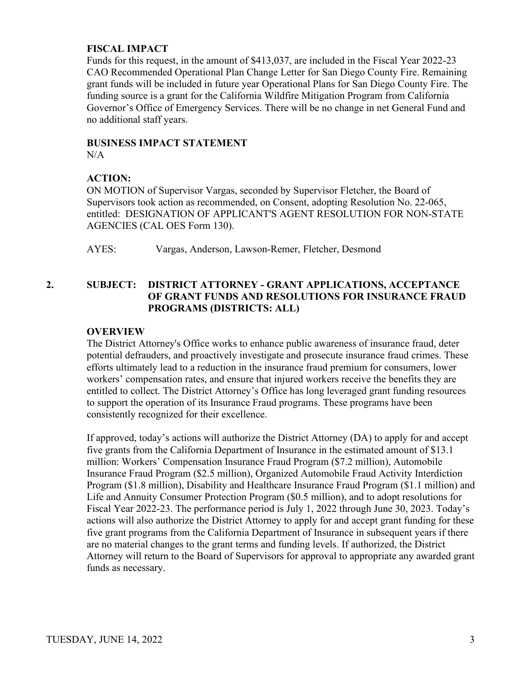#### **FISCAL IMPACT**

Funds for this request, in the amount of \$413,037, are included in the Fiscal Year 2022-23 CAO Recommended Operational Plan Change Letter for San Diego County Fire. Remaining grant funds will be included in future year Operational Plans for San Diego County Fire. The funding source is a grant for the California Wildfire Mitigation Program from California Governor's Office of Emergency Services. There will be no change in net General Fund and no additional staff years.

## **BUSINESS IMPACT STATEMENT**

N/A

## **ACTION:**

ON MOTION of Supervisor Vargas, seconded by Supervisor Fletcher, the Board of Supervisors took action as recommended, on Consent, adopting Resolution No. 22-065, entitled: DESIGNATION OF APPLICANT'S AGENT RESOLUTION FOR NON-STATE AGENCIES (CAL OES Form 130).

AYES: Vargas, Anderson, Lawson-Remer, Fletcher, Desmond

## **2. SUBJECT: DISTRICT ATTORNEY - GRANT APPLICATIONS, ACCEPTANCE OF GRANT FUNDS AND RESOLUTIONS FOR INSURANCE FRAUD PROGRAMS (DISTRICTS: ALL)**

## **OVERVIEW**

The District Attorney's Office works to enhance public awareness of insurance fraud, deter potential defrauders, and proactively investigate and prosecute insurance fraud crimes. These efforts ultimately lead to a reduction in the insurance fraud premium for consumers, lower workers' compensation rates, and ensure that injured workers receive the benefits they are entitled to collect. The District Attorney's Office has long leveraged grant funding resources to support the operation of its Insurance Fraud programs. These programs have been consistently recognized for their excellence.

If approved, today's actions will authorize the District Attorney (DA) to apply for and accept five grants from the California Department of Insurance in the estimated amount of \$13.1 million: Workers' Compensation Insurance Fraud Program (\$7.2 million), Automobile Insurance Fraud Program (\$2.5 million), Organized Automobile Fraud Activity Interdiction Program (\$1.8 million), Disability and Healthcare Insurance Fraud Program (\$1.1 million) and Life and Annuity Consumer Protection Program (\$0.5 million), and to adopt resolutions for Fiscal Year 2022-23. The performance period is July 1, 2022 through June 30, 2023. Today's actions will also authorize the District Attorney to apply for and accept grant funding for these five grant programs from the California Department of Insurance in subsequent years if there are no material changes to the grant terms and funding levels. If authorized, the District Attorney will return to the Board of Supervisors for approval to appropriate any awarded grant funds as necessary.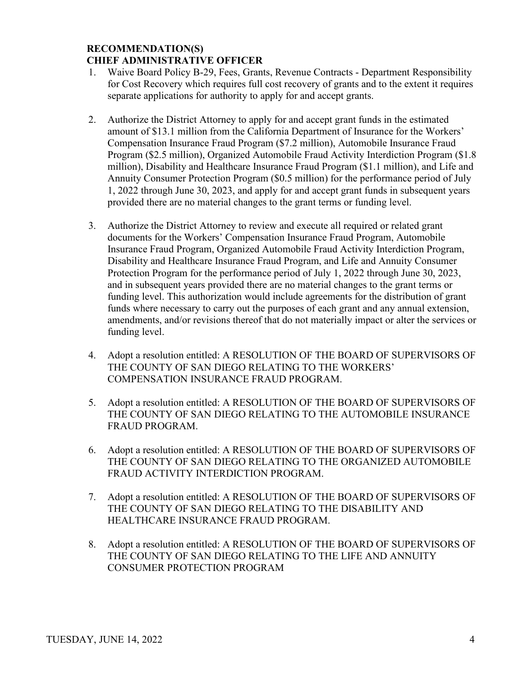#### **RECOMMENDATION(S) CHIEF ADMINISTRATIVE OFFICER**

- 1. Waive Board Policy B-29, Fees, Grants, Revenue Contracts Department Responsibility for Cost Recovery which requires full cost recovery of grants and to the extent it requires separate applications for authority to apply for and accept grants.
- 2. Authorize the District Attorney to apply for and accept grant funds in the estimated amount of \$13.1 million from the California Department of Insurance for the Workers' Compensation Insurance Fraud Program (\$7.2 million), Automobile Insurance Fraud Program (\$2.5 million), Organized Automobile Fraud Activity Interdiction Program (\$1.8 million), Disability and Healthcare Insurance Fraud Program (\$1.1 million), and Life and Annuity Consumer Protection Program (\$0.5 million) for the performance period of July 1, 2022 through June 30, 2023, and apply for and accept grant funds in subsequent years provided there are no material changes to the grant terms or funding level.
- 3. Authorize the District Attorney to review and execute all required or related grant documents for the Workers' Compensation Insurance Fraud Program, Automobile Insurance Fraud Program, Organized Automobile Fraud Activity Interdiction Program, Disability and Healthcare Insurance Fraud Program, and Life and Annuity Consumer Protection Program for the performance period of July 1, 2022 through June 30, 2023, and in subsequent years provided there are no material changes to the grant terms or funding level. This authorization would include agreements for the distribution of grant funds where necessary to carry out the purposes of each grant and any annual extension, amendments, and/or revisions thereof that do not materially impact or alter the services or funding level.
- 4. Adopt a resolution entitled: A RESOLUTION OF THE BOARD OF SUPERVISORS OF THE COUNTY OF SAN DIEGO RELATING TO THE WORKERS' COMPENSATION INSURANCE FRAUD PROGRAM.
- 5. Adopt a resolution entitled: A RESOLUTION OF THE BOARD OF SUPERVISORS OF THE COUNTY OF SAN DIEGO RELATING TO THE AUTOMOBILE INSURANCE FRAUD PROGRAM.
- 6. Adopt a resolution entitled: A RESOLUTION OF THE BOARD OF SUPERVISORS OF THE COUNTY OF SAN DIEGO RELATING TO THE ORGANIZED AUTOMOBILE FRAUD ACTIVITY INTERDICTION PROGRAM.
- 7. Adopt a resolution entitled: A RESOLUTION OF THE BOARD OF SUPERVISORS OF THE COUNTY OF SAN DIEGO RELATING TO THE DISABILITY AND HEALTHCARE INSURANCE FRAUD PROGRAM.
- 8. Adopt a resolution entitled: A RESOLUTION OF THE BOARD OF SUPERVISORS OF THE COUNTY OF SAN DIEGO RELATING TO THE LIFE AND ANNUITY CONSUMER PROTECTION PROGRAM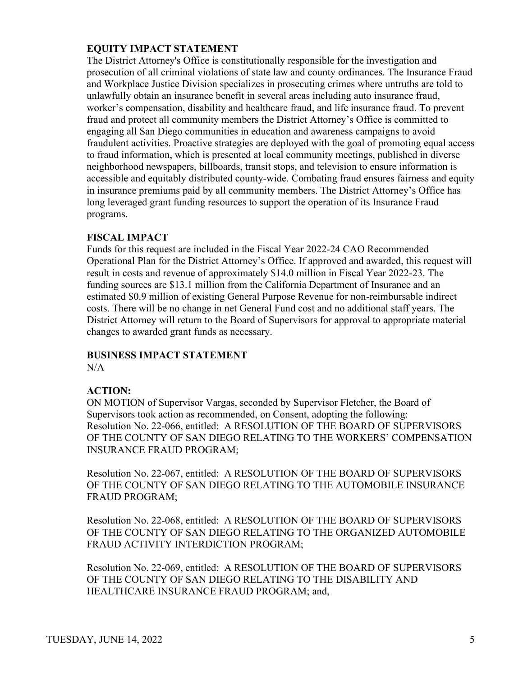The District Attorney's Office is constitutionally responsible for the investigation and prosecution of all criminal violations of state law and county ordinances. The Insurance Fraud and Workplace Justice Division specializes in prosecuting crimes where untruths are told to unlawfully obtain an insurance benefit in several areas including auto insurance fraud, worker's compensation, disability and healthcare fraud, and life insurance fraud. To prevent fraud and protect all community members the District Attorney's Office is committed to engaging all San Diego communities in education and awareness campaigns to avoid fraudulent activities. Proactive strategies are deployed with the goal of promoting equal access to fraud information, which is presented at local community meetings, published in diverse neighborhood newspapers, billboards, transit stops, and television to ensure information is accessible and equitably distributed county-wide. Combating fraud ensures fairness and equity in insurance premiums paid by all community members. The District Attorney's Office has long leveraged grant funding resources to support the operation of its Insurance Fraud programs.

#### **FISCAL IMPACT**

Funds for this request are included in the Fiscal Year 2022-24 CAO Recommended Operational Plan for the District Attorney's Office. If approved and awarded, this request will result in costs and revenue of approximately \$14.0 million in Fiscal Year 2022-23. The funding sources are \$13.1 million from the California Department of Insurance and an estimated \$0.9 million of existing General Purpose Revenue for non-reimbursable indirect costs. There will be no change in net General Fund cost and no additional staff years. The District Attorney will return to the Board of Supervisors for approval to appropriate material changes to awarded grant funds as necessary.

#### **BUSINESS IMPACT STATEMENT** N/A

#### **ACTION:**

ON MOTION of Supervisor Vargas, seconded by Supervisor Fletcher, the Board of Supervisors took action as recommended, on Consent, adopting the following: Resolution No. 22-066, entitled: A RESOLUTION OF THE BOARD OF SUPERVISORS OF THE COUNTY OF SAN DIEGO RELATING TO THE WORKERS' COMPENSATION INSURANCE FRAUD PROGRAM;

Resolution No. 22-067, entitled: A RESOLUTION OF THE BOARD OF SUPERVISORS OF THE COUNTY OF SAN DIEGO RELATING TO THE AUTOMOBILE INSURANCE FRAUD PROGRAM;

Resolution No. 22-068, entitled: A RESOLUTION OF THE BOARD OF SUPERVISORS OF THE COUNTY OF SAN DIEGO RELATING TO THE ORGANIZED AUTOMOBILE FRAUD ACTIVITY INTERDICTION PROGRAM;

Resolution No. 22-069, entitled: A RESOLUTION OF THE BOARD OF SUPERVISORS OF THE COUNTY OF SAN DIEGO RELATING TO THE DISABILITY AND HEALTHCARE INSURANCE FRAUD PROGRAM; and,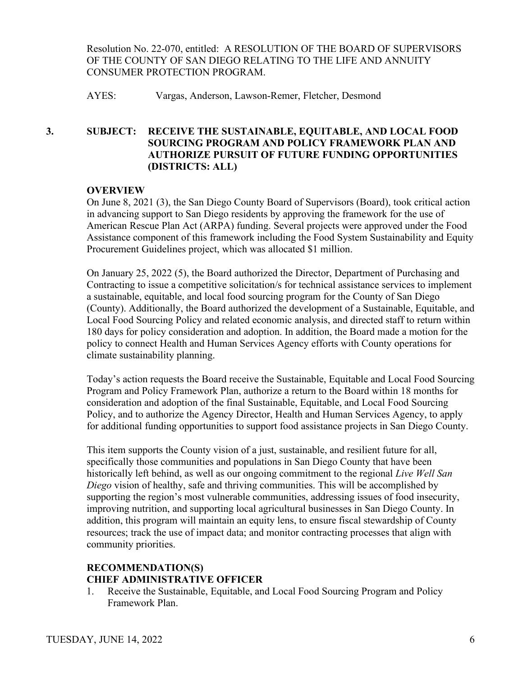Resolution No. 22-070, entitled: A RESOLUTION OF THE BOARD OF SUPERVISORS OF THE COUNTY OF SAN DIEGO RELATING TO THE LIFE AND ANNUITY CONSUMER PROTECTION PROGRAM.

AYES: Vargas, Anderson, Lawson-Remer, Fletcher, Desmond

## **3. SUBJECT: RECEIVE THE SUSTAINABLE, EQUITABLE, AND LOCAL FOOD SOURCING PROGRAM AND POLICY FRAMEWORK PLAN AND AUTHORIZE PURSUIT OF FUTURE FUNDING OPPORTUNITIES (DISTRICTS: ALL)**

## **OVERVIEW**

On June 8, 2021 (3), the San Diego County Board of Supervisors (Board), took critical action in advancing support to San Diego residents by approving the framework for the use of American Rescue Plan Act (ARPA) funding. Several projects were approved under the Food Assistance component of this framework including the Food System Sustainability and Equity Procurement Guidelines project, which was allocated \$1 million.

On January 25, 2022 (5), the Board authorized the Director, Department of Purchasing and Contracting to issue a competitive solicitation/s for technical assistance services to implement a sustainable, equitable, and local food sourcing program for the County of San Diego (County). Additionally, the Board authorized the development of a Sustainable, Equitable, and Local Food Sourcing Policy and related economic analysis, and directed staff to return within 180 days for policy consideration and adoption. In addition, the Board made a motion for the policy to connect Health and Human Services Agency efforts with County operations for climate sustainability planning.

Today's action requests the Board receive the Sustainable, Equitable and Local Food Sourcing Program and Policy Framework Plan, authorize a return to the Board within 18 months for consideration and adoption of the final Sustainable, Equitable, and Local Food Sourcing Policy, and to authorize the Agency Director, Health and Human Services Agency, to apply for additional funding opportunities to support food assistance projects in San Diego County.

This item supports the County vision of a just, sustainable, and resilient future for all, specifically those communities and populations in San Diego County that have been historically left behind, as well as our ongoing commitment to the regional *Live Well San Diego* vision of healthy, safe and thriving communities. This will be accomplished by supporting the region's most vulnerable communities, addressing issues of food insecurity, improving nutrition, and supporting local agricultural businesses in San Diego County. In addition, this program will maintain an equity lens, to ensure fiscal stewardship of County resources; track the use of impact data; and monitor contracting processes that align with community priorities.

## **RECOMMENDATION(S) CHIEF ADMINISTRATIVE OFFICER**

1. Receive the Sustainable, Equitable, and Local Food Sourcing Program and Policy Framework Plan.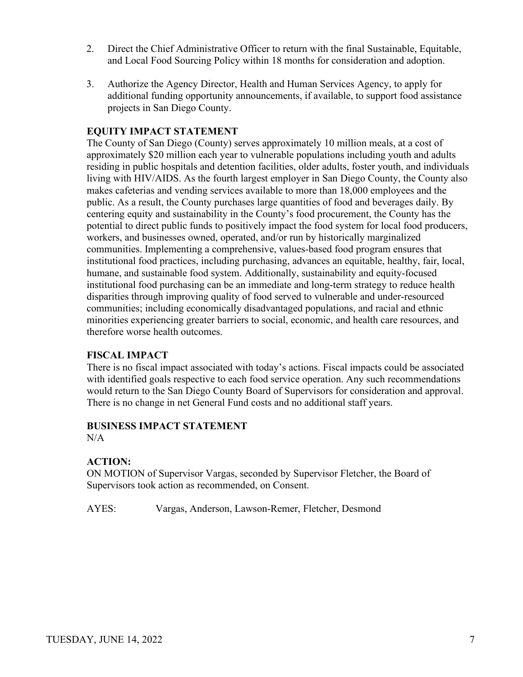- 2. Direct the Chief Administrative Officer to return with the final Sustainable, Equitable, and Local Food Sourcing Policy within 18 months for consideration and adoption.
- 3. Authorize the Agency Director, Health and Human Services Agency, to apply for additional funding opportunity announcements, if available, to support food assistance projects in San Diego County.

The County of San Diego (County) serves approximately 10 million meals, at a cost of approximately \$20 million each year to vulnerable populations including youth and adults residing in public hospitals and detention facilities, older adults, foster youth, and individuals living with HIV/AIDS. As the fourth largest employer in San Diego County, the County also makes cafeterias and vending services available to more than 18,000 employees and the public. As a result, the County purchases large quantities of food and beverages daily. By centering equity and sustainability in the County's food procurement, the County has the potential to direct public funds to positively impact the food system for local food producers, workers, and businesses owned, operated, and/or run by historically marginalized communities. Implementing a comprehensive, values-based food program ensures that institutional food practices, including purchasing, advances an equitable, healthy, fair, local, humane, and sustainable food system. Additionally, sustainability and equity-focused institutional food purchasing can be an immediate and long-term strategy to reduce health disparities through improving quality of food served to vulnerable and under-resourced communities; including economically disadvantaged populations, and racial and ethnic minorities experiencing greater barriers to social, economic, and health care resources, and therefore worse health outcomes.

#### **FISCAL IMPACT**

There is no fiscal impact associated with today's actions. Fiscal impacts could be associated with identified goals respective to each food service operation. Any such recommendations would return to the San Diego County Board of Supervisors for consideration and approval. There is no change in net General Fund costs and no additional staff years.

## **BUSINESS IMPACT STATEMENT**

 $N/A$ 

#### **ACTION:**

ON MOTION of Supervisor Vargas, seconded by Supervisor Fletcher, the Board of Supervisors took action as recommended, on Consent.

AYES: Vargas, Anderson, Lawson-Remer, Fletcher, Desmond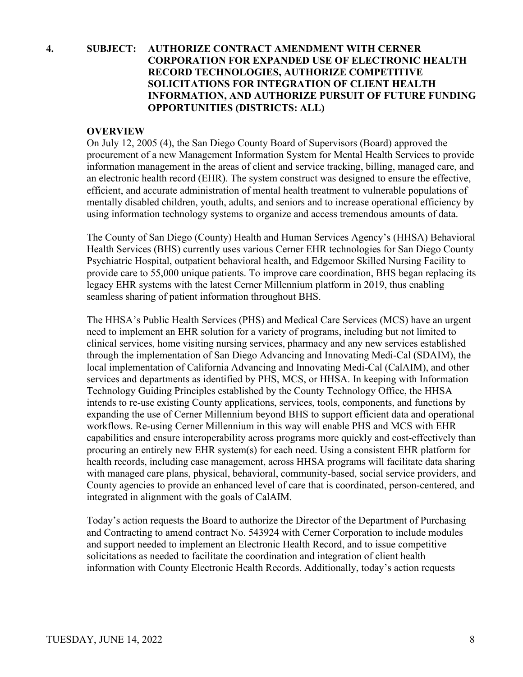## **4. SUBJECT: AUTHORIZE CONTRACT AMENDMENT WITH CERNER CORPORATION FOR EXPANDED USE OF ELECTRONIC HEALTH RECORD TECHNOLOGIES, AUTHORIZE COMPETITIVE SOLICITATIONS FOR INTEGRATION OF CLIENT HEALTH INFORMATION, AND AUTHORIZE PURSUIT OF FUTURE FUNDING OPPORTUNITIES (DISTRICTS: ALL)**

#### **OVERVIEW**

On July 12, 2005 (4), the San Diego County Board of Supervisors (Board) approved the procurement of a new Management Information System for Mental Health Services to provide information management in the areas of client and service tracking, billing, managed care, and an electronic health record (EHR). The system construct was designed to ensure the effective, efficient, and accurate administration of mental health treatment to vulnerable populations of mentally disabled children, youth, adults, and seniors and to increase operational efficiency by using information technology systems to organize and access tremendous amounts of data.

The County of San Diego (County) Health and Human Services Agency's (HHSA) Behavioral Health Services (BHS) currently uses various Cerner EHR technologies for San Diego County Psychiatric Hospital, outpatient behavioral health, and Edgemoor Skilled Nursing Facility to provide care to 55,000 unique patients. To improve care coordination, BHS began replacing its legacy EHR systems with the latest Cerner Millennium platform in 2019, thus enabling seamless sharing of patient information throughout BHS.

The HHSA's Public Health Services (PHS) and Medical Care Services (MCS) have an urgent need to implement an EHR solution for a variety of programs, including but not limited to clinical services, home visiting nursing services, pharmacy and any new services established through the implementation of San Diego Advancing and Innovating Medi-Cal (SDAIM), the local implementation of California Advancing and Innovating Medi-Cal (CalAIM), and other services and departments as identified by PHS, MCS, or HHSA. In keeping with Information Technology Guiding Principles established by the County Technology Office, the HHSA intends to re-use existing County applications, services, tools, components, and functions by expanding the use of Cerner Millennium beyond BHS to support efficient data and operational workflows. Re-using Cerner Millennium in this way will enable PHS and MCS with EHR capabilities and ensure interoperability across programs more quickly and cost-effectively than procuring an entirely new EHR system(s) for each need. Using a consistent EHR platform for health records, including case management, across HHSA programs will facilitate data sharing with managed care plans, physical, behavioral, community-based, social service providers, and County agencies to provide an enhanced level of care that is coordinated, person-centered, and integrated in alignment with the goals of CalAIM.

Today's action requests the Board to authorize the Director of the Department of Purchasing and Contracting to amend contract No. 543924 with Cerner Corporation to include modules and support needed to implement an Electronic Health Record, and to issue competitive solicitations as needed to facilitate the coordination and integration of client health information with County Electronic Health Records. Additionally, today's action requests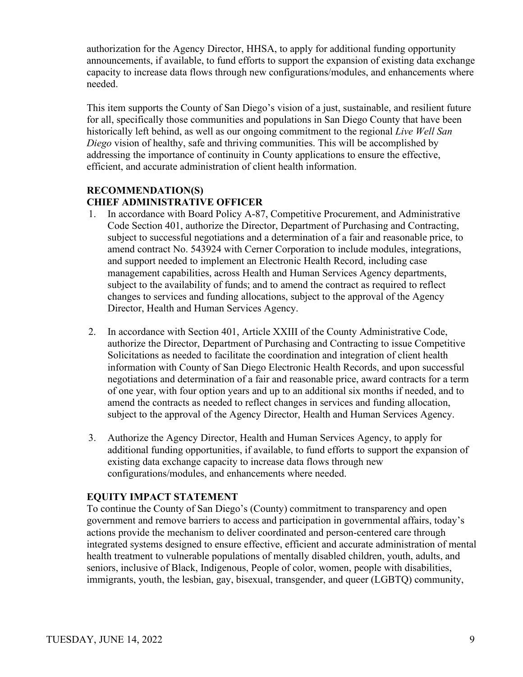authorization for the Agency Director, HHSA, to apply for additional funding opportunity announcements, if available, to fund efforts to support the expansion of existing data exchange capacity to increase data flows through new configurations/modules, and enhancements where needed.

This item supports the County of San Diego's vision of a just, sustainable, and resilient future for all, specifically those communities and populations in San Diego County that have been historically left behind, as well as our ongoing commitment to the regional *Live Well San Diego* vision of healthy, safe and thriving communities. This will be accomplished by addressing the importance of continuity in County applications to ensure the effective, efficient, and accurate administration of client health information.

## **RECOMMENDATION(S) CHIEF ADMINISTRATIVE OFFICER**

- 1. In accordance with Board Policy A-87, Competitive Procurement, and Administrative Code Section 401, authorize the Director, Department of Purchasing and Contracting, subject to successful negotiations and a determination of a fair and reasonable price, to amend contract No. 543924 with Cerner Corporation to include modules, integrations, and support needed to implement an Electronic Health Record, including case management capabilities, across Health and Human Services Agency departments, subject to the availability of funds; and to amend the contract as required to reflect changes to services and funding allocations, subject to the approval of the Agency Director, Health and Human Services Agency.
- 2. In accordance with Section 401, Article XXIII of the County Administrative Code, authorize the Director, Department of Purchasing and Contracting to issue Competitive Solicitations as needed to facilitate the coordination and integration of client health information with County of San Diego Electronic Health Records, and upon successful negotiations and determination of a fair and reasonable price, award contracts for a term of one year, with four option years and up to an additional six months if needed, and to amend the contracts as needed to reflect changes in services and funding allocation, subject to the approval of the Agency Director, Health and Human Services Agency.
- 3. Authorize the Agency Director, Health and Human Services Agency, to apply for additional funding opportunities, if available, to fund efforts to support the expansion of existing data exchange capacity to increase data flows through new configurations/modules, and enhancements where needed.

## **EQUITY IMPACT STATEMENT**

To continue the County of San Diego's (County) commitment to transparency and open government and remove barriers to access and participation in governmental affairs, today's actions provide the mechanism to deliver coordinated and person-centered care through integrated systems designed to ensure effective, efficient and accurate administration of mental health treatment to vulnerable populations of mentally disabled children, youth, adults, and seniors, inclusive of Black, Indigenous, People of color, women, people with disabilities, immigrants, youth, the lesbian, gay, bisexual, transgender, and queer (LGBTQ) community,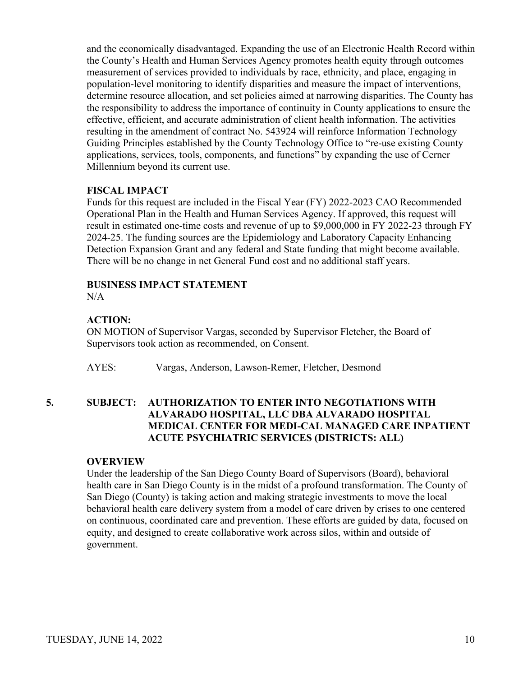and the economically disadvantaged. Expanding the use of an Electronic Health Record within the County's Health and Human Services Agency promotes health equity through outcomes measurement of services provided to individuals by race, ethnicity, and place, engaging in population-level monitoring to identify disparities and measure the impact of interventions, determine resource allocation, and set policies aimed at narrowing disparities. The County has the responsibility to address the importance of continuity in County applications to ensure the effective, efficient, and accurate administration of client health information. The activities resulting in the amendment of contract No. 543924 will reinforce Information Technology Guiding Principles established by the County Technology Office to "re-use existing County applications, services, tools, components, and functions" by expanding the use of Cerner Millennium beyond its current use.

## **FISCAL IMPACT**

Funds for this request are included in the Fiscal Year (FY) 2022-2023 CAO Recommended Operational Plan in the Health and Human Services Agency. If approved, this request will result in estimated one-time costs and revenue of up to \$9,000,000 in FY 2022-23 through FY 2024-25. The funding sources are the Epidemiology and Laboratory Capacity Enhancing Detection Expansion Grant and any federal and State funding that might become available. There will be no change in net General Fund cost and no additional staff years.

## **BUSINESS IMPACT STATEMENT**

N/A

## **ACTION:**

ON MOTION of Supervisor Vargas, seconded by Supervisor Fletcher, the Board of Supervisors took action as recommended, on Consent.

AYES: Vargas, Anderson, Lawson-Remer, Fletcher, Desmond

## **5. SUBJECT: AUTHORIZATION TO ENTER INTO NEGOTIATIONS WITH ALVARADO HOSPITAL, LLC DBA ALVARADO HOSPITAL MEDICAL CENTER FOR MEDI-CAL MANAGED CARE INPATIENT ACUTE PSYCHIATRIC SERVICES (DISTRICTS: ALL)**

#### **OVERVIEW**

Under the leadership of the San Diego County Board of Supervisors (Board), behavioral health care in San Diego County is in the midst of a profound transformation. The County of San Diego (County) is taking action and making strategic investments to move the local behavioral health care delivery system from a model of care driven by crises to one centered on continuous, coordinated care and prevention. These efforts are guided by data, focused on equity, and designed to create collaborative work across silos, within and outside of government.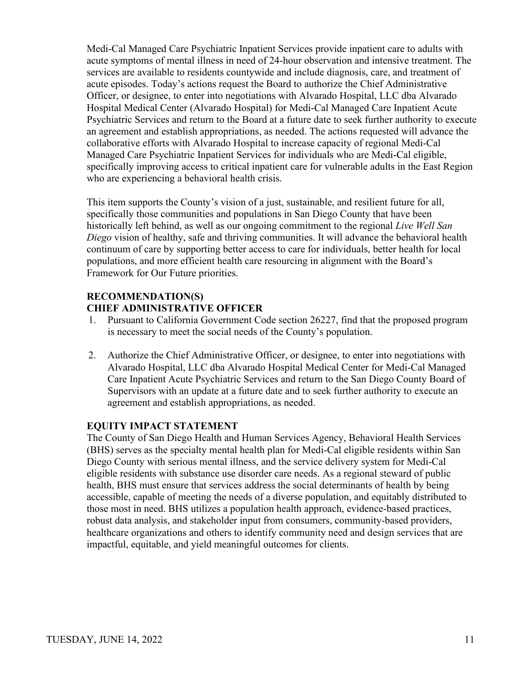Medi-Cal Managed Care Psychiatric Inpatient Services provide inpatient care to adults with acute symptoms of mental illness in need of 24-hour observation and intensive treatment. The services are available to residents countywide and include diagnosis, care, and treatment of acute episodes. Today's actions request the Board to authorize the Chief Administrative Officer, or designee, to enter into negotiations with Alvarado Hospital, LLC dba Alvarado Hospital Medical Center (Alvarado Hospital) for Medi-Cal Managed Care Inpatient Acute Psychiatric Services and return to the Board at a future date to seek further authority to execute an agreement and establish appropriations, as needed. The actions requested will advance the collaborative efforts with Alvarado Hospital to increase capacity of regional Medi-Cal Managed Care Psychiatric Inpatient Services for individuals who are Medi-Cal eligible, specifically improving access to critical inpatient care for vulnerable adults in the East Region who are experiencing a behavioral health crisis.

This item supports the County's vision of a just, sustainable, and resilient future for all, specifically those communities and populations in San Diego County that have been historically left behind, as well as our ongoing commitment to the regional *Live Well San Diego* vision of healthy, safe and thriving communities. It will advance the behavioral health continuum of care by supporting better access to care for individuals, better health for local populations, and more efficient health care resourcing in alignment with the Board's Framework for Our Future priorities.

## **RECOMMENDATION(S) CHIEF ADMINISTRATIVE OFFICER**

- 1. Pursuant to California Government Code section 26227, find that the proposed program is necessary to meet the social needs of the County's population.
- 2. Authorize the Chief Administrative Officer, or designee, to enter into negotiations with Alvarado Hospital, LLC dba Alvarado Hospital Medical Center for Medi-Cal Managed Care Inpatient Acute Psychiatric Services and return to the San Diego County Board of Supervisors with an update at a future date and to seek further authority to execute an agreement and establish appropriations, as needed.

## **EQUITY IMPACT STATEMENT**

The County of San Diego Health and Human Services Agency, Behavioral Health Services (BHS) serves as the specialty mental health plan for Medi-Cal eligible residents within San Diego County with serious mental illness, and the service delivery system for Medi-Cal eligible residents with substance use disorder care needs. As a regional steward of public health, BHS must ensure that services address the social determinants of health by being accessible, capable of meeting the needs of a diverse population, and equitably distributed to those most in need. BHS utilizes a population health approach, evidence-based practices, robust data analysis, and stakeholder input from consumers, community-based providers, healthcare organizations and others to identify community need and design services that are impactful, equitable, and yield meaningful outcomes for clients.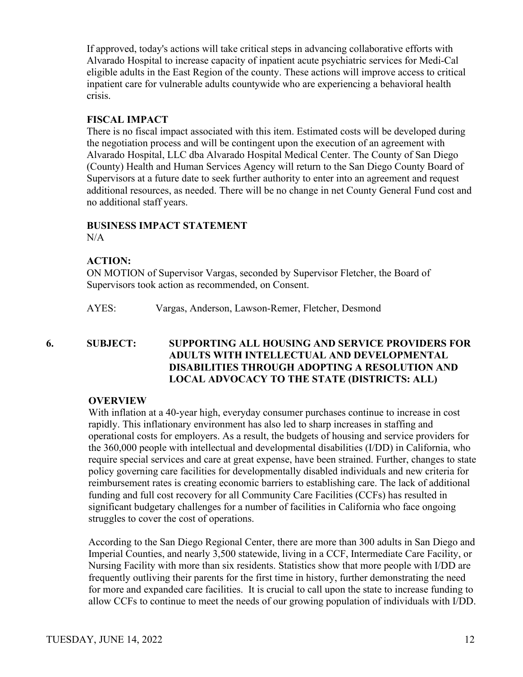If approved, today's actions will take critical steps in advancing collaborative efforts with Alvarado Hospital to increase capacity of inpatient acute psychiatric services for Medi-Cal eligible adults in the East Region of the county. These actions will improve access to critical inpatient care for vulnerable adults countywide who are experiencing a behavioral health crisis.

#### **FISCAL IMPACT**

There is no fiscal impact associated with this item. Estimated costs will be developed during the negotiation process and will be contingent upon the execution of an agreement with Alvarado Hospital, LLC dba Alvarado Hospital Medical Center. The County of San Diego (County) Health and Human Services Agency will return to the San Diego County Board of Supervisors at a future date to seek further authority to enter into an agreement and request additional resources, as needed. There will be no change in net County General Fund cost and no additional staff years.

#### **BUSINESS IMPACT STATEMENT**

 $N/A$ 

#### **ACTION:**

ON MOTION of Supervisor Vargas, seconded by Supervisor Fletcher, the Board of Supervisors took action as recommended, on Consent.

AYES: Vargas, Anderson, Lawson-Remer, Fletcher, Desmond

## **6. SUBJECT: SUPPORTING ALL HOUSING AND SERVICE PROVIDERS FOR ADULTS WITH INTELLECTUAL AND DEVELOPMENTAL DISABILITIES THROUGH ADOPTING A RESOLUTION AND LOCAL ADVOCACY TO THE STATE (DISTRICTS: ALL)**

#### **OVERVIEW**

With inflation at a 40-year high, everyday consumer purchases continue to increase in cost rapidly. This inflationary environment has also led to sharp increases in staffing and operational costs for employers. As a result, the budgets of housing and service providers for the 360,000 people with intellectual and developmental disabilities (I/DD) in California, who require special services and care at great expense, have been strained. Further, changes to state policy governing care facilities for developmentally disabled individuals and new criteria for reimbursement rates is creating economic barriers to establishing care. The lack of additional funding and full cost recovery for all Community Care Facilities (CCFs) has resulted in significant budgetary challenges for a number of facilities in California who face ongoing struggles to cover the cost of operations.

According to the San Diego Regional Center, there are more than 300 adults in San Diego and Imperial Counties, and nearly 3,500 statewide, living in a CCF, Intermediate Care Facility, or Nursing Facility with more than six residents. Statistics show that more people with I/DD are frequently outliving their parents for the first time in history, further demonstrating the need for more and expanded care facilities. It is crucial to call upon the state to increase funding to allow CCFs to continue to meet the needs of our growing population of individuals with I/DD.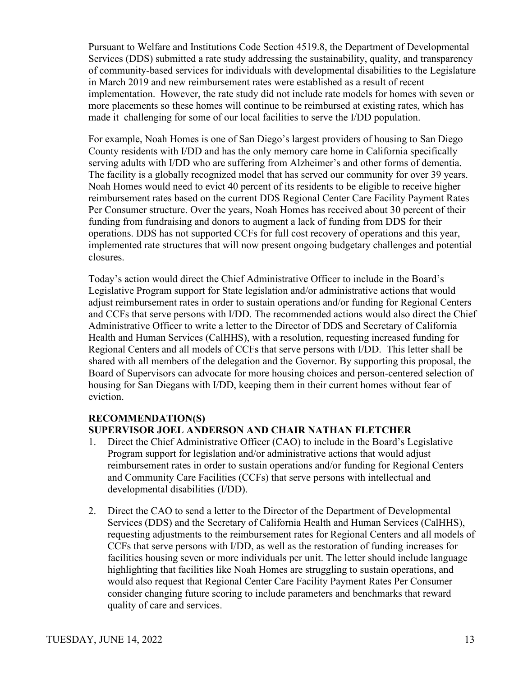Pursuant to Welfare and Institutions Code Section 4519.8, the Department of Developmental Services (DDS) submitted a rate study addressing the sustainability, quality, and transparency of community-based services for individuals with developmental disabilities to the Legislature in March 2019 and new reimbursement rates were established as a result of recent implementation. However, the rate study did not include rate models for homes with seven or more placements so these homes will continue to be reimbursed at existing rates, which has made it challenging for some of our local facilities to serve the I/DD population.

For example, Noah Homes is one of San Diego's largest providers of housing to San Diego County residents with I/DD and has the only memory care home in California specifically serving adults with I/DD who are suffering from Alzheimer's and other forms of dementia. The facility is a globally recognized model that has served our community for over 39 years. Noah Homes would need to evict 40 percent of its residents to be eligible to receive higher reimbursement rates based on the current DDS Regional Center Care Facility Payment Rates Per Consumer structure. Over the years, Noah Homes has received about 30 percent of their funding from fundraising and donors to augment a lack of funding from DDS for their operations. DDS has not supported CCFs for full cost recovery of operations and this year, implemented rate structures that will now present ongoing budgetary challenges and potential closures.

Today's action would direct the Chief Administrative Officer to include in the Board's Legislative Program support for State legislation and/or administrative actions that would adjust reimbursement rates in order to sustain operations and/or funding for Regional Centers and CCFs that serve persons with I/DD. The recommended actions would also direct the Chief Administrative Officer to write a letter to the Director of DDS and Secretary of California Health and Human Services (CalHHS), with a resolution, requesting increased funding for Regional Centers and all models of CCFs that serve persons with I/DD. This letter shall be shared with all members of the delegation and the Governor. By supporting this proposal, the Board of Supervisors can advocate for more housing choices and person-centered selection of housing for San Diegans with I/DD, keeping them in their current homes without fear of eviction.

## **RECOMMENDATION(S) SUPERVISOR JOEL ANDERSON AND CHAIR NATHAN FLETCHER**

- 1. Direct the Chief Administrative Officer (CAO) to include in the Board's Legislative Program support for legislation and/or administrative actions that would adjust reimbursement rates in order to sustain operations and/or funding for Regional Centers and Community Care Facilities (CCFs) that serve persons with intellectual and developmental disabilities (I/DD).
- 2. Direct the CAO to send a letter to the Director of the Department of Developmental Services (DDS) and the Secretary of California Health and Human Services (CalHHS), requesting adjustments to the reimbursement rates for Regional Centers and all models of CCFs that serve persons with I/DD, as well as the restoration of funding increases for facilities housing seven or more individuals per unit. The letter should include language highlighting that facilities like Noah Homes are struggling to sustain operations, and would also request that Regional Center Care Facility Payment Rates Per Consumer consider changing future scoring to include parameters and benchmarks that reward quality of care and services.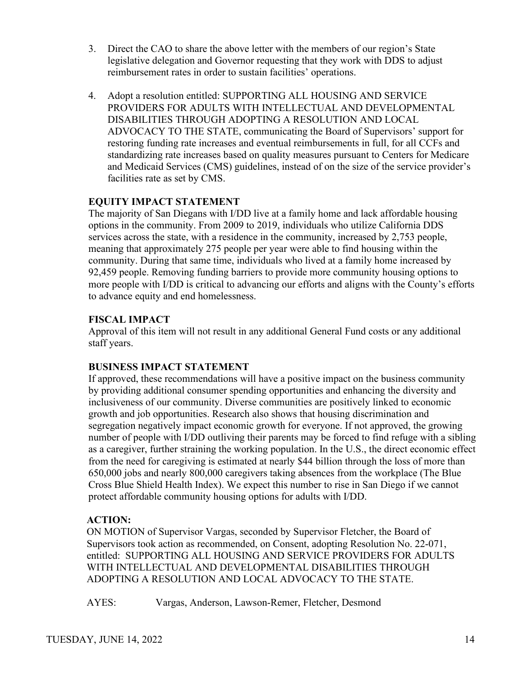- 3. Direct the CAO to share the above letter with the members of our region's State legislative delegation and Governor requesting that they work with DDS to adjust reimbursement rates in order to sustain facilities' operations.
- 4. Adopt a resolution entitled: SUPPORTING ALL HOUSING AND SERVICE PROVIDERS FOR ADULTS WITH INTELLECTUAL AND DEVELOPMENTAL DISABILITIES THROUGH ADOPTING A RESOLUTION AND LOCAL ADVOCACY TO THE STATE, communicating the Board of Supervisors' support for restoring funding rate increases and eventual reimbursements in full, for all CCFs and standardizing rate increases based on quality measures pursuant to Centers for Medicare and Medicaid Services (CMS) guidelines, instead of on the size of the service provider's facilities rate as set by CMS.

The majority of San Diegans with I/DD live at a family home and lack affordable housing options in the community. From 2009 to 2019, individuals who utilize California DDS services across the state, with a residence in the community, increased by 2,753 people, meaning that approximately 275 people per year were able to find housing within the community. During that same time, individuals who lived at a family home increased by 92,459 people. Removing funding barriers to provide more community housing options to more people with I/DD is critical to advancing our efforts and aligns with the County's efforts to advance equity and end homelessness.

## **FISCAL IMPACT**

Approval of this item will not result in any additional General Fund costs or any additional staff years.

## **BUSINESS IMPACT STATEMENT**

If approved, these recommendations will have a positive impact on the business community by providing additional consumer spending opportunities and enhancing the diversity and inclusiveness of our community. Diverse communities are positively linked to economic growth and job opportunities. Research also shows that housing discrimination and segregation negatively impact economic growth for everyone. If not approved, the growing number of people with I/DD outliving their parents may be forced to find refuge with a sibling as a caregiver, further straining the working population. In the U.S., the direct economic effect from the need for caregiving is estimated at nearly \$44 billion through the loss of more than 650,000 jobs and nearly 800,000 caregivers taking absences from the workplace (The Blue Cross Blue Shield Health Index). We expect this number to rise in San Diego if we cannot protect affordable community housing options for adults with I/DD.

## **ACTION:**

ON MOTION of Supervisor Vargas, seconded by Supervisor Fletcher, the Board of Supervisors took action as recommended, on Consent, adopting Resolution No. 22-071, entitled: SUPPORTING ALL HOUSING AND SERVICE PROVIDERS FOR ADULTS WITH INTELLECTUAL AND DEVELOPMENTAL DISABILITIES THROUGH ADOPTING A RESOLUTION AND LOCAL ADVOCACY TO THE STATE.

AYES: Vargas, Anderson, Lawson-Remer, Fletcher, Desmond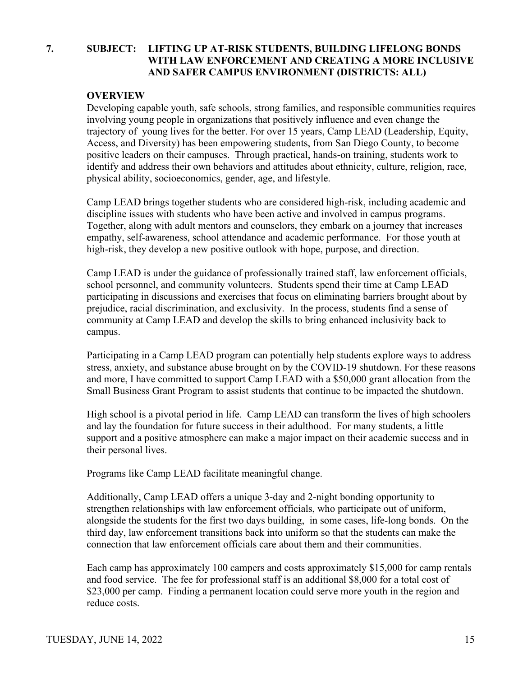## **7. SUBJECT: LIFTING UP AT-RISK STUDENTS, BUILDING LIFELONG BONDS WITH LAW ENFORCEMENT AND CREATING A MORE INCLUSIVE AND SAFER CAMPUS ENVIRONMENT (DISTRICTS: ALL)**

#### **OVERVIEW**

Developing capable youth, safe schools, strong families, and responsible communities requires involving young people in organizations that positively influence and even change the trajectory of young lives for the better. For over 15 years, Camp LEAD (Leadership, Equity, Access, and Diversity) has been empowering students, from San Diego County, to become positive leaders on their campuses. Through practical, hands-on training, students work to identify and address their own behaviors and attitudes about ethnicity, culture, religion, race, physical ability, socioeconomics, gender, age, and lifestyle.

Camp LEAD brings together students who are considered high-risk, including academic and discipline issues with students who have been active and involved in campus programs. Together, along with adult mentors and counselors, they embark on a journey that increases empathy, self-awareness, school attendance and academic performance. For those youth at high-risk, they develop a new positive outlook with hope, purpose, and direction.

Camp LEAD is under the guidance of professionally trained staff, law enforcement officials, school personnel, and community volunteers. Students spend their time at Camp LEAD participating in discussions and exercises that focus on eliminating barriers brought about by prejudice, racial discrimination, and exclusivity. In the process, students find a sense of community at Camp LEAD and develop the skills to bring enhanced inclusivity back to campus.

Participating in a Camp LEAD program can potentially help students explore ways to address stress, anxiety, and substance abuse brought on by the COVID-19 shutdown. For these reasons and more, I have committed to support Camp LEAD with a \$50,000 grant allocation from the Small Business Grant Program to assist students that continue to be impacted the shutdown.

High school is a pivotal period in life. Camp LEAD can transform the lives of high schoolers and lay the foundation for future success in their adulthood. For many students, a little support and a positive atmosphere can make a major impact on their academic success and in their personal lives.

Programs like Camp LEAD facilitate meaningful change.

Additionally, Camp LEAD offers a unique 3-day and 2-night bonding opportunity to strengthen relationships with law enforcement officials, who participate out of uniform, alongside the students for the first two days building, in some cases, life-long bonds. On the third day, law enforcement transitions back into uniform so that the students can make the connection that law enforcement officials care about them and their communities.

Each camp has approximately 100 campers and costs approximately \$15,000 for camp rentals and food service. The fee for professional staff is an additional \$8,000 for a total cost of \$23,000 per camp. Finding a permanent location could serve more youth in the region and reduce costs.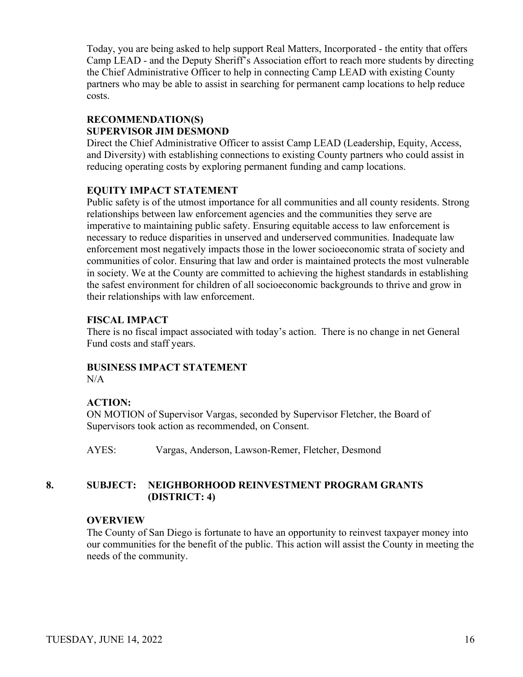Today, you are being asked to help support Real Matters, Incorporated - the entity that offers Camp LEAD - and the Deputy Sheriff's Association effort to reach more students by directing the Chief Administrative Officer to help in connecting Camp LEAD with existing County partners who may be able to assist in searching for permanent camp locations to help reduce costs.

## **RECOMMENDATION(S) SUPERVISOR JIM DESMOND**

Direct the Chief Administrative Officer to assist Camp LEAD (Leadership, Equity, Access, and Diversity) with establishing connections to existing County partners who could assist in reducing operating costs by exploring permanent funding and camp locations.

## **EQUITY IMPACT STATEMENT**

Public safety is of the utmost importance for all communities and all county residents. Strong relationships between law enforcement agencies and the communities they serve are imperative to maintaining public safety. Ensuring equitable access to law enforcement is necessary to reduce disparities in unserved and underserved communities. Inadequate law enforcement most negatively impacts those in the lower socioeconomic strata of society and communities of color. Ensuring that law and order is maintained protects the most vulnerable in society. We at the County are committed to achieving the highest standards in establishing the safest environment for children of all socioeconomic backgrounds to thrive and grow in their relationships with law enforcement.

## **FISCAL IMPACT**

There is no fiscal impact associated with today's action. There is no change in net General Fund costs and staff years.

#### **BUSINESS IMPACT STATEMENT** N/A

## **ACTION:**

ON MOTION of Supervisor Vargas, seconded by Supervisor Fletcher, the Board of Supervisors took action as recommended, on Consent.

AYES: Vargas, Anderson, Lawson-Remer, Fletcher, Desmond

## **8. SUBJECT: NEIGHBORHOOD REINVESTMENT PROGRAM GRANTS (DISTRICT: 4)**

## **OVERVIEW**

The County of San Diego is fortunate to have an opportunity to reinvest taxpayer money into our communities for the benefit of the public. This action will assist the County in meeting the needs of the community.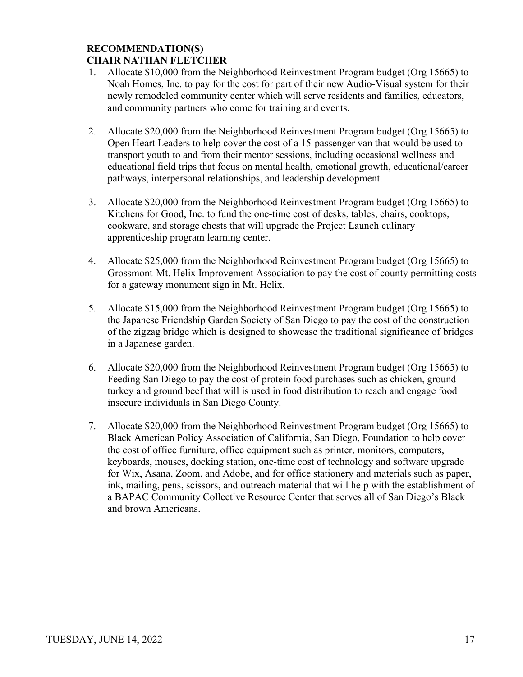#### **RECOMMENDATION(S) CHAIR NATHAN FLETCHER**

## 1. Allocate \$10,000 from the Neighborhood Reinvestment Program budget (Org 15665) to Noah Homes, Inc. to pay for the cost for part of their new Audio-Visual system for their newly remodeled community center which will serve residents and families, educators, and community partners who come for training and events.

- 2. Allocate \$20,000 from the Neighborhood Reinvestment Program budget (Org 15665) to Open Heart Leaders to help cover the cost of a 15-passenger van that would be used to transport youth to and from their mentor sessions, including occasional wellness and educational field trips that focus on mental health, emotional growth, educational/career pathways, interpersonal relationships, and leadership development.
- 3. Allocate \$20,000 from the Neighborhood Reinvestment Program budget (Org 15665) to Kitchens for Good, Inc. to fund the one-time cost of desks, tables, chairs, cooktops, cookware, and storage chests that will upgrade the Project Launch culinary apprenticeship program learning center.
- 4. Allocate \$25,000 from the Neighborhood Reinvestment Program budget (Org 15665) to Grossmont-Mt. Helix Improvement Association to pay the cost of county permitting costs for a gateway monument sign in Mt. Helix.
- 5. Allocate \$15,000 from the Neighborhood Reinvestment Program budget (Org 15665) to the Japanese Friendship Garden Society of San Diego to pay the cost of the construction of the zigzag bridge which is designed to showcase the traditional significance of bridges in a Japanese garden.
- 6. Allocate \$20,000 from the Neighborhood Reinvestment Program budget (Org 15665) to Feeding San Diego to pay the cost of protein food purchases such as chicken, ground turkey and ground beef that will is used in food distribution to reach and engage food insecure individuals in San Diego County.
- 7. Allocate \$20,000 from the Neighborhood Reinvestment Program budget (Org 15665) to Black American Policy Association of California, San Diego, Foundation to help cover the cost of office furniture, office equipment such as printer, monitors, computers, keyboards, mouses, docking station, one-time cost of technology and software upgrade for Wix, Asana, Zoom, and Adobe, and for office stationery and materials such as paper, ink, mailing, pens, scissors, and outreach material that will help with the establishment of a BAPAC Community Collective Resource Center that serves all of San Diego's Black and brown Americans.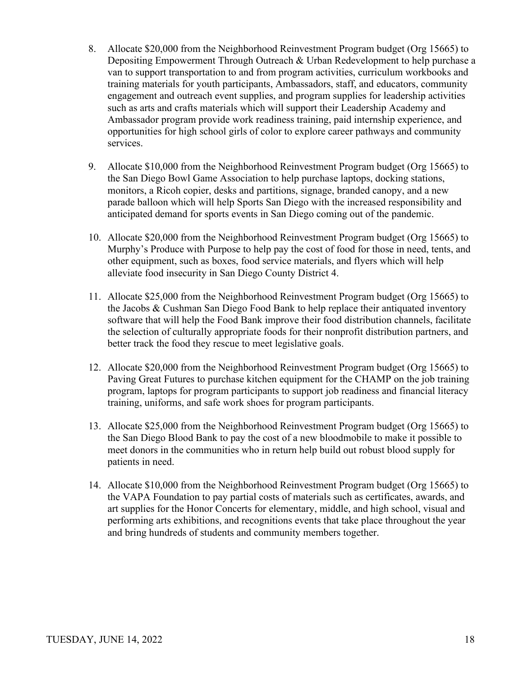- 8. Allocate \$20,000 from the Neighborhood Reinvestment Program budget (Org 15665) to Depositing Empowerment Through Outreach & Urban Redevelopment to help purchase a van to support transportation to and from program activities, curriculum workbooks and training materials for youth participants, Ambassadors, staff, and educators, community engagement and outreach event supplies, and program supplies for leadership activities such as arts and crafts materials which will support their Leadership Academy and Ambassador program provide work readiness training, paid internship experience, and opportunities for high school girls of color to explore career pathways and community services.
- 9. Allocate \$10,000 from the Neighborhood Reinvestment Program budget (Org 15665) to the San Diego Bowl Game Association to help purchase laptops, docking stations, monitors, a Ricoh copier, desks and partitions, signage, branded canopy, and a new parade balloon which will help Sports San Diego with the increased responsibility and anticipated demand for sports events in San Diego coming out of the pandemic.
- 10. Allocate \$20,000 from the Neighborhood Reinvestment Program budget (Org 15665) to Murphy's Produce with Purpose to help pay the cost of food for those in need, tents, and other equipment, such as boxes, food service materials, and flyers which will help alleviate food insecurity in San Diego County District 4.
- 11. Allocate \$25,000 from the Neighborhood Reinvestment Program budget (Org 15665) to the Jacobs & Cushman San Diego Food Bank to help replace their antiquated inventory software that will help the Food Bank improve their food distribution channels, facilitate the selection of culturally appropriate foods for their nonprofit distribution partners, and better track the food they rescue to meet legislative goals.
- 12. Allocate \$20,000 from the Neighborhood Reinvestment Program budget (Org 15665) to Paving Great Futures to purchase kitchen equipment for the CHAMP on the job training program, laptops for program participants to support job readiness and financial literacy training, uniforms, and safe work shoes for program participants.
- 13. Allocate \$25,000 from the Neighborhood Reinvestment Program budget (Org 15665) to the San Diego Blood Bank to pay the cost of a new bloodmobile to make it possible to meet donors in the communities who in return help build out robust blood supply for patients in need.
- 14. Allocate \$10,000 from the Neighborhood Reinvestment Program budget (Org 15665) to the VAPA Foundation to pay partial costs of materials such as certificates, awards, and art supplies for the Honor Concerts for elementary, middle, and high school, visual and performing arts exhibitions, and recognitions events that take place throughout the year and bring hundreds of students and community members together.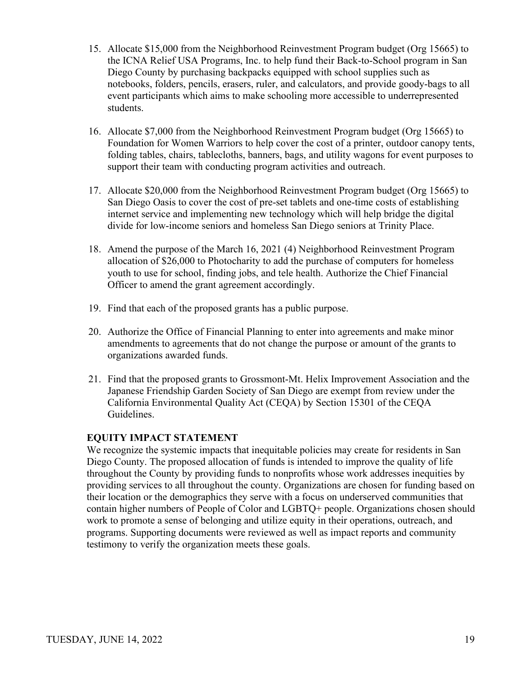- 15. Allocate \$15,000 from the Neighborhood Reinvestment Program budget (Org 15665) to the ICNA Relief USA Programs, Inc. to help fund their Back-to-School program in San Diego County by purchasing backpacks equipped with school supplies such as notebooks, folders, pencils, erasers, ruler, and calculators, and provide goody-bags to all event participants which aims to make schooling more accessible to underrepresented students.
- 16. Allocate \$7,000 from the Neighborhood Reinvestment Program budget (Org 15665) to Foundation for Women Warriors to help cover the cost of a printer, outdoor canopy tents, folding tables, chairs, tablecloths, banners, bags, and utility wagons for event purposes to support their team with conducting program activities and outreach.
- 17. Allocate \$20,000 from the Neighborhood Reinvestment Program budget (Org 15665) to San Diego Oasis to cover the cost of pre-set tablets and one-time costs of establishing internet service and implementing new technology which will help bridge the digital divide for low-income seniors and homeless San Diego seniors at Trinity Place.
- 18. Amend the purpose of the March 16, 2021 (4) Neighborhood Reinvestment Program allocation of \$26,000 to Photocharity to add the purchase of computers for homeless youth to use for school, finding jobs, and tele health. Authorize the Chief Financial Officer to amend the grant agreement accordingly.
- 19. Find that each of the proposed grants has a public purpose.
- 20. Authorize the Office of Financial Planning to enter into agreements and make minor amendments to agreements that do not change the purpose or amount of the grants to organizations awarded funds.
- 21. Find that the proposed grants to Grossmont-Mt. Helix Improvement Association and the Japanese Friendship Garden Society of San Diego are exempt from review under the California Environmental Quality Act (CEQA) by Section 15301 of the CEQA Guidelines.

We recognize the systemic impacts that inequitable policies may create for residents in San Diego County. The proposed allocation of funds is intended to improve the quality of life throughout the County by providing funds to nonprofits whose work addresses inequities by providing services to all throughout the county. Organizations are chosen for funding based on their location or the demographics they serve with a focus on underserved communities that contain higher numbers of People of Color and LGBTQ+ people. Organizations chosen should work to promote a sense of belonging and utilize equity in their operations, outreach, and programs. Supporting documents were reviewed as well as impact reports and community testimony to verify the organization meets these goals.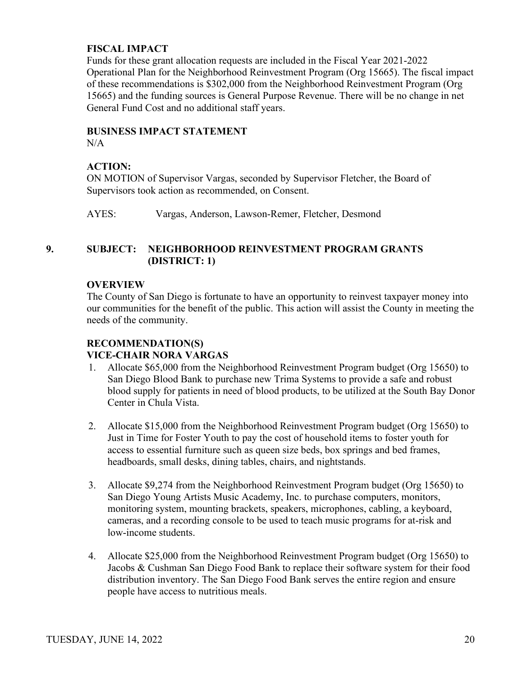#### **FISCAL IMPACT**

Funds for these grant allocation requests are included in the Fiscal Year 2021-2022 Operational Plan for the Neighborhood Reinvestment Program (Org 15665). The fiscal impact of these recommendations is \$302,000 from the Neighborhood Reinvestment Program (Org 15665) and the funding sources is General Purpose Revenue. There will be no change in net General Fund Cost and no additional staff years.

## **BUSINESS IMPACT STATEMENT**

 $N/A$ 

## **ACTION:**

ON MOTION of Supervisor Vargas, seconded by Supervisor Fletcher, the Board of Supervisors took action as recommended, on Consent.

AYES: Vargas, Anderson, Lawson-Remer, Fletcher, Desmond

## **9. SUBJECT: NEIGHBORHOOD REINVESTMENT PROGRAM GRANTS (DISTRICT: 1)**

## **OVERVIEW**

The County of San Diego is fortunate to have an opportunity to reinvest taxpayer money into our communities for the benefit of the public. This action will assist the County in meeting the needs of the community.

## **RECOMMENDATION(S) VICE-CHAIR NORA VARGAS**

- 1. Allocate \$65,000 from the Neighborhood Reinvestment Program budget (Org 15650) to San Diego Blood Bank to purchase new Trima Systems to provide a safe and robust blood supply for patients in need of blood products, to be utilized at the South Bay Donor Center in Chula Vista.
- 2. Allocate \$15,000 from the Neighborhood Reinvestment Program budget (Org 15650) to Just in Time for Foster Youth to pay the cost of household items to foster youth for access to essential furniture such as queen size beds, box springs and bed frames, headboards, small desks, dining tables, chairs, and nightstands.
- 3. Allocate \$9,274 from the Neighborhood Reinvestment Program budget (Org 15650) to San Diego Young Artists Music Academy, Inc. to purchase computers, monitors, monitoring system, mounting brackets, speakers, microphones, cabling, a keyboard, cameras, and a recording console to be used to teach music programs for at-risk and low-income students.
- 4. Allocate \$25,000 from the Neighborhood Reinvestment Program budget (Org 15650) to Jacobs & Cushman San Diego Food Bank to replace their software system for their food distribution inventory. The San Diego Food Bank serves the entire region and ensure people have access to nutritious meals.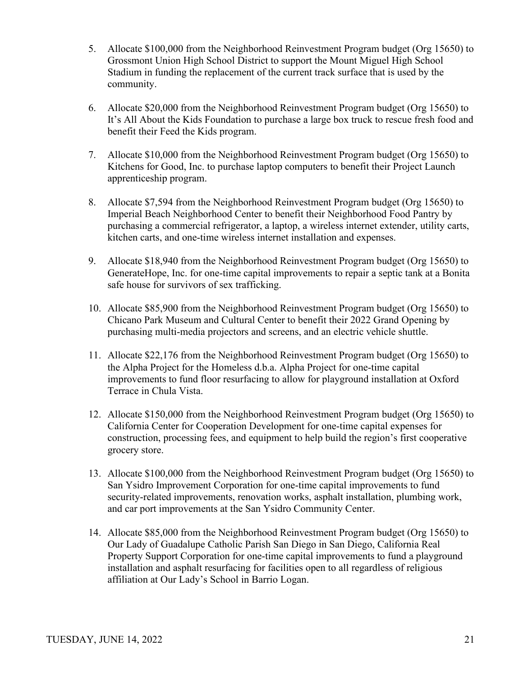- 5. Allocate \$100,000 from the Neighborhood Reinvestment Program budget (Org 15650) to Grossmont Union High School District to support the Mount Miguel High School Stadium in funding the replacement of the current track surface that is used by the community.
- 6. Allocate \$20,000 from the Neighborhood Reinvestment Program budget (Org 15650) to It's All About the Kids Foundation to purchase a large box truck to rescue fresh food and benefit their Feed the Kids program.
- 7. Allocate \$10,000 from the Neighborhood Reinvestment Program budget (Org 15650) to Kitchens for Good, Inc. to purchase laptop computers to benefit their Project Launch apprenticeship program.
- 8. Allocate \$7,594 from the Neighborhood Reinvestment Program budget (Org 15650) to Imperial Beach Neighborhood Center to benefit their Neighborhood Food Pantry by purchasing a commercial refrigerator, a laptop, a wireless internet extender, utility carts, kitchen carts, and one-time wireless internet installation and expenses.
- 9. Allocate \$18,940 from the Neighborhood Reinvestment Program budget (Org 15650) to GenerateHope, Inc. for one-time capital improvements to repair a septic tank at a Bonita safe house for survivors of sex trafficking.
- 10. Allocate \$85,900 from the Neighborhood Reinvestment Program budget (Org 15650) to Chicano Park Museum and Cultural Center to benefit their 2022 Grand Opening by purchasing multi-media projectors and screens, and an electric vehicle shuttle.
- 11. Allocate \$22,176 from the Neighborhood Reinvestment Program budget (Org 15650) to the Alpha Project for the Homeless d.b.a. Alpha Project for one-time capital improvements to fund floor resurfacing to allow for playground installation at Oxford Terrace in Chula Vista.
- 12. Allocate \$150,000 from the Neighborhood Reinvestment Program budget (Org 15650) to California Center for Cooperation Development for one-time capital expenses for construction, processing fees, and equipment to help build the region's first cooperative grocery store.
- 13. Allocate \$100,000 from the Neighborhood Reinvestment Program budget (Org 15650) to San Ysidro Improvement Corporation for one-time capital improvements to fund security-related improvements, renovation works, asphalt installation, plumbing work, and car port improvements at the San Ysidro Community Center.
- 14. Allocate \$85,000 from the Neighborhood Reinvestment Program budget (Org 15650) to Our Lady of Guadalupe Catholic Parish San Diego in San Diego, California Real Property Support Corporation for one-time capital improvements to fund a playground installation and asphalt resurfacing for facilities open to all regardless of religious affiliation at Our Lady's School in Barrio Logan.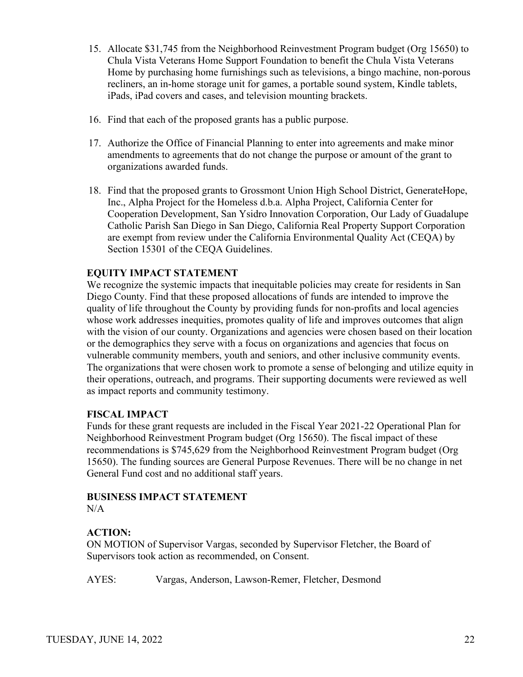- 15. Allocate \$31,745 from the Neighborhood Reinvestment Program budget (Org 15650) to Chula Vista Veterans Home Support Foundation to benefit the Chula Vista Veterans Home by purchasing home furnishings such as televisions, a bingo machine, non-porous recliners, an in-home storage unit for games, a portable sound system, Kindle tablets, iPads, iPad covers and cases, and television mounting brackets.
- 16. Find that each of the proposed grants has a public purpose.
- 17. Authorize the Office of Financial Planning to enter into agreements and make minor amendments to agreements that do not change the purpose or amount of the grant to organizations awarded funds.
- 18. Find that the proposed grants to Grossmont Union High School District, GenerateHope, Inc., Alpha Project for the Homeless d.b.a. Alpha Project, California Center for Cooperation Development, San Ysidro Innovation Corporation, Our Lady of Guadalupe Catholic Parish San Diego in San Diego, California Real Property Support Corporation are exempt from review under the California Environmental Quality Act (CEQA) by Section 15301 of the CEQA Guidelines.

We recognize the systemic impacts that inequitable policies may create for residents in San Diego County. Find that these proposed allocations of funds are intended to improve the quality of life throughout the County by providing funds for non-profits and local agencies whose work addresses inequities, promotes quality of life and improves outcomes that align with the vision of our county. Organizations and agencies were chosen based on their location or the demographics they serve with a focus on organizations and agencies that focus on vulnerable community members, youth and seniors, and other inclusive community events. The organizations that were chosen work to promote a sense of belonging and utilize equity in their operations, outreach, and programs. Their supporting documents were reviewed as well as impact reports and community testimony.

#### **FISCAL IMPACT**

Funds for these grant requests are included in the Fiscal Year 2021-22 Operational Plan for Neighborhood Reinvestment Program budget (Org 15650). The fiscal impact of these recommendations is \$745,629 from the Neighborhood Reinvestment Program budget (Org 15650). The funding sources are General Purpose Revenues. There will be no change in net General Fund cost and no additional staff years.

# **BUSINESS IMPACT STATEMENT**

 $N/A$ 

## **ACTION:**

ON MOTION of Supervisor Vargas, seconded by Supervisor Fletcher, the Board of Supervisors took action as recommended, on Consent.

AYES: Vargas, Anderson, Lawson-Remer, Fletcher, Desmond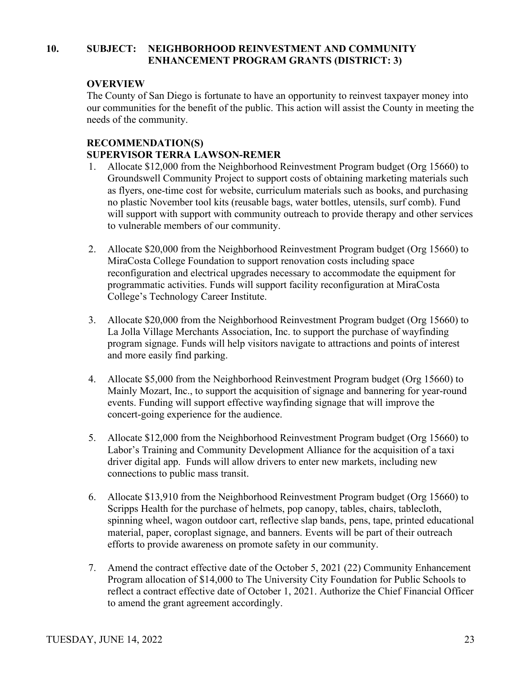## **10. SUBJECT: NEIGHBORHOOD REINVESTMENT AND COMMUNITY ENHANCEMENT PROGRAM GRANTS (DISTRICT: 3)**

## **OVERVIEW**

The County of San Diego is fortunate to have an opportunity to reinvest taxpayer money into our communities for the benefit of the public. This action will assist the County in meeting the needs of the community.

#### **RECOMMENDATION(S) SUPERVISOR TERRA LAWSON-REMER**

- 1. Allocate \$12,000 from the Neighborhood Reinvestment Program budget (Org 15660) to Groundswell Community Project to support costs of obtaining marketing materials such as flyers, one-time cost for website, curriculum materials such as books, and purchasing no plastic November tool kits (reusable bags, water bottles, utensils, surf comb). Fund will support with support with community outreach to provide therapy and other services to vulnerable members of our community.
- 2. Allocate \$20,000 from the Neighborhood Reinvestment Program budget (Org 15660) to MiraCosta College Foundation to support renovation costs including space reconfiguration and electrical upgrades necessary to accommodate the equipment for programmatic activities. Funds will support facility reconfiguration at MiraCosta College's Technology Career Institute.
- 3. Allocate \$20,000 from the Neighborhood Reinvestment Program budget (Org 15660) to La Jolla Village Merchants Association, Inc. to support the purchase of wayfinding program signage. Funds will help visitors navigate to attractions and points of interest and more easily find parking.
- 4. Allocate \$5,000 from the Neighborhood Reinvestment Program budget (Org 15660) to Mainly Mozart, Inc., to support the acquisition of signage and bannering for year-round events. Funding will support effective wayfinding signage that will improve the concert-going experience for the audience.
- 5. Allocate \$12,000 from the Neighborhood Reinvestment Program budget (Org 15660) to Labor's Training and Community Development Alliance for the acquisition of a taxi driver digital app. Funds will allow drivers to enter new markets, including new connections to public mass transit.
- 6. Allocate \$13,910 from the Neighborhood Reinvestment Program budget (Org 15660) to Scripps Health for the purchase of helmets, pop canopy, tables, chairs, tablecloth, spinning wheel, wagon outdoor cart, reflective slap bands, pens, tape, printed educational material, paper, coroplast signage, and banners. Events will be part of their outreach efforts to provide awareness on promote safety in our community.
- 7. Amend the contract effective date of the October 5, 2021 (22) Community Enhancement Program allocation of \$14,000 to The University City Foundation for Public Schools to reflect a contract effective date of October 1, 2021. Authorize the Chief Financial Officer to amend the grant agreement accordingly.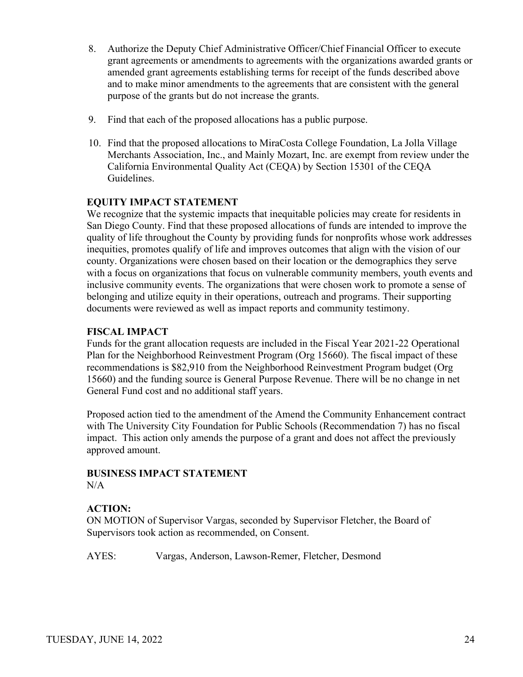- 8. Authorize the Deputy Chief Administrative Officer/Chief Financial Officer to execute grant agreements or amendments to agreements with the organizations awarded grants or amended grant agreements establishing terms for receipt of the funds described above and to make minor amendments to the agreements that are consistent with the general purpose of the grants but do not increase the grants.
- 9. Find that each of the proposed allocations has a public purpose.
- 10. Find that the proposed allocations to MiraCosta College Foundation, La Jolla Village Merchants Association, Inc., and Mainly Mozart, Inc. are exempt from review under the California Environmental Quality Act (CEQA) by Section 15301 of the CEQA Guidelines.

We recognize that the systemic impacts that inequitable policies may create for residents in San Diego County. Find that these proposed allocations of funds are intended to improve the quality of life throughout the County by providing funds for nonprofits whose work addresses inequities, promotes qualify of life and improves outcomes that align with the vision of our county. Organizations were chosen based on their location or the demographics they serve with a focus on organizations that focus on vulnerable community members, youth events and inclusive community events. The organizations that were chosen work to promote a sense of belonging and utilize equity in their operations, outreach and programs. Their supporting documents were reviewed as well as impact reports and community testimony.

## **FISCAL IMPACT**

Funds for the grant allocation requests are included in the Fiscal Year 2021-22 Operational Plan for the Neighborhood Reinvestment Program (Org 15660). The fiscal impact of these recommendations is \$82,910 from the Neighborhood Reinvestment Program budget (Org 15660) and the funding source is General Purpose Revenue. There will be no change in net General Fund cost and no additional staff years.

Proposed action tied to the amendment of the Amend the Community Enhancement contract with The University City Foundation for Public Schools (Recommendation 7) has no fiscal impact. This action only amends the purpose of a grant and does not affect the previously approved amount.

#### **BUSINESS IMPACT STATEMENT**  $N/A$

#### **ACTION:**

ON MOTION of Supervisor Vargas, seconded by Supervisor Fletcher, the Board of Supervisors took action as recommended, on Consent.

AYES: Vargas, Anderson, Lawson-Remer, Fletcher, Desmond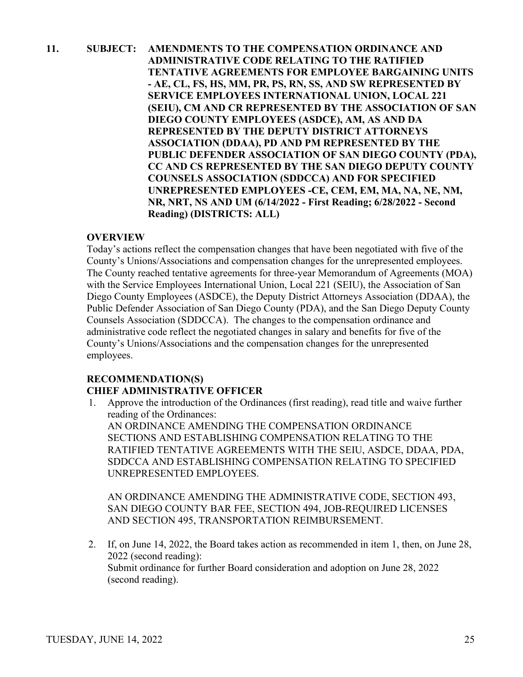## **11. SUBJECT: AMENDMENTS TO THE COMPENSATION ORDINANCE AND ADMINISTRATIVE CODE RELATING TO THE RATIFIED TENTATIVE AGREEMENTS FOR EMPLOYEE BARGAINING UNITS - AE, CL, FS, HS, MM, PR, PS, RN, SS, AND SW REPRESENTED BY SERVICE EMPLOYEES INTERNATIONAL UNION, LOCAL 221 (SEIU), CM AND CR REPRESENTED BY THE ASSOCIATION OF SAN DIEGO COUNTY EMPLOYEES (ASDCE), AM, AS AND DA REPRESENTED BY THE DEPUTY DISTRICT ATTORNEYS ASSOCIATION (DDAA), PD AND PM REPRESENTED BY THE PUBLIC DEFENDER ASSOCIATION OF SAN DIEGO COUNTY (PDA), CC AND CS REPRESENTED BY THE SAN DIEGO DEPUTY COUNTY COUNSELS ASSOCIATION (SDDCCA) AND FOR SPECIFIED UNREPRESENTED EMPLOYEES -CE, CEM, EM, MA, NA, NE, NM, NR, NRT, NS AND UM (6/14/2022 - First Reading; 6/28/2022 - Second Reading) (DISTRICTS: ALL)**

## **OVERVIEW**

Today's actions reflect the compensation changes that have been negotiated with five of the County's Unions/Associations and compensation changes for the unrepresented employees. The County reached tentative agreements for three-year Memorandum of Agreements (MOA) with the Service Employees International Union, Local 221 (SEIU), the Association of San Diego County Employees (ASDCE), the Deputy District Attorneys Association (DDAA), the Public Defender Association of San Diego County (PDA), and the San Diego Deputy County Counsels Association (SDDCCA). The changes to the compensation ordinance and administrative code reflect the negotiated changes in salary and benefits for five of the County's Unions/Associations and the compensation changes for the unrepresented employees.

## **RECOMMENDATION(S) CHIEF ADMINISTRATIVE OFFICER**

1. Approve the introduction of the Ordinances (first reading), read title and waive further reading of the Ordinances: AN ORDINANCE AMENDING THE COMPENSATION ORDINANCE SECTIONS AND ESTABLISHING COMPENSATION RELATING TO THE RATIFIED TENTATIVE AGREEMENTS WITH THE SEIU, ASDCE, DDAA, PDA, SDDCCA AND ESTABLISHING COMPENSATION RELATING TO SPECIFIED UNREPRESENTED EMPLOYEES.

AN ORDINANCE AMENDING THE ADMINISTRATIVE CODE, SECTION 493, SAN DIEGO COUNTY BAR FEE, SECTION 494, JOB-REQUIRED LICENSES AND SECTION 495, TRANSPORTATION REIMBURSEMENT.

2. If, on June 14, 2022, the Board takes action as recommended in item 1, then, on June 28, 2022 (second reading): Submit ordinance for further Board consideration and adoption on June 28, 2022 (second reading).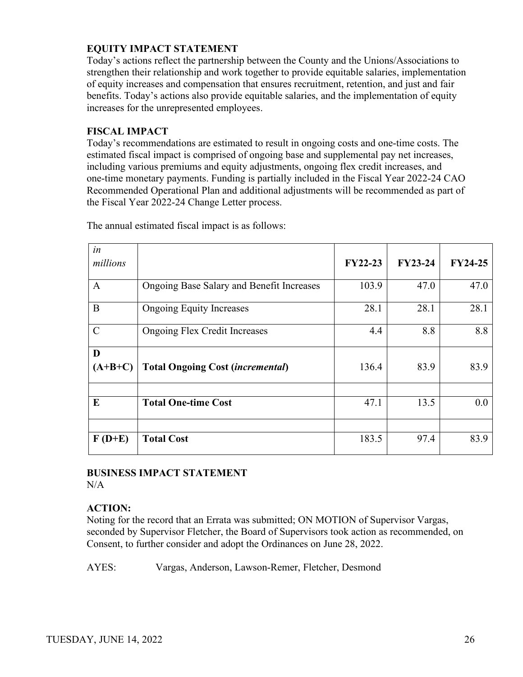Today's actions reflect the partnership between the County and the Unions/Associations to strengthen their relationship and work together to provide equitable salaries, implementation of equity increases and compensation that ensures recruitment, retention, and just and fair benefits. Today's actions also provide equitable salaries, and the implementation of equity increases for the unrepresented employees.

#### **FISCAL IMPACT**

Today's recommendations are estimated to result in ongoing costs and one-time costs. The estimated fiscal impact is comprised of ongoing base and supplemental pay net increases, including various premiums and equity adjustments, ongoing flex credit increases, and one-time monetary payments. Funding is partially included in the Fiscal Year 2022-24 CAO Recommended Operational Plan and additional adjustments will be recommended as part of the Fiscal Year 2022-24 Change Letter process.

| in<br>millions |                                           | <b>FY22-23</b> | <b>FY23-24</b> | <b>FY24-25</b> |
|----------------|-------------------------------------------|----------------|----------------|----------------|
| $\mathbf{A}$   | Ongoing Base Salary and Benefit Increases | 103.9          | 47.0           | 47.0           |
| B              | <b>Ongoing Equity Increases</b>           | 28.1           | 28.1           | 28.1           |
| $\mathcal{C}$  | <b>Ongoing Flex Credit Increases</b>      | 4.4            | 8.8            | 8.8            |
| D<br>$(A+B+C)$ | <b>Total Ongoing Cost (incremental)</b>   | 136.4          | 83.9           | 83.9           |
| E              | <b>Total One-time Cost</b>                | 47.1           | 13.5           | 0.0            |
| $F(D+E)$       | <b>Total Cost</b>                         | 183.5          | 97.4           | 83.9           |

The annual estimated fiscal impact is as follows:

#### **BUSINESS IMPACT STATEMENT** N/A

#### **ACTION:**

Noting for the record that an Errata was submitted; ON MOTION of Supervisor Vargas, seconded by Supervisor Fletcher, the Board of Supervisors took action as recommended, on Consent, to further consider and adopt the Ordinances on June 28, 2022.

AYES: Vargas, Anderson, Lawson-Remer, Fletcher, Desmond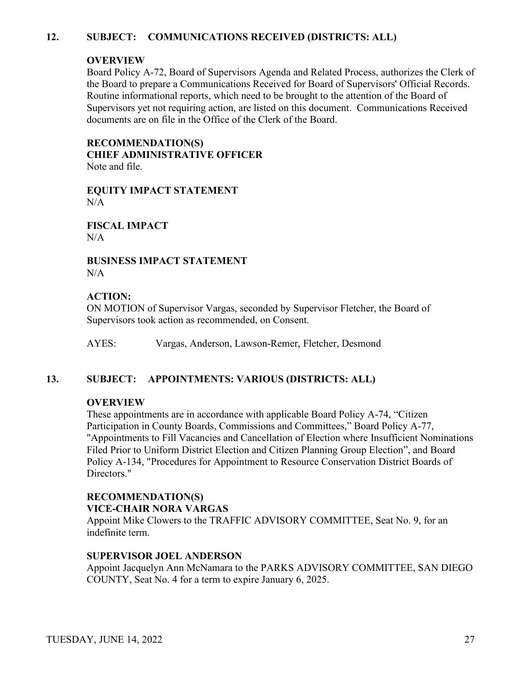## **12. SUBJECT: COMMUNICATIONS RECEIVED (DISTRICTS: ALL)**

#### **OVERVIEW**

Board Policy A-72, Board of Supervisors Agenda and Related Process, authorizes the Clerk of the Board to prepare a Communications Received for Board of Supervisors' Official Records. Routine informational reports, which need to be brought to the attention of the Board of Supervisors yet not requiring action, are listed on this document. Communications Received documents are on file in the Office of the Clerk of the Board.

**RECOMMENDATION(S) CHIEF ADMINISTRATIVE OFFICER** Note and file.

**EQUITY IMPACT STATEMENT**  $N/A$ 

**FISCAL IMPACT**  $N/A$ 

**BUSINESS IMPACT STATEMENT** N/A

## **ACTION:**

ON MOTION of Supervisor Vargas, seconded by Supervisor Fletcher, the Board of Supervisors took action as recommended, on Consent.

AYES: Vargas, Anderson, Lawson-Remer, Fletcher, Desmond

#### **13. SUBJECT: APPOINTMENTS: VARIOUS (DISTRICTS: ALL)**

#### **OVERVIEW**

These appointments are in accordance with applicable Board Policy A-74, "Citizen Participation in County Boards, Commissions and Committees," Board Policy A-77, "Appointments to Fill Vacancies and Cancellation of Election where Insufficient Nominations Filed Prior to Uniform District Election and Citizen Planning Group Election", and Board Policy A-134, "Procedures for Appointment to Resource Conservation District Boards of Directors."

#### **RECOMMENDATION(S) VICE-CHAIR NORA VARGAS**

Appoint Mike Clowers to the TRAFFIC ADVISORY COMMITTEE, Seat No. 9, for an indefinite term.

#### **SUPERVISOR JOEL ANDERSON**

Appoint Jacquelyn Ann McNamara to the PARKS ADVISORY COMMITTEE, SAN DIEGO COUNTY, Seat No. 4 for a term to expire January 6, 2025.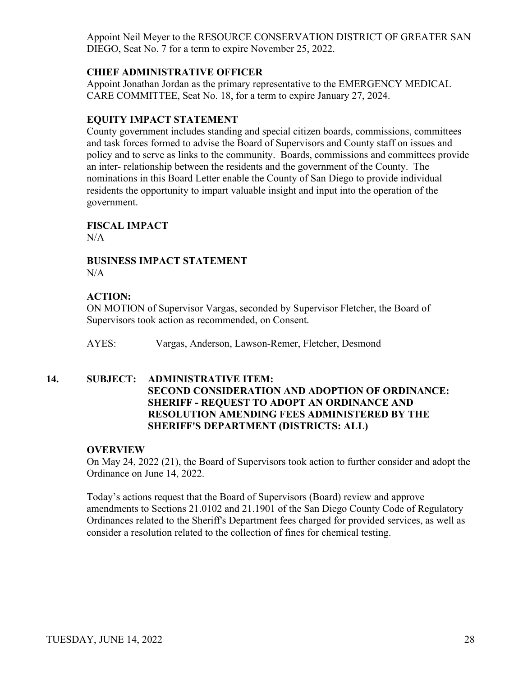Appoint Neil Meyer to the RESOURCE CONSERVATION DISTRICT OF GREATER SAN DIEGO, Seat No. 7 for a term to expire November 25, 2022.

#### **CHIEF ADMINISTRATIVE OFFICER**

Appoint Jonathan Jordan as the primary representative to the EMERGENCY MEDICAL CARE COMMITTEE, Seat No. 18, for a term to expire January 27, 2024.

## **EQUITY IMPACT STATEMENT**

County government includes standing and special citizen boards, commissions, committees and task forces formed to advise the Board of Supervisors and County staff on issues and policy and to serve as links to the community. Boards, commissions and committees provide an inter- relationship between the residents and the government of the County. The nominations in this Board Letter enable the County of San Diego to provide individual residents the opportunity to impart valuable insight and input into the operation of the government.

**FISCAL IMPACT**

 $N/A$ 

#### **BUSINESS IMPACT STATEMENT**  $N/A$

## **ACTION:**

ON MOTION of Supervisor Vargas, seconded by Supervisor Fletcher, the Board of Supervisors took action as recommended, on Consent.

AYES: Vargas, Anderson, Lawson-Remer, Fletcher, Desmond

#### **14. SUBJECT: ADMINISTRATIVE ITEM:**

## **SECOND CONSIDERATION AND ADOPTION OF ORDINANCE: SHERIFF - REQUEST TO ADOPT AN ORDINANCE AND RESOLUTION AMENDING FEES ADMINISTERED BY THE SHERIFF'S DEPARTMENT (DISTRICTS: ALL)**

#### **OVERVIEW**

On May 24, 2022 (21), the Board of Supervisors took action to further consider and adopt the Ordinance on June 14, 2022.

Today's actions request that the Board of Supervisors (Board) review and approve amendments to Sections 21.0102 and 21.1901 of the San Diego County Code of Regulatory Ordinances related to the Sheriff's Department fees charged for provided services, as well as consider a resolution related to the collection of fines for chemical testing.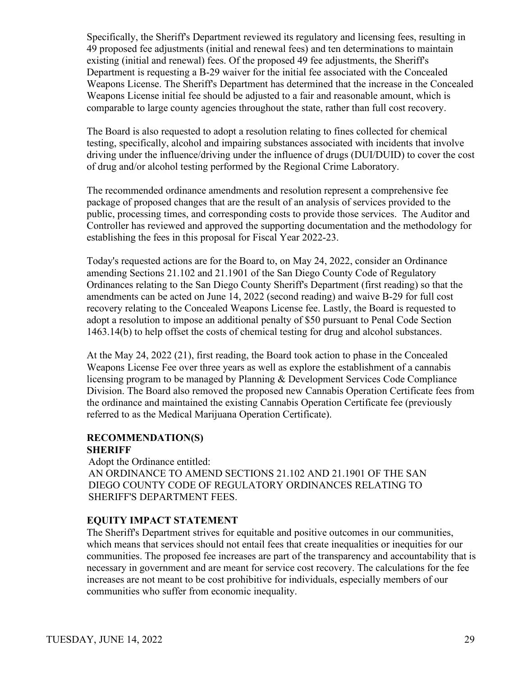Specifically, the Sheriff's Department reviewed its regulatory and licensing fees, resulting in 49 proposed fee adjustments (initial and renewal fees) and ten determinations to maintain existing (initial and renewal) fees. Of the proposed 49 fee adjustments, the Sheriff's Department is requesting a B-29 waiver for the initial fee associated with the Concealed Weapons License. The Sheriff's Department has determined that the increase in the Concealed Weapons License initial fee should be adjusted to a fair and reasonable amount, which is comparable to large county agencies throughout the state, rather than full cost recovery.

The Board is also requested to adopt a resolution relating to fines collected for chemical testing, specifically, alcohol and impairing substances associated with incidents that involve driving under the influence/driving under the influence of drugs (DUI/DUID) to cover the cost of drug and/or alcohol testing performed by the Regional Crime Laboratory.

The recommended ordinance amendments and resolution represent a comprehensive fee package of proposed changes that are the result of an analysis of services provided to the public, processing times, and corresponding costs to provide those services. The Auditor and Controller has reviewed and approved the supporting documentation and the methodology for establishing the fees in this proposal for Fiscal Year 2022-23.

Today's requested actions are for the Board to, on May 24, 2022, consider an Ordinance amending Sections 21.102 and 21.1901 of the San Diego County Code of Regulatory Ordinances relating to the San Diego County Sheriff's Department (first reading) so that the amendments can be acted on June 14, 2022 (second reading) and waive B-29 for full cost recovery relating to the Concealed Weapons License fee. Lastly, the Board is requested to adopt a resolution to impose an additional penalty of \$50 pursuant to Penal Code Section 1463.14(b) to help offset the costs of chemical testing for drug and alcohol substances.

At the May 24, 2022 (21), first reading, the Board took action to phase in the Concealed Weapons License Fee over three years as well as explore the establishment of a cannabis licensing program to be managed by Planning & Development Services Code Compliance Division. The Board also removed the proposed new Cannabis Operation Certificate fees from the ordinance and maintained the existing Cannabis Operation Certificate fee (previously referred to as the Medical Marijuana Operation Certificate).

## **RECOMMENDATION(S)**

#### **SHERIFF**

Adopt the Ordinance entitled:

AN ORDINANCE TO AMEND SECTIONS 21.102 AND 21.1901 OF THE SAN DIEGO COUNTY CODE OF REGULATORY ORDINANCES RELATING TO SHERIFF'S DEPARTMENT FEES.

## **EQUITY IMPACT STATEMENT**

The Sheriff's Department strives for equitable and positive outcomes in our communities, which means that services should not entail fees that create inequalities or inequities for our communities. The proposed fee increases are part of the transparency and accountability that is necessary in government and are meant for service cost recovery. The calculations for the fee increases are not meant to be cost prohibitive for individuals, especially members of our communities who suffer from economic inequality.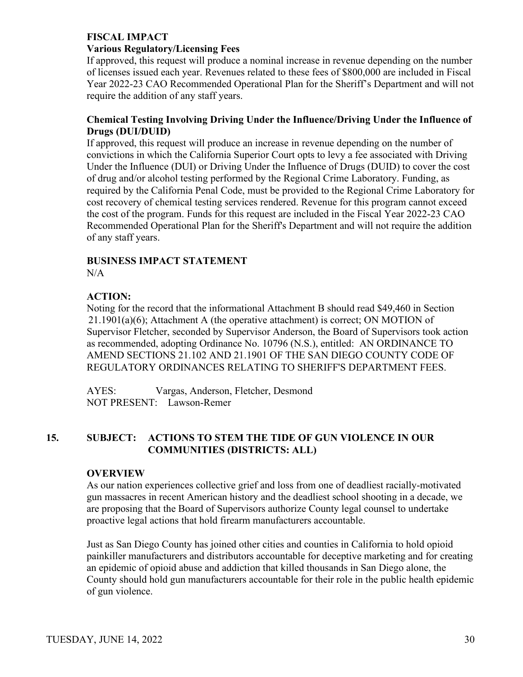## **FISCAL IMPACT**

#### **Various Regulatory/Licensing Fees**

If approved, this request will produce a nominal increase in revenue depending on the number of licenses issued each year. Revenues related to these fees of \$800,000 are included in Fiscal Year 2022-23 CAO Recommended Operational Plan for the Sheriff's Department and will not require the addition of any staff years.

#### **Chemical Testing Involving Driving Under the Influence/Driving Under the Influence of Drugs (DUI/DUID)**

If approved, this request will produce an increase in revenue depending on the number of convictions in which the California Superior Court opts to levy a fee associated with Driving Under the Influence (DUI) or Driving Under the Influence of Drugs (DUID) to cover the cost of drug and/or alcohol testing performed by the Regional Crime Laboratory. Funding, as required by the California Penal Code, must be provided to the Regional Crime Laboratory for cost recovery of chemical testing services rendered. Revenue for this program cannot exceed the cost of the program. Funds for this request are included in the Fiscal Year 2022-23 CAO Recommended Operational Plan for the Sheriff's Department and will not require the addition of any staff years.

## **BUSINESS IMPACT STATEMENT**

 $N/A$ 

## **ACTION:**

Noting for the record that the informational Attachment B should read \$49,460 in Section 21.1901(a)(6); Attachment A (the operative attachment) is correct; ON MOTION of Supervisor Fletcher, seconded by Supervisor Anderson, the Board of Supervisors took action as recommended, adopting Ordinance No. 10796 (N.S.), entitled: AN ORDINANCE TO AMEND SECTIONS 21.102 AND 21.1901 OF THE SAN DIEGO COUNTY CODE OF REGULATORY ORDINANCES RELATING TO SHERIFF'S DEPARTMENT FEES.

AYES: Vargas, Anderson, Fletcher, Desmond NOT PRESENT: Lawson-Remer

## **15. SUBJECT: ACTIONS TO STEM THE TIDE OF GUN VIOLENCE IN OUR COMMUNITIES (DISTRICTS: ALL)**

#### **OVERVIEW**

As our nation experiences collective grief and loss from one of deadliest racially-motivated gun massacres in recent American history and the deadliest school shooting in a decade, we are proposing that the Board of Supervisors authorize County legal counsel to undertake proactive legal actions that hold firearm manufacturers accountable.

Just as San Diego County has joined other cities and counties in California to hold opioid painkiller manufacturers and distributors accountable for deceptive marketing and for creating an epidemic of opioid abuse and addiction that killed thousands in San Diego alone, the County should hold gun manufacturers accountable for their role in the public health epidemic of gun violence.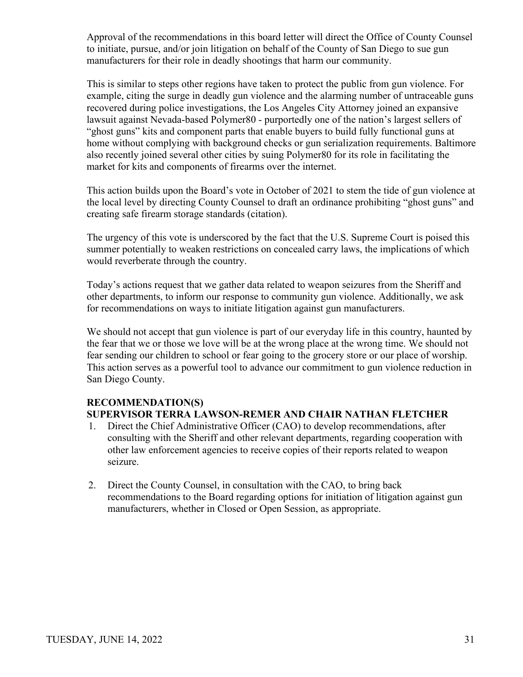Approval of the recommendations in this board letter will direct the Office of County Counsel to initiate, pursue, and/or join litigation on behalf of the County of San Diego to sue gun manufacturers for their role in deadly shootings that harm our community.

This is similar to steps other regions have taken to protect the public from gun violence. For example, citing the surge in deadly gun violence and the alarming number of untraceable guns recovered during police investigations, the Los Angeles City Attorney joined an expansive lawsuit against Nevada-based Polymer80 - purportedly one of the nation's largest sellers of "ghost guns" kits and component parts that enable buyers to build fully functional guns at home without complying with background checks or gun serialization requirements. Baltimore also recently joined several other cities by suing Polymer80 for its role in facilitating the market for kits and components of firearms over the internet.

This action builds upon the Board's vote in October of 2021 to stem the tide of gun violence at the local level by directing County Counsel to draft an ordinance prohibiting "ghost guns" and creating safe firearm storage standards (citation).

The urgency of this vote is underscored by the fact that the U.S. Supreme Court is poised this summer potentially to weaken restrictions on concealed carry laws, the implications of which would reverberate through the country.

Today's actions request that we gather data related to weapon seizures from the Sheriff and other departments, to inform our response to community gun violence. Additionally, we ask for recommendations on ways to initiate litigation against gun manufacturers.

We should not accept that gun violence is part of our everyday life in this country, haunted by the fear that we or those we love will be at the wrong place at the wrong time. We should not fear sending our children to school or fear going to the grocery store or our place of worship. This action serves as a powerful tool to advance our commitment to gun violence reduction in San Diego County.

#### **RECOMMENDATION(S) SUPERVISOR TERRA LAWSON-REMER AND CHAIR NATHAN FLETCHER**

- 1. Direct the Chief Administrative Officer (CAO) to develop recommendations, after consulting with the Sheriff and other relevant departments, regarding cooperation with other law enforcement agencies to receive copies of their reports related to weapon seizure.
- 2. Direct the County Counsel, in consultation with the CAO, to bring back recommendations to the Board regarding options for initiation of litigation against gun manufacturers, whether in Closed or Open Session, as appropriate.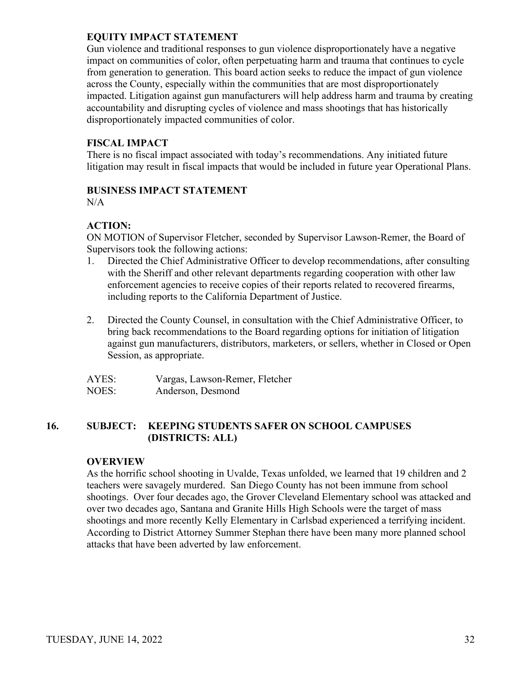Gun violence and traditional responses to gun violence disproportionately have a negative impact on communities of color, often perpetuating harm and trauma that continues to cycle from generation to generation. This board action seeks to reduce the impact of gun violence across the County, especially within the communities that are most disproportionately impacted. Litigation against gun manufacturers will help address harm and trauma by creating accountability and disrupting cycles of violence and mass shootings that has historically disproportionately impacted communities of color.

## **FISCAL IMPACT**

There is no fiscal impact associated with today's recommendations. Any initiated future litigation may result in fiscal impacts that would be included in future year Operational Plans.

## **BUSINESS IMPACT STATEMENT**

N/A

## **ACTION:**

ON MOTION of Supervisor Fletcher, seconded by Supervisor Lawson-Remer, the Board of Supervisors took the following actions:

- 1. Directed the Chief Administrative Officer to develop recommendations, after consulting with the Sheriff and other relevant departments regarding cooperation with other law enforcement agencies to receive copies of their reports related to recovered firearms, including reports to the California Department of Justice.
- 2. Directed the County Counsel, in consultation with the Chief Administrative Officer, to bring back recommendations to the Board regarding options for initiation of litigation against gun manufacturers, distributors, marketers, or sellers, whether in Closed or Open Session, as appropriate.

| AYES: | Vargas, Lawson-Remer, Fletcher |
|-------|--------------------------------|
| NOES: | Anderson, Desmond              |

## **16. SUBJECT: KEEPING STUDENTS SAFER ON SCHOOL CAMPUSES (DISTRICTS: ALL)**

#### **OVERVIEW**

As the horrific school shooting in Uvalde, Texas unfolded, we learned that 19 children and 2 teachers were savagely murdered. San Diego County has not been immune from school shootings. Over four decades ago, the Grover Cleveland Elementary school was attacked and over two decades ago, Santana and Granite Hills High Schools were the target of mass shootings and more recently Kelly Elementary in Carlsbad experienced a terrifying incident. According to District Attorney Summer Stephan there have been many more planned school attacks that have been adverted by law enforcement.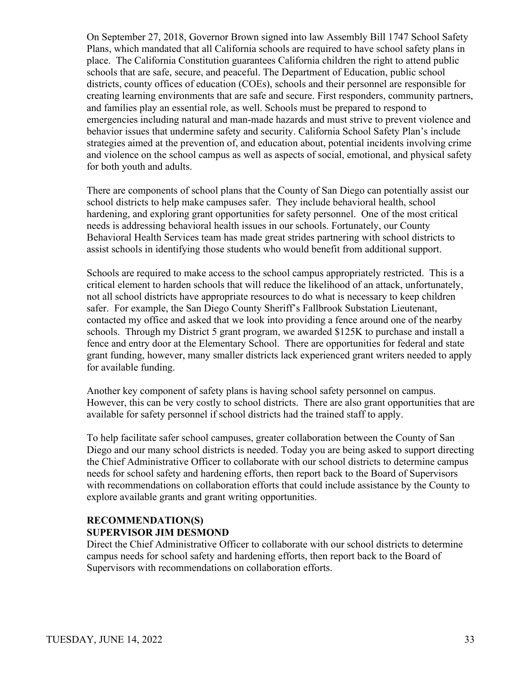On September 27, 2018, Governor Brown signed into law Assembly Bill 1747 School Safety Plans, which mandated that all California schools are required to have school safety plans in place. The California Constitution guarantees California children the right to attend public schools that are safe, secure, and peaceful. The Department of Education, public school districts, county offices of education (COEs), schools and their personnel are responsible for creating learning environments that are safe and secure. First responders, community partners, and families play an essential role, as well. Schools must be prepared to respond to emergencies including natural and man-made hazards and must strive to prevent violence and behavior issues that undermine safety and security. California School Safety Plan's include strategies aimed at the prevention of, and education about, potential incidents involving crime and violence on the school campus as well as aspects of social, emotional, and physical safety for both youth and adults.

There are components of school plans that the County of San Diego can potentially assist our school districts to help make campuses safer. They include behavioral health, school hardening, and exploring grant opportunities for safety personnel. One of the most critical needs is addressing behavioral health issues in our schools. Fortunately, our County Behavioral Health Services team has made great strides partnering with school districts to assist schools in identifying those students who would benefit from additional support.

Schools are required to make access to the school campus appropriately restricted. This is a critical element to harden schools that will reduce the likelihood of an attack, unfortunately, not all school districts have appropriate resources to do what is necessary to keep children safer. For example, the San Diego County Sheriff's Fallbrook Substation Lieutenant, contacted my office and asked that we look into providing a fence around one of the nearby schools. Through my District 5 grant program, we awarded \$125K to purchase and install a fence and entry door at the Elementary School. There are opportunities for federal and state grant funding, however, many smaller districts lack experienced grant writers needed to apply for available funding.

Another key component of safety plans is having school safety personnel on campus. However, this can be very costly to school districts. There are also grant opportunities that are available for safety personnel if school districts had the trained staff to apply.

To help facilitate safer school campuses, greater collaboration between the County of San Diego and our many school districts is needed. Today you are being asked to support directing the Chief Administrative Officer to collaborate with our school districts to determine campus needs for school safety and hardening efforts, then report back to the Board of Supervisors with recommendations on collaboration efforts that could include assistance by the County to explore available grants and grant writing opportunities.

## **RECOMMENDATION(S) SUPERVISOR JIM DESMOND**

Direct the Chief Administrative Officer to collaborate with our school districts to determine campus needs for school safety and hardening efforts, then report back to the Board of Supervisors with recommendations on collaboration efforts.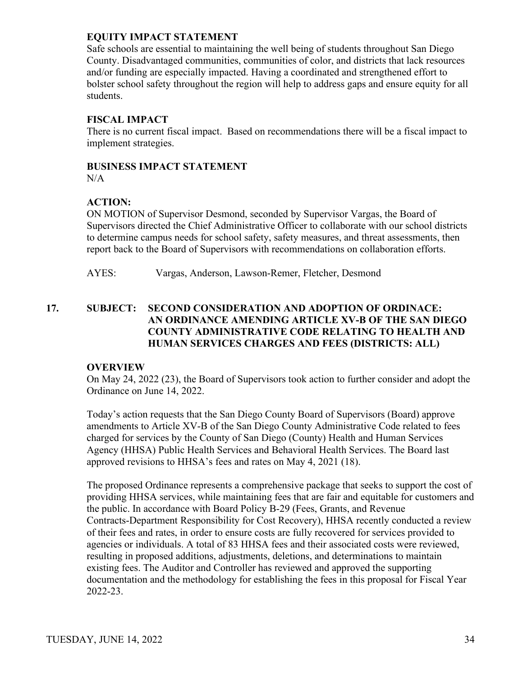Safe schools are essential to maintaining the well being of students throughout San Diego County. Disadvantaged communities, communities of color, and districts that lack resources and/or funding are especially impacted. Having a coordinated and strengthened effort to bolster school safety throughout the region will help to address gaps and ensure equity for all students.

## **FISCAL IMPACT**

There is no current fiscal impact. Based on recommendations there will be a fiscal impact to implement strategies.

#### **BUSINESS IMPACT STATEMENT**

N/A

## **ACTION:**

ON MOTION of Supervisor Desmond, seconded by Supervisor Vargas, the Board of Supervisors directed the Chief Administrative Officer to collaborate with our school districts to determine campus needs for school safety, safety measures, and threat assessments, then report back to the Board of Supervisors with recommendations on collaboration efforts.

AYES: Vargas, Anderson, Lawson-Remer, Fletcher, Desmond

## **17. SUBJECT: SECOND CONSIDERATION AND ADOPTION OF ORDINACE: AN ORDINANCE AMENDING ARTICLE XV-B OF THE SAN DIEGO COUNTY ADMINISTRATIVE CODE RELATING TO HEALTH AND HUMAN SERVICES CHARGES AND FEES (DISTRICTS: ALL)**

## **OVERVIEW**

On May 24, 2022 (23), the Board of Supervisors took action to further consider and adopt the Ordinance on June 14, 2022.

Today's action requests that the San Diego County Board of Supervisors (Board) approve amendments to Article XV-B of the San Diego County Administrative Code related to fees charged for services by the County of San Diego (County) Health and Human Services Agency (HHSA) Public Health Services and Behavioral Health Services. The Board last approved revisions to HHSA's fees and rates on May 4, 2021 (18).

The proposed Ordinance represents a comprehensive package that seeks to support the cost of providing HHSA services, while maintaining fees that are fair and equitable for customers and the public. In accordance with Board Policy B-29 (Fees, Grants, and Revenue Contracts-Department Responsibility for Cost Recovery), HHSA recently conducted a review of their fees and rates, in order to ensure costs are fully recovered for services provided to agencies or individuals. A total of 83 HHSA fees and their associated costs were reviewed, resulting in proposed additions, adjustments, deletions, and determinations to maintain existing fees. The Auditor and Controller has reviewed and approved the supporting documentation and the methodology for establishing the fees in this proposal for Fiscal Year 2022-23.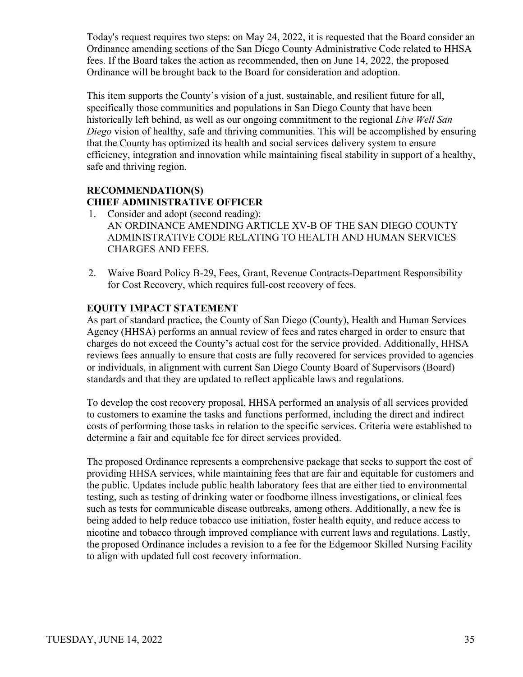Today's request requires two steps: on May 24, 2022, it is requested that the Board consider an Ordinance amending sections of the San Diego County Administrative Code related to HHSA fees. If the Board takes the action as recommended, then on June 14, 2022, the proposed Ordinance will be brought back to the Board for consideration and adoption.

This item supports the County's vision of a just, sustainable, and resilient future for all, specifically those communities and populations in San Diego County that have been historically left behind, as well as our ongoing commitment to the regional *Live Well San Diego* vision of healthy, safe and thriving communities. This will be accomplished by ensuring that the County has optimized its health and social services delivery system to ensure efficiency, integration and innovation while maintaining fiscal stability in support of a healthy, safe and thriving region.

## **RECOMMENDATION(S) CHIEF ADMINISTRATIVE OFFICER**

- 1. Consider and adopt (second reading): AN ORDINANCE AMENDING ARTICLE XV-B OF THE SAN DIEGO COUNTY ADMINISTRATIVE CODE RELATING TO HEALTH AND HUMAN SERVICES CHARGES AND FEES.
- 2. Waive Board Policy B-29, Fees, Grant, Revenue Contracts-Department Responsibility for Cost Recovery, which requires full-cost recovery of fees.

## **EQUITY IMPACT STATEMENT**

As part of standard practice, the County of San Diego (County), Health and Human Services Agency (HHSA) performs an annual review of fees and rates charged in order to ensure that charges do not exceed the County's actual cost for the service provided. Additionally, HHSA reviews fees annually to ensure that costs are fully recovered for services provided to agencies or individuals, in alignment with current San Diego County Board of Supervisors (Board) standards and that they are updated to reflect applicable laws and regulations.

To develop the cost recovery proposal, HHSA performed an analysis of all services provided to customers to examine the tasks and functions performed, including the direct and indirect costs of performing those tasks in relation to the specific services. Criteria were established to determine a fair and equitable fee for direct services provided.

The proposed Ordinance represents a comprehensive package that seeks to support the cost of providing HHSA services, while maintaining fees that are fair and equitable for customers and the public. Updates include public health laboratory fees that are either tied to environmental testing, such as testing of drinking water or foodborne illness investigations, or clinical fees such as tests for communicable disease outbreaks, among others. Additionally, a new fee is being added to help reduce tobacco use initiation, foster health equity, and reduce access to nicotine and tobacco through improved compliance with current laws and regulations. Lastly, the proposed Ordinance includes a revision to a fee for the Edgemoor Skilled Nursing Facility to align with updated full cost recovery information.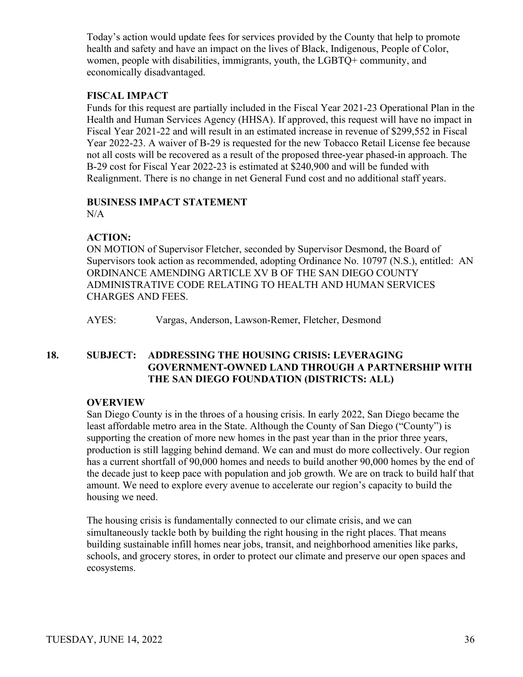Today's action would update fees for services provided by the County that help to promote health and safety and have an impact on the lives of Black, Indigenous, People of Color, women, people with disabilities, immigrants, youth, the LGBTQ+ community, and economically disadvantaged.

## **FISCAL IMPACT**

Funds for this request are partially included in the Fiscal Year 2021-23 Operational Plan in the Health and Human Services Agency (HHSA). If approved, this request will have no impact in Fiscal Year 2021-22 and will result in an estimated increase in revenue of \$299,552 in Fiscal Year 2022-23. A waiver of B-29 is requested for the new Tobacco Retail License fee because not all costs will be recovered as a result of the proposed three-year phased-in approach. The B-29 cost for Fiscal Year 2022-23 is estimated at \$240,900 and will be funded with Realignment. There is no change in net General Fund cost and no additional staff years.

## **BUSINESS IMPACT STATEMENT**

 $N/A$ 

## **ACTION:**

ON MOTION of Supervisor Fletcher, seconded by Supervisor Desmond, the Board of Supervisors took action as recommended, adopting Ordinance No. 10797 (N.S.), entitled: AN ORDINANCE AMENDING ARTICLE XV B OF THE SAN DIEGO COUNTY ADMINISTRATIVE CODE RELATING TO HEALTH AND HUMAN SERVICES CHARGES AND FEES.

AYES: Vargas, Anderson, Lawson-Remer, Fletcher, Desmond

## **18. SUBJECT: ADDRESSING THE HOUSING CRISIS: LEVERAGING GOVERNMENT-OWNED LAND THROUGH A PARTNERSHIP WITH THE SAN DIEGO FOUNDATION (DISTRICTS: ALL)**

## **OVERVIEW**

San Diego County is in the throes of a housing crisis. In early 2022, San Diego became the least affordable metro area in the State. Although the County of San Diego ("County") is supporting the creation of more new homes in the past year than in the prior three years, production is still lagging behind demand. We can and must do more collectively. Our region has a current shortfall of 90,000 homes and needs to build another 90,000 homes by the end of the decade just to keep pace with population and job growth. We are on track to build half that amount. We need to explore every avenue to accelerate our region's capacity to build the housing we need.

The housing crisis is fundamentally connected to our climate crisis, and we can simultaneously tackle both by building the right housing in the right places. That means building sustainable infill homes near jobs, transit, and neighborhood amenities like parks, schools, and grocery stores, in order to protect our climate and preserve our open spaces and ecosystems.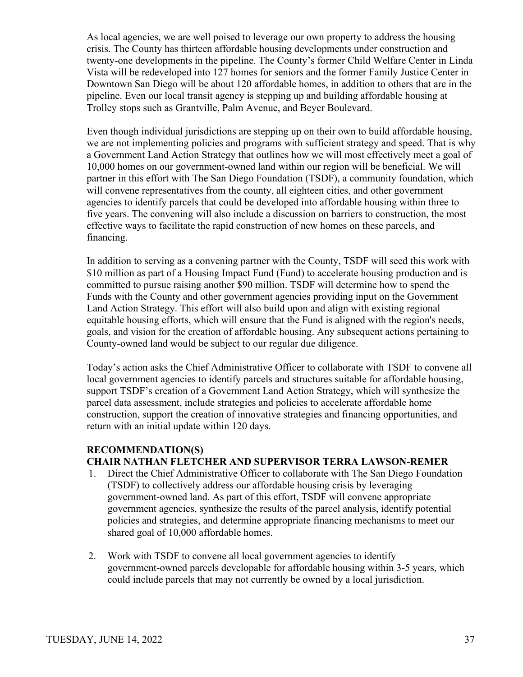As local agencies, we are well poised to leverage our own property to address the housing crisis. The County has thirteen affordable housing developments under construction and twenty-one developments in the pipeline. The County's former Child Welfare Center in Linda Vista will be redeveloped into 127 homes for seniors and the former Family Justice Center in Downtown San Diego will be about 120 affordable homes, in addition to others that are in the pipeline. Even our local transit agency is stepping up and building affordable housing at Trolley stops such as Grantville, Palm Avenue, and Beyer Boulevard.

Even though individual jurisdictions are stepping up on their own to build affordable housing, we are not implementing policies and programs with sufficient strategy and speed. That is why a Government Land Action Strategy that outlines how we will most effectively meet a goal of 10,000 homes on our government-owned land within our region will be beneficial. We will partner in this effort with The San Diego Foundation (TSDF), a community foundation, which will convene representatives from the county, all eighteen cities, and other government agencies to identify parcels that could be developed into affordable housing within three to five years. The convening will also include a discussion on barriers to construction, the most effective ways to facilitate the rapid construction of new homes on these parcels, and financing.

In addition to serving as a convening partner with the County, TSDF will seed this work with \$10 million as part of a Housing Impact Fund (Fund) to accelerate housing production and is committed to pursue raising another \$90 million. TSDF will determine how to spend the Funds with the County and other government agencies providing input on the Government Land Action Strategy. This effort will also build upon and align with existing regional equitable housing efforts, which will ensure that the Fund is aligned with the region's needs, goals, and vision for the creation of affordable housing. Any subsequent actions pertaining to County-owned land would be subject to our regular due diligence.

Today's action asks the Chief Administrative Officer to collaborate with TSDF to convene all local government agencies to identify parcels and structures suitable for affordable housing, support TSDF's creation of a Government Land Action Strategy, which will synthesize the parcel data assessment, include strategies and policies to accelerate affordable home construction, support the creation of innovative strategies and financing opportunities, and return with an initial update within 120 days.

#### **RECOMMENDATION(S) CHAIR NATHAN FLETCHER AND SUPERVISOR TERRA LAWSON-REMER**

- 1. Direct the Chief Administrative Officer to collaborate with The San Diego Foundation (TSDF) to collectively address our affordable housing crisis by leveraging government-owned land. As part of this effort, TSDF will convene appropriate government agencies, synthesize the results of the parcel analysis, identify potential policies and strategies, and determine appropriate financing mechanisms to meet our shared goal of 10,000 affordable homes.
- 2. Work with TSDF to convene all local government agencies to identify government-owned parcels developable for affordable housing within 3-5 years, which could include parcels that may not currently be owned by a local jurisdiction.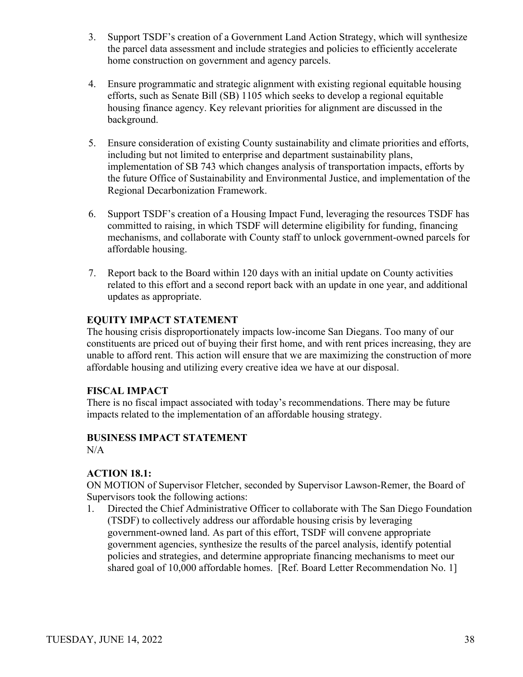- 3. Support TSDF's creation of a Government Land Action Strategy, which will synthesize the parcel data assessment and include strategies and policies to efficiently accelerate home construction on government and agency parcels.
- 4. Ensure programmatic and strategic alignment with existing regional equitable housing efforts, such as Senate Bill (SB) 1105 which seeks to develop a regional equitable housing finance agency. Key relevant priorities for alignment are discussed in the background.
- 5. Ensure consideration of existing County sustainability and climate priorities and efforts, including but not limited to enterprise and department sustainability plans, implementation of SB 743 which changes analysis of transportation impacts, efforts by the future Office of Sustainability and Environmental Justice, and implementation of the Regional Decarbonization Framework.
- 6. Support TSDF's creation of a Housing Impact Fund, leveraging the resources TSDF has committed to raising, in which TSDF will determine eligibility for funding, financing mechanisms, and collaborate with County staff to unlock government-owned parcels for affordable housing.
- 7. Report back to the Board within 120 days with an initial update on County activities related to this effort and a second report back with an update in one year, and additional updates as appropriate.

The housing crisis disproportionately impacts low-income San Diegans. Too many of our constituents are priced out of buying their first home, and with rent prices increasing, they are unable to afford rent. This action will ensure that we are maximizing the construction of more affordable housing and utilizing every creative idea we have at our disposal.

## **FISCAL IMPACT**

There is no fiscal impact associated with today's recommendations. There may be future impacts related to the implementation of an affordable housing strategy.

# **BUSINESS IMPACT STATEMENT**

N/A

## **ACTION 18.1:**

ON MOTION of Supervisor Fletcher, seconded by Supervisor Lawson-Remer, the Board of Supervisors took the following actions:

1. Directed the Chief Administrative Officer to collaborate with The San Diego Foundation (TSDF) to collectively address our affordable housing crisis by leveraging government-owned land. As part of this effort, TSDF will convene appropriate government agencies, synthesize the results of the parcel analysis, identify potential policies and strategies, and determine appropriate financing mechanisms to meet our shared goal of 10,000 affordable homes. [Ref. Board Letter Recommendation No. 1]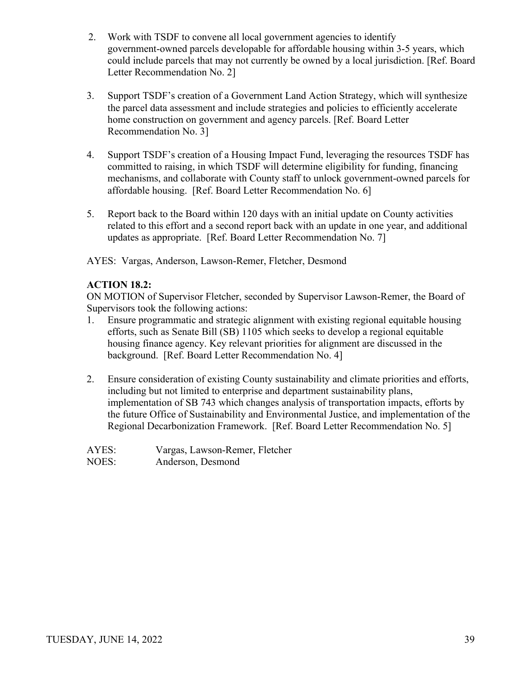- 2. Work with TSDF to convene all local government agencies to identify government-owned parcels developable for affordable housing within 3-5 years, which could include parcels that may not currently be owned by a local jurisdiction. [Ref. Board Letter Recommendation No. 2]
- 3. Support TSDF's creation of a Government Land Action Strategy, which will synthesize the parcel data assessment and include strategies and policies to efficiently accelerate home construction on government and agency parcels. [Ref. Board Letter Recommendation No. 3]
- 4. Support TSDF's creation of a Housing Impact Fund, leveraging the resources TSDF has committed to raising, in which TSDF will determine eligibility for funding, financing mechanisms, and collaborate with County staff to unlock government-owned parcels for affordable housing. [Ref. Board Letter Recommendation No. 6]
- 5. Report back to the Board within 120 days with an initial update on County activities related to this effort and a second report back with an update in one year, and additional updates as appropriate. [Ref. Board Letter Recommendation No. 7]

AYES: Vargas, Anderson, Lawson-Remer, Fletcher, Desmond

## **ACTION 18.2:**

ON MOTION of Supervisor Fletcher, seconded by Supervisor Lawson-Remer, the Board of Supervisors took the following actions:

- 1. Ensure programmatic and strategic alignment with existing regional equitable housing efforts, such as Senate Bill (SB) 1105 which seeks to develop a regional equitable housing finance agency. Key relevant priorities for alignment are discussed in the background. [Ref. Board Letter Recommendation No. 4]
- 2. Ensure consideration of existing County sustainability and climate priorities and efforts, including but not limited to enterprise and department sustainability plans, implementation of SB 743 which changes analysis of transportation impacts, efforts by the future Office of Sustainability and Environmental Justice, and implementation of the Regional Decarbonization Framework. [Ref. Board Letter Recommendation No. 5]

| AYES: | Vargas, Lawson-Remer, Fletcher |
|-------|--------------------------------|
| NOES: | Anderson, Desmond              |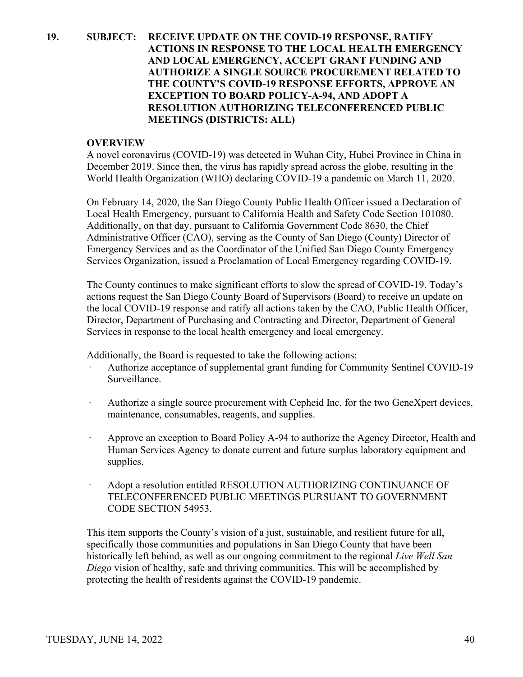## **19. SUBJECT: RECEIVE UPDATE ON THE COVID-19 RESPONSE, RATIFY ACTIONS IN RESPONSE TO THE LOCAL HEALTH EMERGENCY AND LOCAL EMERGENCY, ACCEPT GRANT FUNDING AND AUTHORIZE A SINGLE SOURCE PROCUREMENT RELATED TO THE COUNTY'S COVID-19 RESPONSE EFFORTS, APPROVE AN EXCEPTION TO BOARD POLICY-A-94, AND ADOPT A RESOLUTION AUTHORIZING TELECONFERENCED PUBLIC MEETINGS (DISTRICTS: ALL)**

#### **OVERVIEW**

A novel coronavirus (COVID-19) was detected in Wuhan City, Hubei Province in China in December 2019. Since then, the virus has rapidly spread across the globe, resulting in the World Health Organization (WHO) declaring COVID-19 a pandemic on March 11, 2020.

On February 14, 2020, the San Diego County Public Health Officer issued a Declaration of Local Health Emergency, pursuant to California Health and Safety Code Section 101080. Additionally, on that day, pursuant to California Government Code 8630, the Chief Administrative Officer (CAO), serving as the County of San Diego (County) Director of Emergency Services and as the Coordinator of the Unified San Diego County Emergency Services Organization, issued a Proclamation of Local Emergency regarding COVID-19.

The County continues to make significant efforts to slow the spread of COVID-19. Today's actions request the San Diego County Board of Supervisors (Board) to receive an update on the local COVID-19 response and ratify all actions taken by the CAO, Public Health Officer, Director, Department of Purchasing and Contracting and Director, Department of General Services in response to the local health emergency and local emergency.

Additionally, the Board is requested to take the following actions:

- Authorize acceptance of supplemental grant funding for Community Sentinel COVID-19 Surveillance.
- Authorize a single source procurement with Cepheid Inc. for the two GeneXpert devices, maintenance, consumables, reagents, and supplies.
- · Approve an exception to Board Policy A-94 to authorize the Agency Director, Health and Human Services Agency to donate current and future surplus laboratory equipment and supplies.
- · Adopt a resolution entitled RESOLUTION AUTHORIZING CONTINUANCE OF TELECONFERENCED PUBLIC MEETINGS PURSUANT TO GOVERNMENT CODE SECTION 54953.

This item supports the County's vision of a just, sustainable, and resilient future for all, specifically those communities and populations in San Diego County that have been historically left behind, as well as our ongoing commitment to the regional *Live Well San Diego* vision of healthy, safe and thriving communities. This will be accomplished by protecting the health of residents against the COVID-19 pandemic.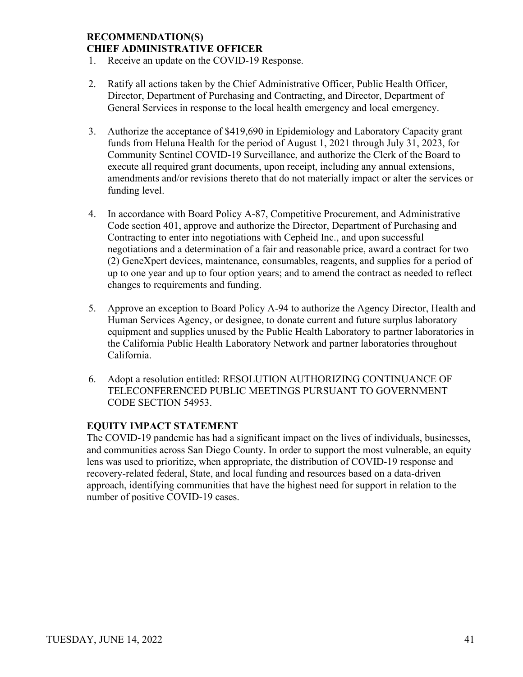## **RECOMMENDATION(S) CHIEF ADMINISTRATIVE OFFICER**

- 1. Receive an update on the COVID-19 Response.
- 2. Ratify all actions taken by the Chief Administrative Officer, Public Health Officer, Director, Department of Purchasing and Contracting, and Director, Department of General Services in response to the local health emergency and local emergency.
- 3. Authorize the acceptance of \$419,690 in Epidemiology and Laboratory Capacity grant funds from Heluna Health for the period of August 1, 2021 through July 31, 2023, for Community Sentinel COVID-19 Surveillance, and authorize the Clerk of the Board to execute all required grant documents, upon receipt, including any annual extensions, amendments and/or revisions thereto that do not materially impact or alter the services or funding level.
- 4. In accordance with Board Policy A-87, Competitive Procurement, and Administrative Code section 401, approve and authorize the Director, Department of Purchasing and Contracting to enter into negotiations with Cepheid Inc., and upon successful negotiations and a determination of a fair and reasonable price, award a contract for two (2) GeneXpert devices, maintenance, consumables, reagents, and supplies for a period of up to one year and up to four option years; and to amend the contract as needed to reflect changes to requirements and funding.
- 5. Approve an exception to Board Policy A-94 to authorize the Agency Director, Health and Human Services Agency, or designee, to donate current and future surplus laboratory equipment and supplies unused by the Public Health Laboratory to partner laboratories in the California Public Health Laboratory Network and partner laboratories throughout California.
- 6. Adopt a resolution entitled: RESOLUTION AUTHORIZING CONTINUANCE OF TELECONFERENCED PUBLIC MEETINGS PURSUANT TO GOVERNMENT CODE SECTION 54953.

## **EQUITY IMPACT STATEMENT**

The COVID-19 pandemic has had a significant impact on the lives of individuals, businesses, and communities across San Diego County. In order to support the most vulnerable, an equity lens was used to prioritize, when appropriate, the distribution of COVID-19 response and recovery-related federal, State, and local funding and resources based on a data-driven approach, identifying communities that have the highest need for support in relation to the number of positive COVID-19 cases.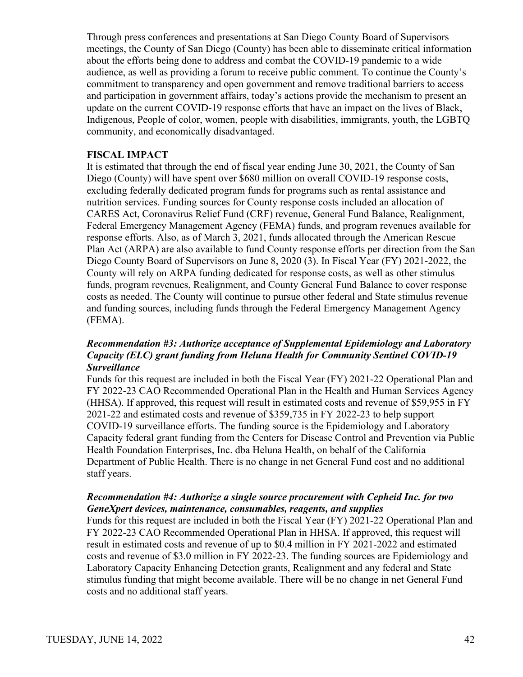Through press conferences and presentations at San Diego County Board of Supervisors meetings, the County of San Diego (County) has been able to disseminate critical information about the efforts being done to address and combat the COVID-19 pandemic to a wide audience, as well as providing a forum to receive public comment. To continue the County's commitment to transparency and open government and remove traditional barriers to access and participation in government affairs, today's actions provide the mechanism to present an update on the current COVID-19 response efforts that have an impact on the lives of Black, Indigenous, People of color, women, people with disabilities, immigrants, youth, the LGBTQ community, and economically disadvantaged.

### **FISCAL IMPACT**

It is estimated that through the end of fiscal year ending June 30, 2021, the County of San Diego (County) will have spent over \$680 million on overall COVID-19 response costs, excluding federally dedicated program funds for programs such as rental assistance and nutrition services. Funding sources for County response costs included an allocation of CARES Act, Coronavirus Relief Fund (CRF) revenue, General Fund Balance, Realignment, Federal Emergency Management Agency (FEMA) funds, and program revenues available for response efforts. Also, as of March 3, 2021, funds allocated through the American Rescue Plan Act (ARPA) are also available to fund County response efforts per direction from the San Diego County Board of Supervisors on June 8, 2020 (3). In Fiscal Year (FY) 2021-2022, the County will rely on ARPA funding dedicated for response costs, as well as other stimulus funds, program revenues, Realignment, and County General Fund Balance to cover response costs as needed. The County will continue to pursue other federal and State stimulus revenue and funding sources, including funds through the Federal Emergency Management Agency (FEMA).

## *Recommendation #3: Authorize acceptance of Supplemental Epidemiology and Laboratory Capacity (ELC) grant funding from Heluna Health for Community Sentinel COVID-19 Surveillance*

Funds for this request are included in both the Fiscal Year (FY) 2021-22 Operational Plan and FY 2022-23 CAO Recommended Operational Plan in the Health and Human Services Agency (HHSA). If approved, this request will result in estimated costs and revenue of \$59,955 in FY 2021-22 and estimated costs and revenue of \$359,735 in FY 2022-23 to help support COVID-19 surveillance efforts. The funding source is the Epidemiology and Laboratory Capacity federal grant funding from the Centers for Disease Control and Prevention via Public Health Foundation Enterprises, Inc. dba Heluna Health, on behalf of the California Department of Public Health. There is no change in net General Fund cost and no additional staff years.

## *Recommendation #4: Authorize a single source procurement with Cepheid Inc. for two GeneXpert devices, maintenance, consumables, reagents, and supplies*

Funds for this request are included in both the Fiscal Year (FY) 2021-22 Operational Plan and FY 2022-23 CAO Recommended Operational Plan in HHSA. If approved, this request will result in estimated costs and revenue of up to \$0.4 million in FY 2021-2022 and estimated costs and revenue of \$3.0 million in FY 2022-23. The funding sources are Epidemiology and Laboratory Capacity Enhancing Detection grants, Realignment and any federal and State stimulus funding that might become available. There will be no change in net General Fund costs and no additional staff years.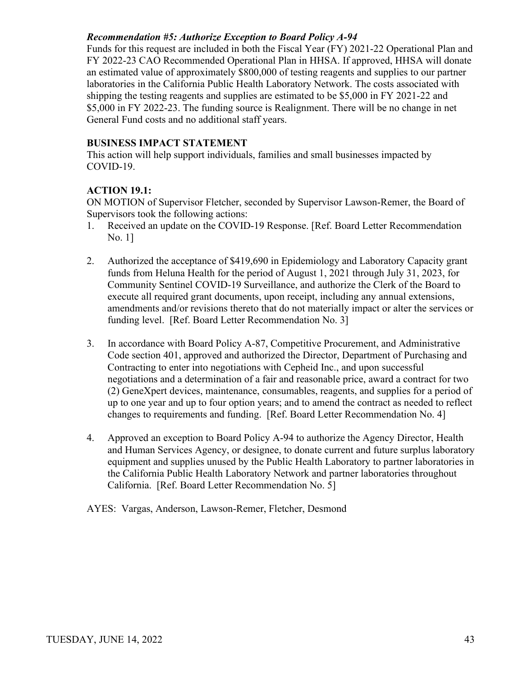## *Recommendation #5: Authorize Exception to Board Policy A-94*

Funds for this request are included in both the Fiscal Year (FY) 2021-22 Operational Plan and FY 2022-23 CAO Recommended Operational Plan in HHSA. If approved, HHSA will donate an estimated value of approximately \$800,000 of testing reagents and supplies to our partner laboratories in the California Public Health Laboratory Network. The costs associated with shipping the testing reagents and supplies are estimated to be \$5,000 in FY 2021-22 and \$5,000 in FY 2022-23. The funding source is Realignment. There will be no change in net General Fund costs and no additional staff years.

## **BUSINESS IMPACT STATEMENT**

This action will help support individuals, families and small businesses impacted by COVID-19.

## **ACTION 19.1:**

ON MOTION of Supervisor Fletcher, seconded by Supervisor Lawson-Remer, the Board of Supervisors took the following actions:

- 1. Received an update on the COVID-19 Response. [Ref. Board Letter Recommendation No. 1]
- 2. Authorized the acceptance of \$419,690 in Epidemiology and Laboratory Capacity grant funds from Heluna Health for the period of August 1, 2021 through July 31, 2023, for Community Sentinel COVID-19 Surveillance, and authorize the Clerk of the Board to execute all required grant documents, upon receipt, including any annual extensions, amendments and/or revisions thereto that do not materially impact or alter the services or funding level. [Ref. Board Letter Recommendation No. 3]
- 3. In accordance with Board Policy A-87, Competitive Procurement, and Administrative Code section 401, approved and authorized the Director, Department of Purchasing and Contracting to enter into negotiations with Cepheid Inc., and upon successful negotiations and a determination of a fair and reasonable price, award a contract for two (2) GeneXpert devices, maintenance, consumables, reagents, and supplies for a period of up to one year and up to four option years; and to amend the contract as needed to reflect changes to requirements and funding. [Ref. Board Letter Recommendation No. 4]
- 4. Approved an exception to Board Policy A-94 to authorize the Agency Director, Health and Human Services Agency, or designee, to donate current and future surplus laboratory equipment and supplies unused by the Public Health Laboratory to partner laboratories in the California Public Health Laboratory Network and partner laboratories throughout California. [Ref. Board Letter Recommendation No. 5]

AYES: Vargas, Anderson, Lawson-Remer, Fletcher, Desmond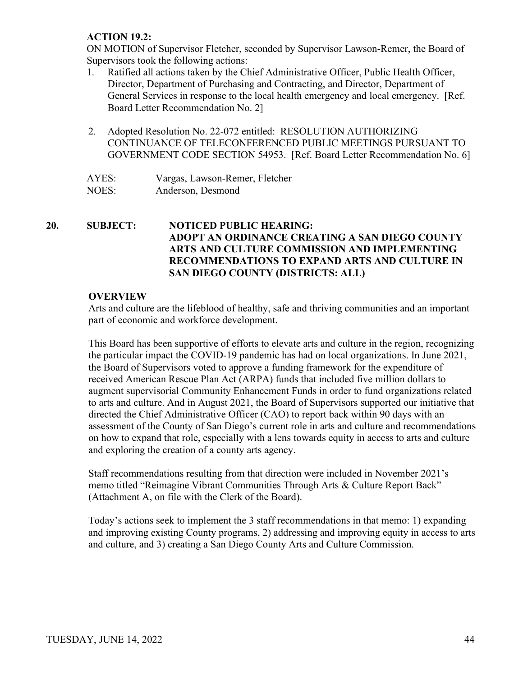## **ACTION 19.2:**

ON MOTION of Supervisor Fletcher, seconded by Supervisor Lawson-Remer, the Board of Supervisors took the following actions:

- 1. Ratified all actions taken by the Chief Administrative Officer, Public Health Officer, Director, Department of Purchasing and Contracting, and Director, Department of General Services in response to the local health emergency and local emergency. [Ref. Board Letter Recommendation No. 2]
- 2. Adopted Resolution No. 22-072 entitled: RESOLUTION AUTHORIZING CONTINUANCE OF TELECONFERENCED PUBLIC MEETINGS PURSUANT TO GOVERNMENT CODE SECTION 54953. [Ref. Board Letter Recommendation No. 6]

| AYES: | Vargas, Lawson-Remer, Fletcher |
|-------|--------------------------------|
| NOES: | Anderson, Desmond              |

## **20. SUBJECT: NOTICED PUBLIC HEARING: ADOPT AN ORDINANCE CREATING A SAN DIEGO COUNTY ARTS AND CULTURE COMMISSION AND IMPLEMENTING RECOMMENDATIONS TO EXPAND ARTS AND CULTURE IN SAN DIEGO COUNTY (DISTRICTS: ALL)**

## **OVERVIEW**

Arts and culture are the lifeblood of healthy, safe and thriving communities and an important part of economic and workforce development.

This Board has been supportive of efforts to elevate arts and culture in the region, recognizing the particular impact the COVID-19 pandemic has had on local organizations. In June 2021, the Board of Supervisors voted to approve a funding framework for the expenditure of received American Rescue Plan Act (ARPA) funds that included five million dollars to augment supervisorial Community Enhancement Funds in order to fund organizations related to arts and culture. And in August 2021, the Board of Supervisors supported our initiative that directed the Chief Administrative Officer (CAO) to report back within 90 days with an assessment of the County of San Diego's current role in arts and culture and recommendations on how to expand that role, especially with a lens towards equity in access to arts and culture and exploring the creation of a county arts agency.

Staff recommendations resulting from that direction were included in November 2021's memo titled "Reimagine Vibrant Communities Through Arts & Culture Report Back" (Attachment A, on file with the Clerk of the Board).

Today's actions seek to implement the 3 staff recommendations in that memo: 1) expanding and improving existing County programs, 2) addressing and improving equity in access to arts and culture, and 3) creating a San Diego County Arts and Culture Commission.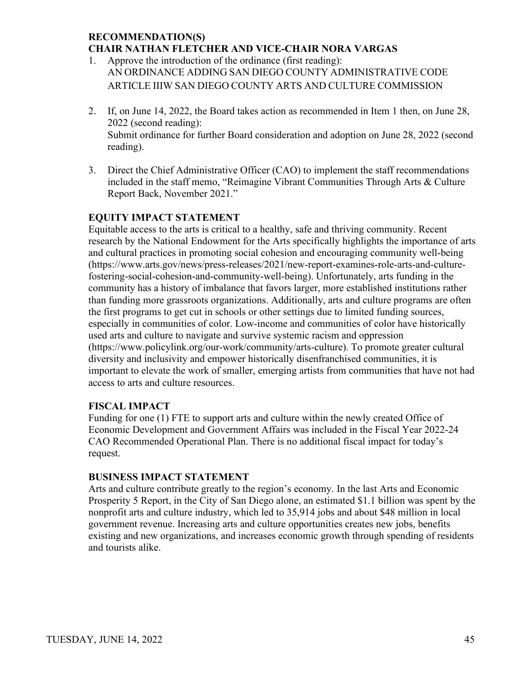## **RECOMMENDATION(S) CHAIR NATHAN FLETCHER AND VICE-CHAIR NORA VARGAS**

- 1. Approve the introduction of the ordinance (first reading): AN ORDINANCE ADDING SAN DIEGO COUNTY ADMINISTRATIVE CODE ARTICLE IIIW SAN DIEGO COUNTY ARTS AND CULTURE COMMISSION
- 2. If, on June 14, 2022, the Board takes action as recommended in Item 1 then, on June 28, 2022 (second reading): Submit ordinance for further Board consideration and adoption on June 28, 2022 (second reading).
- 3. Direct the Chief Administrative Officer (CAO) to implement the staff recommendations included in the staff memo, "Reimagine Vibrant Communities Through Arts & Culture Report Back, November 2021."

## **EQUITY IMPACT STATEMENT**

Equitable access to the arts is critical to a healthy, safe and thriving community. Recent research by the National Endowment for the Arts specifically highlights the importance of arts and cultural practices in promoting social cohesion and encouraging community well-being (https://www.arts.gov/news/press-releases/2021/new-report-examines-role-arts-and-culturefostering-social-cohesion-and-community-well-being). Unfortunately, arts funding in the community has a history of imbalance that favors larger, more established institutions rather than funding more grassroots organizations. Additionally, arts and culture programs are often the first programs to get cut in schools or other settings due to limited funding sources, especially in communities of color. Low-income and communities of color have historically used arts and culture to navigate and survive systemic racism and oppression (https://www.policylink.org/our-work/community/arts-culture). To promote greater cultural diversity and inclusivity and empower historically disenfranchised communities, it is important to elevate the work of smaller, emerging artists from communities that have not had access to arts and culture resources.

## **FISCAL IMPACT**

Funding for one (1) FTE to support arts and culture within the newly created Office of Economic Development and Government Affairs was included in the Fiscal Year 2022-24 CAO Recommended Operational Plan. There is no additional fiscal impact for today's request.

## **BUSINESS IMPACT STATEMENT**

Arts and culture contribute greatly to the region's economy. In the last Arts and Economic Prosperity 5 Report, in the City of San Diego alone, an estimated \$1.1 billion was spent by the nonprofit arts and culture industry, which led to 35,914 jobs and about \$48 million in local government revenue. Increasing arts and culture opportunities creates new jobs, benefits existing and new organizations, and increases economic growth through spending of residents and tourists alike.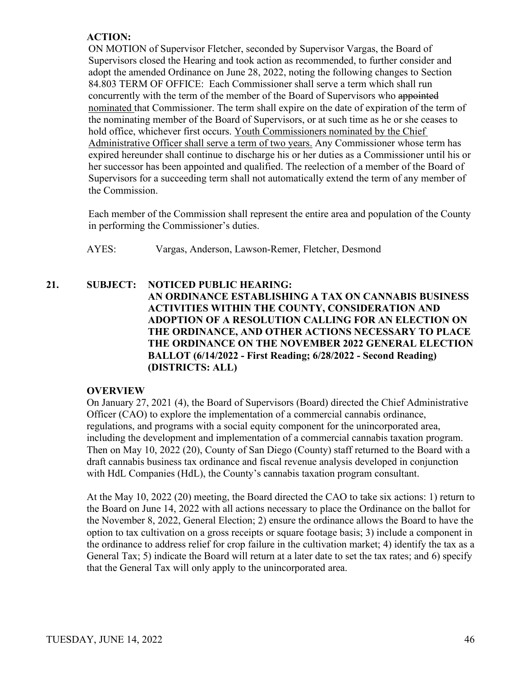## **ACTION:**

 ON MOTION of Supervisor Fletcher, seconded by Supervisor Vargas, the Board of Supervisors closed the Hearing and took action as recommended, to further consider and adopt the amended Ordinance on June 28, 2022, noting the following changes to Section 84.803 TERM OF OFFICE: Each Commissioner shall serve a term which shall run concurrently with the term of the member of the Board of Supervisors who appointed nominated that Commissioner. The term shall expire on the date of expiration of the term of the nominating member of the Board of Supervisors, or at such time as he or she ceases to hold office, whichever first occurs. Youth Commissioners nominated by the Chief Administrative Officer shall serve a term of two years. Any Commissioner whose term has expired hereunder shall continue to discharge his or her duties as a Commissioner until his or her successor has been appointed and qualified. The reelection of a member of the Board of Supervisors for a succeeding term shall not automatically extend the term of any member of the Commission.

Each member of the Commission shall represent the entire area and population of the County in performing the Commissioner's duties.

AYES: Vargas, Anderson, Lawson-Remer, Fletcher, Desmond

## **21. SUBJECT: NOTICED PUBLIC HEARING: AN ORDINANCE ESTABLISHING A TAX ON CANNABIS BUSINESS ACTIVITIES WITHIN THE COUNTY, CONSIDERATION AND ADOPTION OF A RESOLUTION CALLING FOR AN ELECTION ON THE ORDINANCE, AND OTHER ACTIONS NECESSARY TO PLACE THE ORDINANCE ON THE NOVEMBER 2022 GENERAL ELECTION BALLOT (6/14/2022 - First Reading; 6/28/2022 - Second Reading) (DISTRICTS: ALL)**

## **OVERVIEW**

 On January 27, 2021 (4), the Board of Supervisors (Board) directed the Chief Administrative Officer (CAO) to explore the implementation of a commercial cannabis ordinance, regulations, and programs with a social equity component for the unincorporated area, including the development and implementation of a commercial cannabis taxation program. Then on May 10, 2022 (20), County of San Diego (County) staff returned to the Board with a draft cannabis business tax ordinance and fiscal revenue analysis developed in conjunction with HdL Companies (HdL), the County's cannabis taxation program consultant.

 At the May 10, 2022 (20) meeting, the Board directed the CAO to take six actions: 1) return to the Board on June 14, 2022 with all actions necessary to place the Ordinance on the ballot for the November 8, 2022, General Election; 2) ensure the ordinance allows the Board to have the option to tax cultivation on a gross receipts or square footage basis; 3) include a component in the ordinance to address relief for crop failure in the cultivation market; 4) identify the tax as a General Tax; 5) indicate the Board will return at a later date to set the tax rates; and 6) specify that the General Tax will only apply to the unincorporated area.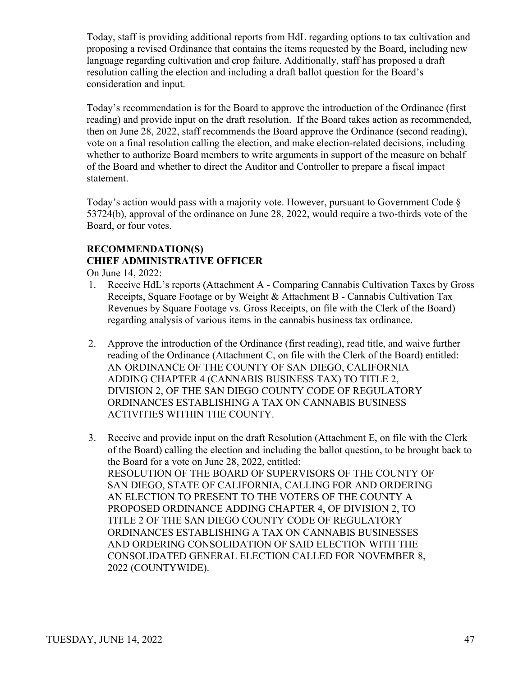Today, staff is providing additional reports from HdL regarding options to tax cultivation and proposing a revised Ordinance that contains the items requested by the Board, including new language regarding cultivation and crop failure. Additionally, staff has proposed a draft resolution calling the election and including a draft ballot question for the Board's consideration and input.

Today's recommendation is for the Board to approve the introduction of the Ordinance (first reading) and provide input on the draft resolution. If the Board takes action as recommended, then on June 28, 2022, staff recommends the Board approve the Ordinance (second reading), vote on a final resolution calling the election, and make election-related decisions, including whether to authorize Board members to write arguments in support of the measure on behalf of the Board and whether to direct the Auditor and Controller to prepare a fiscal impact statement.

Today's action would pass with a majority vote. However, pursuant to Government Code § 53724(b), approval of the ordinance on June 28, 2022, would require a two-thirds vote of the Board, or four votes.

## **RECOMMENDATION(S) CHIEF ADMINISTRATIVE OFFICER**

On June 14, 2022:

- 1. Receive HdL's reports (Attachment A Comparing Cannabis Cultivation Taxes by Gross Receipts, Square Footage or by Weight & Attachment B - Cannabis Cultivation Tax Revenues by Square Footage vs. Gross Receipts, on file with the Clerk of the Board) regarding analysis of various items in the cannabis business tax ordinance.
- 2. Approve the introduction of the Ordinance (first reading), read title, and waive further reading of the Ordinance (Attachment C, on file with the Clerk of the Board) entitled: AN ORDINANCE OF THE COUNTY OF SAN DIEGO, CALIFORNIA ADDING CHAPTER 4 (CANNABIS BUSINESS TAX) TO TITLE 2, DIVISION 2, OF THE SAN DIEGO COUNTY CODE OF REGULATORY ORDINANCES ESTABLISHING A TAX ON CANNABIS BUSINESS ACTIVITIES WITHIN THE COUNTY.
- 3. Receive and provide input on the draft Resolution (Attachment E, on file with the Clerk of the Board) calling the election and including the ballot question, to be brought back to the Board for a vote on June 28, 2022, entitled: RESOLUTION OF THE BOARD OF SUPERVISORS OF THE COUNTY OF SAN DIEGO, STATE OF CALIFORNIA, CALLING FOR AND ORDERING AN ELECTION TO PRESENT TO THE VOTERS OF THE COUNTY A PROPOSED ORDINANCE ADDING CHAPTER 4, OF DIVISION 2, TO TITLE 2 OF THE SAN DIEGO COUNTY CODE OF REGULATORY ORDINANCES ESTABLISHING A TAX ON CANNABIS BUSINESSES AND ORDERING CONSOLIDATION OF SAID ELECTION WITH THE CONSOLIDATED GENERAL ELECTION CALLED FOR NOVEMBER 8, 2022 (COUNTYWIDE).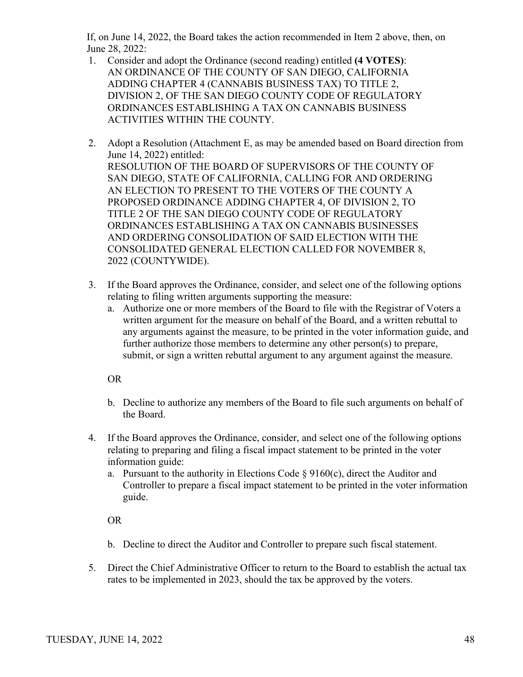If, on June 14, 2022, the Board takes the action recommended in Item 2 above, then, on June 28, 2022:

- 1. Consider and adopt the Ordinance (second reading) entitled **(4 VOTES)**: AN ORDINANCE OF THE COUNTY OF SAN DIEGO, CALIFORNIA ADDING CHAPTER 4 (CANNABIS BUSINESS TAX) TO TITLE 2, DIVISION 2, OF THE SAN DIEGO COUNTY CODE OF REGULATORY ORDINANCES ESTABLISHING A TAX ON CANNABIS BUSINESS ACTIVITIES WITHIN THE COUNTY.
- 2. Adopt a Resolution (Attachment E, as may be amended based on Board direction from June 14, 2022) entitled: RESOLUTION OF THE BOARD OF SUPERVISORS OF THE COUNTY OF SAN DIEGO, STATE OF CALIFORNIA, CALLING FOR AND ORDERING AN ELECTION TO PRESENT TO THE VOTERS OF THE COUNTY A PROPOSED ORDINANCE ADDING CHAPTER 4, OF DIVISION 2, TO TITLE 2 OF THE SAN DIEGO COUNTY CODE OF REGULATORY ORDINANCES ESTABLISHING A TAX ON CANNABIS BUSINESSES AND ORDERING CONSOLIDATION OF SAID ELECTION WITH THE CONSOLIDATED GENERAL ELECTION CALLED FOR NOVEMBER 8, 2022 (COUNTYWIDE).
- 3. If the Board approves the Ordinance, consider, and select one of the following options relating to filing written arguments supporting the measure:
	- a. Authorize one or more members of the Board to file with the Registrar of Voters a written argument for the measure on behalf of the Board, and a written rebuttal to any arguments against the measure, to be printed in the voter information guide, and further authorize those members to determine any other person(s) to prepare, submit, or sign a written rebuttal argument to any argument against the measure.

OR

- b. Decline to authorize any members of the Board to file such arguments on behalf of the Board.
- 4. If the Board approves the Ordinance, consider, and select one of the following options relating to preparing and filing a fiscal impact statement to be printed in the voter information guide:
	- a. Pursuant to the authority in Elections Code  $\S 9160(c)$ , direct the Auditor and Controller to prepare a fiscal impact statement to be printed in the voter information guide.

OR

- b. Decline to direct the Auditor and Controller to prepare such fiscal statement.
- 5. Direct the Chief Administrative Officer to return to the Board to establish the actual tax rates to be implemented in 2023, should the tax be approved by the voters.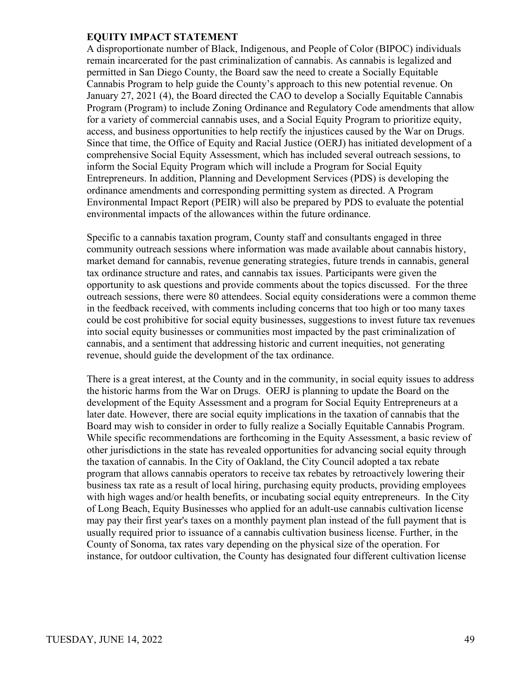A disproportionate number of Black, Indigenous, and People of Color (BIPOC) individuals remain incarcerated for the past criminalization of cannabis. As cannabis is legalized and permitted in San Diego County, the Board saw the need to create a Socially Equitable Cannabis Program to help guide the County's approach to this new potential revenue. On January 27, 2021 (4), the Board directed the CAO to develop a Socially Equitable Cannabis Program (Program) to include Zoning Ordinance and Regulatory Code amendments that allow for a variety of commercial cannabis uses, and a Social Equity Program to prioritize equity, access, and business opportunities to help rectify the injustices caused by the War on Drugs. Since that time, the Office of Equity and Racial Justice (OERJ) has initiated development of a comprehensive Social Equity Assessment, which has included several outreach sessions, to inform the Social Equity Program which will include a Program for Social Equity Entrepreneurs. In addition, Planning and Development Services (PDS) is developing the ordinance amendments and corresponding permitting system as directed. A Program Environmental Impact Report (PEIR) will also be prepared by PDS to evaluate the potential environmental impacts of the allowances within the future ordinance.

Specific to a cannabis taxation program, County staff and consultants engaged in three community outreach sessions where information was made available about cannabis history, market demand for cannabis, revenue generating strategies, future trends in cannabis, general tax ordinance structure and rates, and cannabis tax issues. Participants were given the opportunity to ask questions and provide comments about the topics discussed. For the three outreach sessions, there were 80 attendees. Social equity considerations were a common theme in the feedback received, with comments including concerns that too high or too many taxes could be cost prohibitive for social equity businesses, suggestions to invest future tax revenues into social equity businesses or communities most impacted by the past criminalization of cannabis, and a sentiment that addressing historic and current inequities, not generating revenue, should guide the development of the tax ordinance.

There is a great interest, at the County and in the community, in social equity issues to address the historic harms from the War on Drugs. OERJ is planning to update the Board on the development of the Equity Assessment and a program for Social Equity Entrepreneurs at a later date. However, there are social equity implications in the taxation of cannabis that the Board may wish to consider in order to fully realize a Socially Equitable Cannabis Program. While specific recommendations are forthcoming in the Equity Assessment, a basic review of other jurisdictions in the state has revealed opportunities for advancing social equity through the taxation of cannabis. In the City of Oakland, the City Council adopted a tax rebate program that allows cannabis operators to receive tax rebates by retroactively lowering their business tax rate as a result of local hiring, purchasing equity products, providing employees with high wages and/or health benefits, or incubating social equity entrepreneurs. In the City of Long Beach, Equity Businesses who applied for an adult-use cannabis cultivation license may pay their first year's taxes on a monthly payment plan instead of the full payment that is usually required prior to issuance of a cannabis cultivation business license. Further, in the County of Sonoma, tax rates vary depending on the physical size of the operation. For instance, for outdoor cultivation, the County has designated four different cultivation license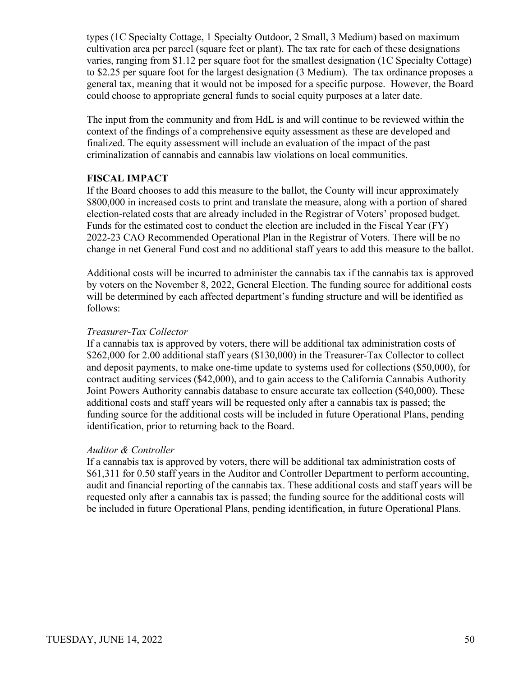types (1C Specialty Cottage, 1 Specialty Outdoor, 2 Small, 3 Medium) based on maximum cultivation area per parcel (square feet or plant). The tax rate for each of these designations varies, ranging from \$1.12 per square foot for the smallest designation (1C Specialty Cottage) to \$2.25 per square foot for the largest designation (3 Medium). The tax ordinance proposes a general tax, meaning that it would not be imposed for a specific purpose. However, the Board could choose to appropriate general funds to social equity purposes at a later date.

The input from the community and from HdL is and will continue to be reviewed within the context of the findings of a comprehensive equity assessment as these are developed and finalized. The equity assessment will include an evaluation of the impact of the past criminalization of cannabis and cannabis law violations on local communities.

#### **FISCAL IMPACT**

If the Board chooses to add this measure to the ballot, the County will incur approximately \$800,000 in increased costs to print and translate the measure, along with a portion of shared election-related costs that are already included in the Registrar of Voters' proposed budget. Funds for the estimated cost to conduct the election are included in the Fiscal Year (FY) 2022-23 CAO Recommended Operational Plan in the Registrar of Voters. There will be no change in net General Fund cost and no additional staff years to add this measure to the ballot.

Additional costs will be incurred to administer the cannabis tax if the cannabis tax is approved by voters on the November 8, 2022, General Election. The funding source for additional costs will be determined by each affected department's funding structure and will be identified as follows:

#### *Treasurer-Tax Collector*

If a cannabis tax is approved by voters, there will be additional tax administration costs of \$262,000 for 2.00 additional staff years (\$130,000) in the Treasurer-Tax Collector to collect and deposit payments, to make one-time update to systems used for collections (\$50,000), for contract auditing services (\$42,000), and to gain access to the California Cannabis Authority Joint Powers Authority cannabis database to ensure accurate tax collection (\$40,000). These additional costs and staff years will be requested only after a cannabis tax is passed; the funding source for the additional costs will be included in future Operational Plans, pending identification, prior to returning back to the Board.

#### *Auditor & Controller*

If a cannabis tax is approved by voters, there will be additional tax administration costs of \$61,311 for 0.50 staff years in the Auditor and Controller Department to perform accounting, audit and financial reporting of the cannabis tax. These additional costs and staff years will be requested only after a cannabis tax is passed; the funding source for the additional costs will be included in future Operational Plans, pending identification, in future Operational Plans.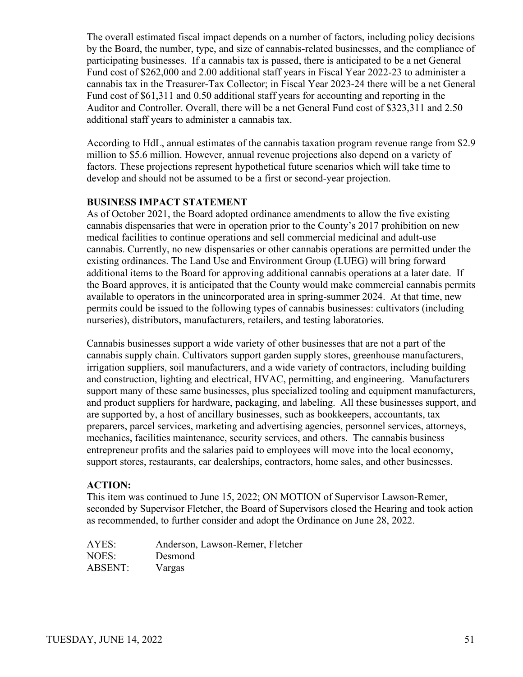The overall estimated fiscal impact depends on a number of factors, including policy decisions by the Board, the number, type, and size of cannabis-related businesses, and the compliance of participating businesses. If a cannabis tax is passed, there is anticipated to be a net General Fund cost of \$262,000 and 2.00 additional staff years in Fiscal Year 2022-23 to administer a cannabis tax in the Treasurer-Tax Collector; in Fiscal Year 2023-24 there will be a net General Fund cost of \$61,311 and 0.50 additional staff years for accounting and reporting in the Auditor and Controller. Overall, there will be a net General Fund cost of \$323,311 and 2.50 additional staff years to administer a cannabis tax.

According to HdL, annual estimates of the cannabis taxation program revenue range from \$2.9 million to \$5.6 million. However, annual revenue projections also depend on a variety of factors. These projections represent hypothetical future scenarios which will take time to develop and should not be assumed to be a first or second-year projection.

#### **BUSINESS IMPACT STATEMENT**

As of October 2021, the Board adopted ordinance amendments to allow the five existing cannabis dispensaries that were in operation prior to the County's 2017 prohibition on new medical facilities to continue operations and sell commercial medicinal and adult-use cannabis. Currently, no new dispensaries or other cannabis operations are permitted under the existing ordinances. The Land Use and Environment Group (LUEG) will bring forward additional items to the Board for approving additional cannabis operations at a later date. If the Board approves, it is anticipated that the County would make commercial cannabis permits available to operators in the unincorporated area in spring-summer 2024. At that time, new permits could be issued to the following types of cannabis businesses: cultivators (including nurseries), distributors, manufacturers, retailers, and testing laboratories.

Cannabis businesses support a wide variety of other businesses that are not a part of the cannabis supply chain. Cultivators support garden supply stores, greenhouse manufacturers, irrigation suppliers, soil manufacturers, and a wide variety of contractors, including building and construction, lighting and electrical, HVAC, permitting, and engineering. Manufacturers support many of these same businesses, plus specialized tooling and equipment manufacturers, and product suppliers for hardware, packaging, and labeling. All these businesses support, and are supported by, a host of ancillary businesses, such as bookkeepers, accountants, tax preparers, parcel services, marketing and advertising agencies, personnel services, attorneys, mechanics, facilities maintenance, security services, and others. The cannabis business entrepreneur profits and the salaries paid to employees will move into the local economy, support stores, restaurants, car dealerships, contractors, home sales, and other businesses.

## **ACTION:**

This item was continued to June 15, 2022; ON MOTION of Supervisor Lawson-Remer, seconded by Supervisor Fletcher, the Board of Supervisors closed the Hearing and took action as recommended, to further consider and adopt the Ordinance on June 28, 2022.

| AYES:   | Anderson, Lawson-Remer, Fletcher |
|---------|----------------------------------|
| NOES:   | Desmond                          |
| ABSENT: | Vargas                           |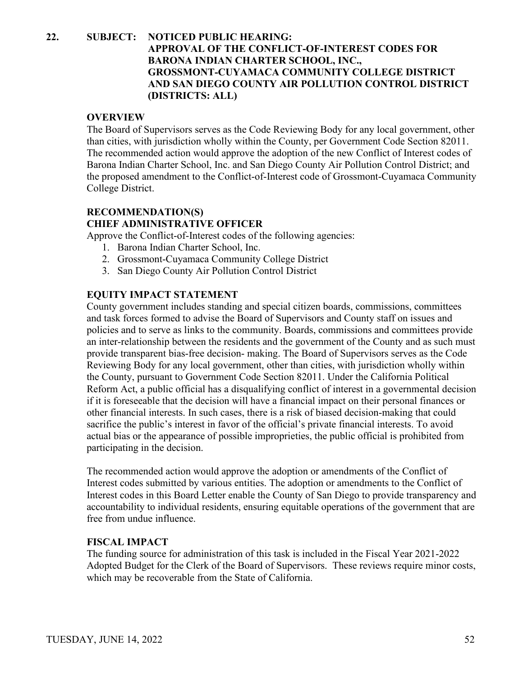## **22. SUBJECT: NOTICED PUBLIC HEARING: APPROVAL OF THE CONFLICT-OF-INTEREST CODES FOR BARONA INDIAN CHARTER SCHOOL, INC., GROSSMONT-CUYAMACA COMMUNITY COLLEGE DISTRICT AND SAN DIEGO COUNTY AIR POLLUTION CONTROL DISTRICT (DISTRICTS: ALL)**

#### **OVERVIEW**

The Board of Supervisors serves as the Code Reviewing Body for any local government, other than cities, with jurisdiction wholly within the County, per Government Code Section 82011. The recommended action would approve the adoption of the new Conflict of Interest codes of Barona Indian Charter School, Inc. and San Diego County Air Pollution Control District; and the proposed amendment to the Conflict-of-Interest code of Grossmont-Cuyamaca Community College District.

## **RECOMMENDATION(S) CHIEF ADMINISTRATIVE OFFICER**

Approve the Conflict-of-Interest codes of the following agencies:

- 1. Barona Indian Charter School, Inc.
- 2. Grossmont-Cuyamaca Community College District
- 3. San Diego County Air Pollution Control District

#### **EQUITY IMPACT STATEMENT**

County government includes standing and special citizen boards, commissions, committees and task forces formed to advise the Board of Supervisors and County staff on issues and policies and to serve as links to the community. Boards, commissions and committees provide an inter-relationship between the residents and the government of the County and as such must provide transparent bias-free decision- making. The Board of Supervisors serves as the Code Reviewing Body for any local government, other than cities, with jurisdiction wholly within the County, pursuant to Government Code Section 82011. Under the California Political Reform Act, a public official has a disqualifying conflict of interest in a governmental decision if it is foreseeable that the decision will have a financial impact on their personal finances or other financial interests. In such cases, there is a risk of biased decision-making that could sacrifice the public's interest in favor of the official's private financial interests. To avoid actual bias or the appearance of possible improprieties, the public official is prohibited from participating in the decision.

The recommended action would approve the adoption or amendments of the Conflict of Interest codes submitted by various entities. The adoption or amendments to the Conflict of Interest codes in this Board Letter enable the County of San Diego to provide transparency and accountability to individual residents, ensuring equitable operations of the government that are free from undue influence.

#### **FISCAL IMPACT**

The funding source for administration of this task is included in the Fiscal Year 2021-2022 Adopted Budget for the Clerk of the Board of Supervisors. These reviews require minor costs, which may be recoverable from the State of California.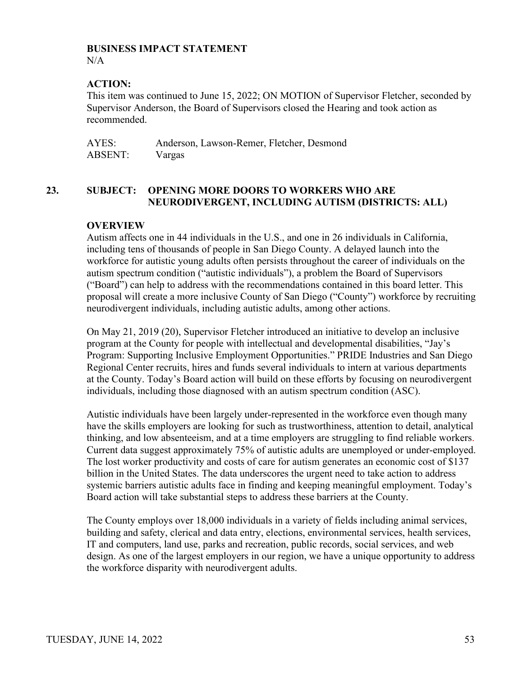#### **BUSINESS IMPACT STATEMENT**

N/A

## **ACTION:**

This item was continued to June 15, 2022; ON MOTION of Supervisor Fletcher, seconded by Supervisor Anderson, the Board of Supervisors closed the Hearing and took action as recommended.

| AYES:   | Anderson, Lawson-Remer, Fletcher, Desmond |
|---------|-------------------------------------------|
| ABSENT: | Vargas                                    |

## **23. SUBJECT: OPENING MORE DOORS TO WORKERS WHO ARE NEURODIVERGENT, INCLUDING AUTISM (DISTRICTS: ALL)**

## **OVERVIEW**

Autism affects one in 44 individuals in the U.S., and one in 26 individuals in California, including tens of thousands of people in San Diego County. A delayed launch into the workforce for autistic young adults often persists throughout the career of individuals on the autism spectrum condition ("autistic individuals"), a problem the Board of Supervisors ("Board") can help to address with the recommendations contained in this board letter. This proposal will create a more inclusive County of San Diego ("County") workforce by recruiting neurodivergent individuals, including autistic adults, among other actions.

On May 21, 2019 (20), Supervisor Fletcher introduced an initiative to develop an inclusive program at the County for people with intellectual and developmental disabilities, "Jay's Program: Supporting Inclusive Employment Opportunities." PRIDE Industries and San Diego Regional Center recruits, hires and funds several individuals to intern at various departments at the County. Today's Board action will build on these efforts by focusing on neurodivergent individuals, including those diagnosed with an autism spectrum condition (ASC).

Autistic individuals have been largely under-represented in the workforce even though many have the skills employers are looking for such as trustworthiness, attention to detail, analytical thinking, and low absenteeism, and at a time employers are struggling to find reliable workers. Current data suggest approximately 75% of autistic adults are unemployed or under-employed. The lost worker productivity and costs of care for autism generates an economic cost of \$137 billion in the United States. The data underscores the urgent need to take action to address systemic barriers autistic adults face in finding and keeping meaningful employment. Today's Board action will take substantial steps to address these barriers at the County.

The County employs over 18,000 individuals in a variety of fields including animal services, building and safety, clerical and data entry, elections, environmental services, health services, IT and computers, land use, parks and recreation, public records, social services, and web design. As one of the largest employers in our region, we have a unique opportunity to address the workforce disparity with neurodivergent adults.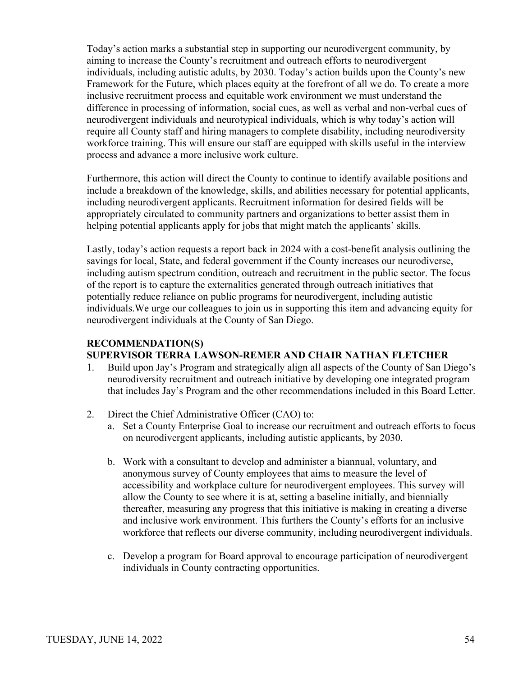Today's action marks a substantial step in supporting our neurodivergent community, by aiming to increase the County's recruitment and outreach efforts to neurodivergent individuals, including autistic adults, by 2030. Today's action builds upon the County's new Framework for the Future, which places equity at the forefront of all we do. To create a more inclusive recruitment process and equitable work environment we must understand the difference in processing of information, social cues, as well as verbal and non-verbal cues of neurodivergent individuals and neurotypical individuals, which is why today's action will require all County staff and hiring managers to complete disability, including neurodiversity workforce training. This will ensure our staff are equipped with skills useful in the interview process and advance a more inclusive work culture.

Furthermore, this action will direct the County to continue to identify available positions and include a breakdown of the knowledge, skills, and abilities necessary for potential applicants, including neurodivergent applicants. Recruitment information for desired fields will be appropriately circulated to community partners and organizations to better assist them in helping potential applicants apply for jobs that might match the applicants' skills.

Lastly, today's action requests a report back in 2024 with a cost-benefit analysis outlining the savings for local, State, and federal government if the County increases our neurodiverse, including autism spectrum condition, outreach and recruitment in the public sector. The focus of the report is to capture the externalities generated through outreach initiatives that potentially reduce reliance on public programs for neurodivergent, including autistic individuals.We urge our colleagues to join us in supporting this item and advancing equity for neurodivergent individuals at the County of San Diego.

#### **RECOMMENDATION(S) SUPERVISOR TERRA LAWSON-REMER AND CHAIR NATHAN FLETCHER**

- 1. Build upon Jay's Program and strategically align all aspects of the County of San Diego's neurodiversity recruitment and outreach initiative by developing one integrated program that includes Jay's Program and the other recommendations included in this Board Letter.
- 2. Direct the Chief Administrative Officer (CAO) to:
	- a. Set a County Enterprise Goal to increase our recruitment and outreach efforts to focus on neurodivergent applicants, including autistic applicants, by 2030.
	- b. Work with a consultant to develop and administer a biannual, voluntary, and anonymous survey of County employees that aims to measure the level of accessibility and workplace culture for neurodivergent employees. This survey will allow the County to see where it is at, setting a baseline initially, and biennially thereafter, measuring any progress that this initiative is making in creating a diverse and inclusive work environment. This furthers the County's efforts for an inclusive workforce that reflects our diverse community, including neurodivergent individuals.
	- c. Develop a program for Board approval to encourage participation of neurodivergent individuals in County contracting opportunities.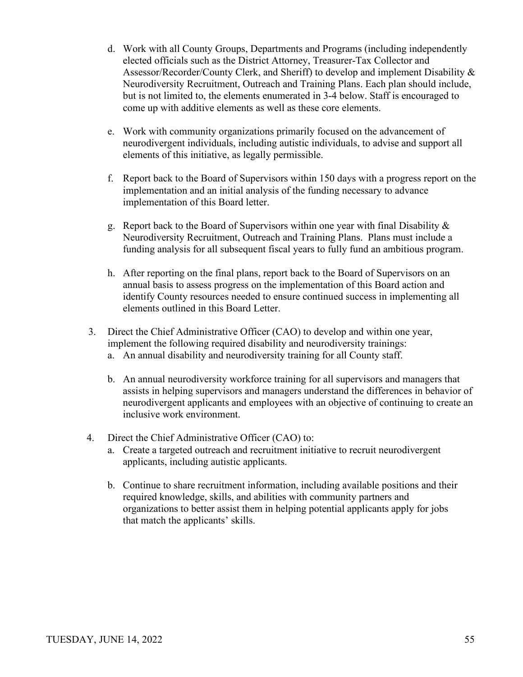- d. Work with all County Groups, Departments and Programs (including independently elected officials such as the District Attorney, Treasurer-Tax Collector and Assessor/Recorder/County Clerk, and Sheriff) to develop and implement Disability & Neurodiversity Recruitment, Outreach and Training Plans. Each plan should include, but is not limited to, the elements enumerated in 3-4 below. Staff is encouraged to come up with additive elements as well as these core elements.
- e. Work with community organizations primarily focused on the advancement of neurodivergent individuals, including autistic individuals, to advise and support all elements of this initiative, as legally permissible.
- f. Report back to the Board of Supervisors within 150 days with a progress report on the implementation and an initial analysis of the funding necessary to advance implementation of this Board letter.
- g. Report back to the Board of Supervisors within one year with final Disability & Neurodiversity Recruitment, Outreach and Training Plans. Plans must include a funding analysis for all subsequent fiscal years to fully fund an ambitious program.
- h. After reporting on the final plans, report back to the Board of Supervisors on an annual basis to assess progress on the implementation of this Board action and identify County resources needed to ensure continued success in implementing all elements outlined in this Board Letter.
- 3. Direct the Chief Administrative Officer (CAO) to develop and within one year, implement the following required disability and neurodiversity trainings:
	- a. An annual disability and neurodiversity training for all County staff.
	- b. An annual neurodiversity workforce training for all supervisors and managers that assists in helping supervisors and managers understand the differences in behavior of neurodivergent applicants and employees with an objective of continuing to create an inclusive work environment.
- 4. Direct the Chief Administrative Officer (CAO) to:
	- a. Create a targeted outreach and recruitment initiative to recruit neurodivergent applicants, including autistic applicants.
	- b. Continue to share recruitment information, including available positions and their required knowledge, skills, and abilities with community partners and organizations to better assist them in helping potential applicants apply for jobs that match the applicants' skills.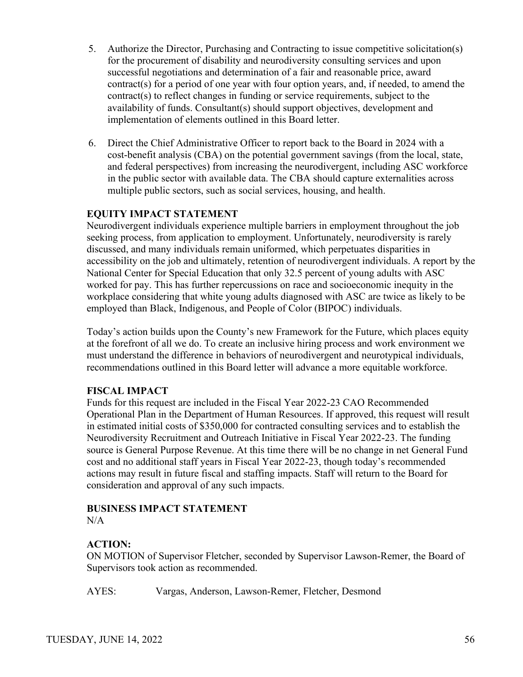- 5. Authorize the Director, Purchasing and Contracting to issue competitive solicitation(s) for the procurement of disability and neurodiversity consulting services and upon successful negotiations and determination of a fair and reasonable price, award contract(s) for a period of one year with four option years, and, if needed, to amend the contract(s) to reflect changes in funding or service requirements, subject to the availability of funds. Consultant(s) should support objectives, development and implementation of elements outlined in this Board letter.
- 6. Direct the Chief Administrative Officer to report back to the Board in 2024 with a cost-benefit analysis (CBA) on the potential government savings (from the local, state, and federal perspectives) from increasing the neurodivergent, including ASC workforce in the public sector with available data. The CBA should capture externalities across multiple public sectors, such as social services, housing, and health.

Neurodivergent individuals experience multiple barriers in employment throughout the job seeking process, from application to employment. Unfortunately, neurodiversity is rarely discussed, and many individuals remain uniformed, which perpetuates disparities in accessibility on the job and ultimately, retention of neurodivergent individuals. A report by the National Center for Special Education that only 32.5 percent of young adults with ASC worked for pay. This has further repercussions on race and socioeconomic inequity in the workplace considering that white young adults diagnosed with ASC are twice as likely to be employed than Black, Indigenous, and People of Color (BIPOC) individuals.

Today's action builds upon the County's new Framework for the Future, which places equity at the forefront of all we do. To create an inclusive hiring process and work environment we must understand the difference in behaviors of neurodivergent and neurotypical individuals, recommendations outlined in this Board letter will advance a more equitable workforce.

#### **FISCAL IMPACT**

Funds for this request are included in the Fiscal Year 2022-23 CAO Recommended Operational Plan in the Department of Human Resources. If approved, this request will result in estimated initial costs of \$350,000 for contracted consulting services and to establish the Neurodiversity Recruitment and Outreach Initiative in Fiscal Year 2022-23. The funding source is General Purpose Revenue. At this time there will be no change in net General Fund cost and no additional staff years in Fiscal Year 2022-23, though today's recommended actions may result in future fiscal and staffing impacts. Staff will return to the Board for consideration and approval of any such impacts.

# **BUSINESS IMPACT STATEMENT**

 $N/A$ 

## **ACTION:**

ON MOTION of Supervisor Fletcher, seconded by Supervisor Lawson-Remer, the Board of Supervisors took action as recommended.

AYES: Vargas, Anderson, Lawson-Remer, Fletcher, Desmond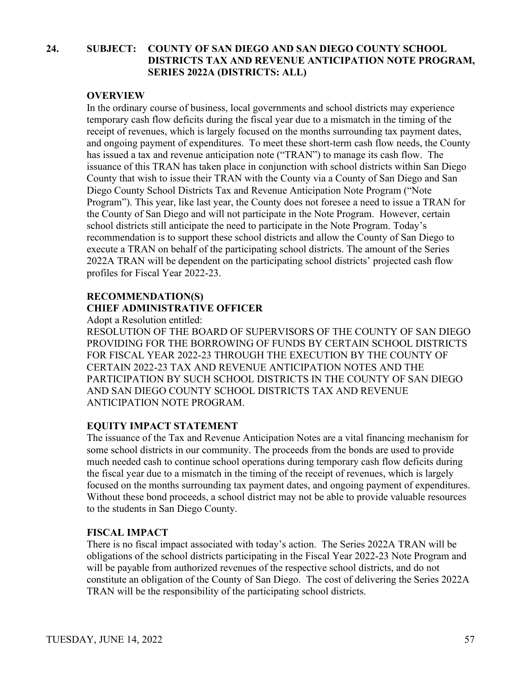## **24. SUBJECT: COUNTY OF SAN DIEGO AND SAN DIEGO COUNTY SCHOOL DISTRICTS TAX AND REVENUE ANTICIPATION NOTE PROGRAM, SERIES 2022A (DISTRICTS: ALL)**

#### **OVERVIEW**

In the ordinary course of business, local governments and school districts may experience temporary cash flow deficits during the fiscal year due to a mismatch in the timing of the receipt of revenues, which is largely focused on the months surrounding tax payment dates, and ongoing payment of expenditures. To meet these short-term cash flow needs, the County has issued a tax and revenue anticipation note ("TRAN") to manage its cash flow. The issuance of this TRAN has taken place in conjunction with school districts within San Diego County that wish to issue their TRAN with the County via a County of San Diego and San Diego County School Districts Tax and Revenue Anticipation Note Program ("Note Program"). This year, like last year, the County does not foresee a need to issue a TRAN for the County of San Diego and will not participate in the Note Program. However, certain school districts still anticipate the need to participate in the Note Program. Today's recommendation is to support these school districts and allow the County of San Diego to execute a TRAN on behalf of the participating school districts. The amount of the Series 2022A TRAN will be dependent on the participating school districts' projected cash flow profiles for Fiscal Year 2022-23.

## **RECOMMENDATION(S) CHIEF ADMINISTRATIVE OFFICER**

Adopt a Resolution entitled:

RESOLUTION OF THE BOARD OF SUPERVISORS OF THE COUNTY OF SAN DIEGO PROVIDING FOR THE BORROWING OF FUNDS BY CERTAIN SCHOOL DISTRICTS FOR FISCAL YEAR 2022-23 THROUGH THE EXECUTION BY THE COUNTY OF CERTAIN 2022-23 TAX AND REVENUE ANTICIPATION NOTES AND THE PARTICIPATION BY SUCH SCHOOL DISTRICTS IN THE COUNTY OF SAN DIEGO AND SAN DIEGO COUNTY SCHOOL DISTRICTS TAX AND REVENUE ANTICIPATION NOTE PROGRAM.

#### **EQUITY IMPACT STATEMENT**

The issuance of the Tax and Revenue Anticipation Notes are a vital financing mechanism for some school districts in our community. The proceeds from the bonds are used to provide much needed cash to continue school operations during temporary cash flow deficits during the fiscal year due to a mismatch in the timing of the receipt of revenues, which is largely focused on the months surrounding tax payment dates, and ongoing payment of expenditures. Without these bond proceeds, a school district may not be able to provide valuable resources to the students in San Diego County.

#### **FISCAL IMPACT**

There is no fiscal impact associated with today's action. The Series 2022A TRAN will be obligations of the school districts participating in the Fiscal Year 2022-23 Note Program and will be payable from authorized revenues of the respective school districts, and do not constitute an obligation of the County of San Diego. The cost of delivering the Series 2022A TRAN will be the responsibility of the participating school districts.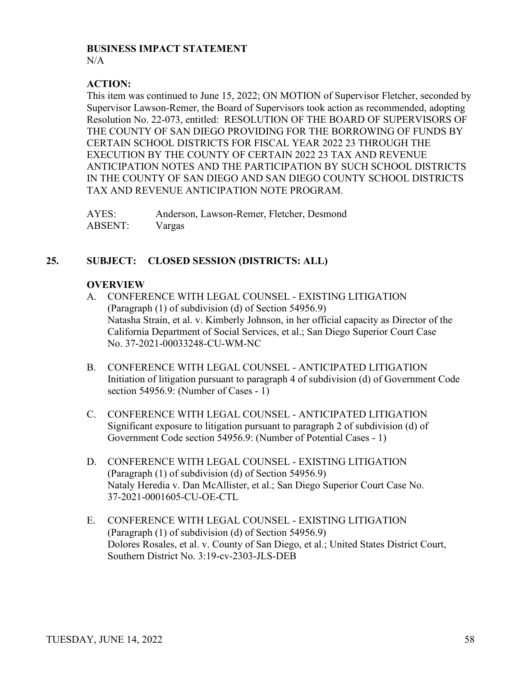#### **BUSINESS IMPACT STATEMENT**

 $N/A$ 

## **ACTION:**

This item was continued to June 15, 2022; ON MOTION of Supervisor Fletcher, seconded by Supervisor Lawson-Remer, the Board of Supervisors took action as recommended, adopting Resolution No. 22-073, entitled: RESOLUTION OF THE BOARD OF SUPERVISORS OF THE COUNTY OF SAN DIEGO PROVIDING FOR THE BORROWING OF FUNDS BY CERTAIN SCHOOL DISTRICTS FOR FISCAL YEAR 2022 23 THROUGH THE EXECUTION BY THE COUNTY OF CERTAIN 2022 23 TAX AND REVENUE ANTICIPATION NOTES AND THE PARTICIPATION BY SUCH SCHOOL DISTRICTS IN THE COUNTY OF SAN DIEGO AND SAN DIEGO COUNTY SCHOOL DISTRICTS TAX AND REVENUE ANTICIPATION NOTE PROGRAM.

| AYES:          | Anderson, Lawson-Remer, Fletcher, Desmond |
|----------------|-------------------------------------------|
| <b>ABSENT:</b> | Vargas                                    |

## **25. SUBJECT: CLOSED SESSION (DISTRICTS: ALL)**

## **OVERVIEW**

- A. CONFERENCE WITH LEGAL COUNSEL EXISTING LITIGATION (Paragraph (1) of subdivision (d) of Section 54956.9) Natasha Strain, et al. v. Kimberly Johnson, in her official capacity as Director of the California Department of Social Services, et al.; San Diego Superior Court Case No. 37-2021-00033248-CU-WM-NC
- B. CONFERENCE WITH LEGAL COUNSEL ANTICIPATED LITIGATION Initiation of litigation pursuant to paragraph 4 of subdivision (d) of Government Code section 54956.9: (Number of Cases - 1)
- C. CONFERENCE WITH LEGAL COUNSEL ANTICIPATED LITIGATION Significant exposure to litigation pursuant to paragraph 2 of subdivision (d) of Government Code section 54956.9: (Number of Potential Cases - 1)
- D. CONFERENCE WITH LEGAL COUNSEL EXISTING LITIGATION (Paragraph (1) of subdivision (d) of Section 54956.9) Nataly Heredia v. Dan McAllister, et al.; San Diego Superior Court Case No. 37-2021-0001605-CU-OE-CTL
- E. CONFERENCE WITH LEGAL COUNSEL EXISTING LITIGATION (Paragraph (1) of subdivision (d) of Section 54956.9) Dolores Rosales, et al. v. County of San Diego, et al.; United States District Court, Southern District No. 3:19-cv-2303-JLS-DEB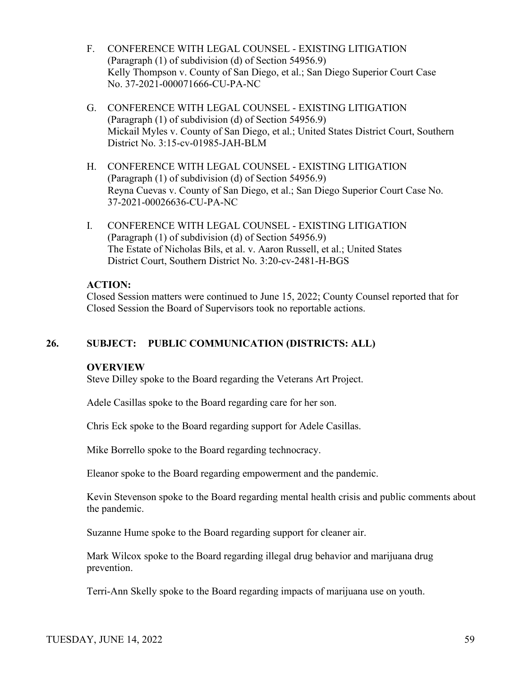- F. CONFERENCE WITH LEGAL COUNSEL EXISTING LITIGATION (Paragraph (1) of subdivision (d) of Section 54956.9) Kelly Thompson v. County of San Diego, et al.; San Diego Superior Court Case No. 37-2021-000071666-CU-PA-NC
- G. CONFERENCE WITH LEGAL COUNSEL EXISTING LITIGATION (Paragraph (1) of subdivision (d) of Section 54956.9) Mickail Myles v. County of San Diego, et al.; United States District Court, Southern District No. 3:15-cv-01985-JAH-BLM
- H. CONFERENCE WITH LEGAL COUNSEL EXISTING LITIGATION (Paragraph (1) of subdivision (d) of Section 54956.9) Reyna Cuevas v. County of San Diego, et al.; San Diego Superior Court Case No. 37-2021-00026636-CU-PA-NC
- I. CONFERENCE WITH LEGAL COUNSEL EXISTING LITIGATION (Paragraph (1) of subdivision (d) of Section 54956.9) The Estate of Nicholas Bils, et al. v. Aaron Russell, et al.; United States District Court, Southern District No. 3:20-cv-2481-H-BGS

## **ACTION:**

Closed Session matters were continued to June 15, 2022; County Counsel reported that for Closed Session the Board of Supervisors took no reportable actions.

## **26. SUBJECT: PUBLIC COMMUNICATION (DISTRICTS: ALL)**

## **OVERVIEW**

Steve Dilley spoke to the Board regarding the Veterans Art Project.

Adele Casillas spoke to the Board regarding care for her son.

Chris Eck spoke to the Board regarding support for Adele Casillas.

Mike Borrello spoke to the Board regarding technocracy.

Eleanor spoke to the Board regarding empowerment and the pandemic.

Kevin Stevenson spoke to the Board regarding mental health crisis and public comments about the pandemic.

Suzanne Hume spoke to the Board regarding support for cleaner air.

Mark Wilcox spoke to the Board regarding illegal drug behavior and marijuana drug prevention.

Terri-Ann Skelly spoke to the Board regarding impacts of marijuana use on youth.